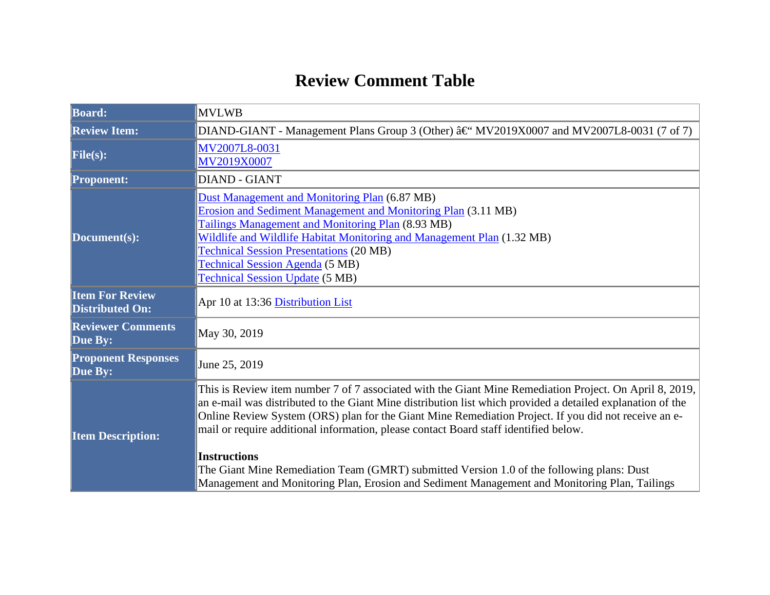## **Review Comment Table**

| <b>Board:</b>                                    | <b>MVLWB</b>                                                                                                                                                                                                                                                                                                                                                                                                                                                                                                                                                                                                                               |  |  |
|--------------------------------------------------|--------------------------------------------------------------------------------------------------------------------------------------------------------------------------------------------------------------------------------------------------------------------------------------------------------------------------------------------------------------------------------------------------------------------------------------------------------------------------------------------------------------------------------------------------------------------------------------------------------------------------------------------|--|--|
| <b>Review Item:</b>                              | DIAND-GIANT - Management Plans Group 3 (Other) †MV2019X0007 and MV2007L8-0031 (7 of 7)                                                                                                                                                                                                                                                                                                                                                                                                                                                                                                                                                     |  |  |
| File(s):                                         | MV2007L8-0031<br>MV2019X0007                                                                                                                                                                                                                                                                                                                                                                                                                                                                                                                                                                                                               |  |  |
| <b>Proponent:</b>                                | <b>DIAND - GIANT</b>                                                                                                                                                                                                                                                                                                                                                                                                                                                                                                                                                                                                                       |  |  |
| Document(s):                                     | Dust Management and Monitoring Plan (6.87 MB)<br><b>Erosion and Sediment Management and Monitoring Plan (3.11 MB)</b><br>Tailings Management and Monitoring Plan (8.93 MB)<br>Wildlife and Wildlife Habitat Monitoring and Management Plan (1.32 MB)<br><b>Technical Session Presentations (20 MB)</b><br><b>Technical Session Agenda</b> (5 MB)<br><b>Technical Session Update (5 MB)</b>                                                                                                                                                                                                                                                 |  |  |
| <b>Item For Review</b><br><b>Distributed On:</b> | Apr 10 at 13:36 Distribution List                                                                                                                                                                                                                                                                                                                                                                                                                                                                                                                                                                                                          |  |  |
| <b>Reviewer Comments</b><br>Due By:              | May 30, 2019                                                                                                                                                                                                                                                                                                                                                                                                                                                                                                                                                                                                                               |  |  |
| <b>Proponent Responses</b><br>Due By:            | June 25, 2019                                                                                                                                                                                                                                                                                                                                                                                                                                                                                                                                                                                                                              |  |  |
| <b>Item Description:</b>                         | This is Review item number 7 of 7 associated with the Giant Mine Remediation Project. On April 8, 2019,<br>an e-mail was distributed to the Giant Mine distribution list which provided a detailed explanation of the<br>Online Review System (ORS) plan for the Giant Mine Remediation Project. If you did not receive an e-<br>mail or require additional information, please contact Board staff identified below.<br><b>Instructions</b><br>The Giant Mine Remediation Team (GMRT) submitted Version 1.0 of the following plans: Dust<br>Management and Monitoring Plan, Erosion and Sediment Management and Monitoring Plan, Tailings |  |  |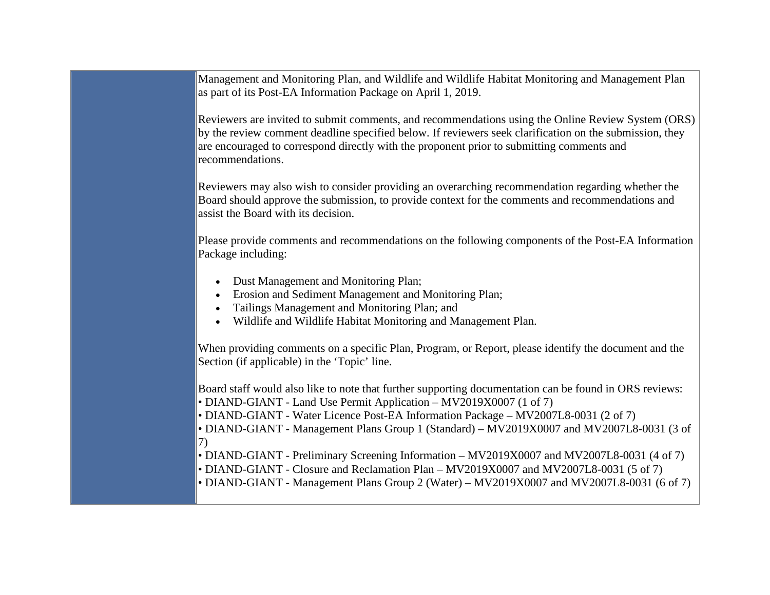Management and Monitoring Plan, and Wildlife and Wildlife Habitat Monitoring and Management Plan as part of its Post-EA Information Package on April 1, 2019.

Reviewers are invited to submit comments, and recommendations using the Online Review System (ORS) by the review comment deadline specified below. If reviewers seek clarification on the submission, they are encouraged to correspond directly with the proponent prior to submitting comments and recommendations.

Reviewers may also wish to consider providing an overarching recommendation regarding whether the Board should approve the submission, to provide context for the comments and recommendations and assist the Board with its decision.

Please provide comments and recommendations on the following components of the Post-EA Information Package including:

- Dust Management and Monitoring Plan;
- Erosion and Sediment Management and Monitoring Plan;
- Tailings Management and Monitoring Plan; and
- Wildlife and Wildlife Habitat Monitoring and Management Plan.

When providing comments on a specific Plan, Program, or Report, please identify the document and the Section (if applicable) in the 'Topic' line.

Board staff would also like to note that further supporting documentation can be found in ORS reviews: • DIAND-GIANT - Land Use Permit Application – MV2019X0007 (1 of 7)

• DIAND-GIANT - Water Licence Post-EA Information Package – MV2007L8-0031 (2 of 7)

• DIAND-GIANT - Management Plans Group 1 (Standard) – MV2019X0007 and MV2007L8-0031 (3 of  $|7\rangle$ 

• DIAND-GIANT - Preliminary Screening Information – MV2019X0007 and MV2007L8-0031 (4 of 7)

• DIAND-GIANT - Closure and Reclamation Plan – MV2019X0007 and MV2007L8-0031 (5 of 7)

• DIAND-GIANT - Management Plans Group 2 (Water) – MV2019X0007 and MV2007L8-0031 (6 of 7)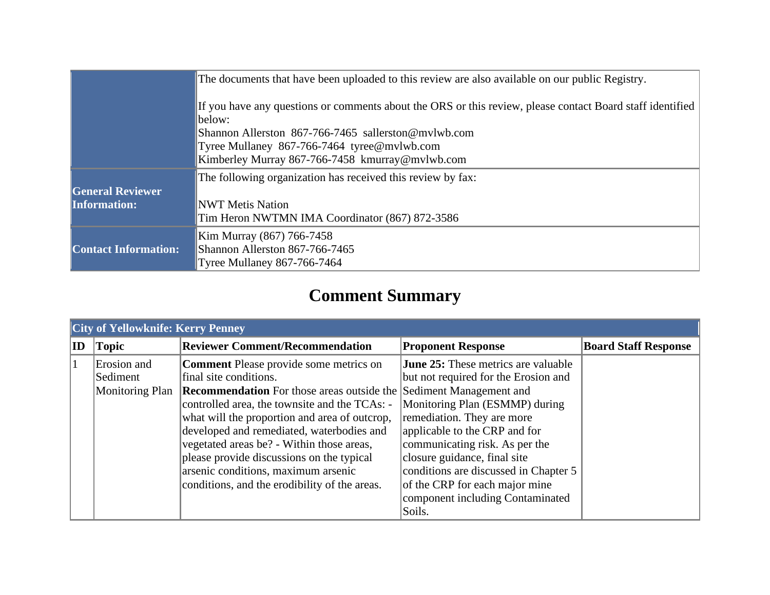|                             | The documents that have been uploaded to this review are also available on our public Registry.           |  |  |
|-----------------------------|-----------------------------------------------------------------------------------------------------------|--|--|
|                             | If you have any questions or comments about the ORS or this review, please contact Board staff identified |  |  |
|                             | below:<br>Shannon Allerston 867-766-7465 sallerston@mvlwb.com                                             |  |  |
|                             | Tyree Mullaney 867-766-7464 tyree@mvlwb.com                                                               |  |  |
|                             | Kimberley Murray 867-766-7458 kmurray@mvlwb.com                                                           |  |  |
|                             | The following organization has received this review by fax:                                               |  |  |
| <b>General Reviewer</b>     |                                                                                                           |  |  |
| <b>Information:</b>         | <b>NWT Metis Nation</b>                                                                                   |  |  |
|                             | Tim Heron NWTMN IMA Coordinator (867) 872-3586                                                            |  |  |
|                             | Kim Murray (867) 766-7458                                                                                 |  |  |
| <b>Contact Information:</b> | Shannon Allerston 867-766-7465                                                                            |  |  |
|                             | <b>Tyree Mullaney 867-766-7464</b>                                                                        |  |  |

## **Comment Summary**

|    | <b>City of Yellowknife: Kerry Penney</b>   |                                                                                                                                                                                                                                                                                                                                                                                                                                                                                       |                                                                                                                                                                                                                                                                                                                                                                                |                             |  |
|----|--------------------------------------------|---------------------------------------------------------------------------------------------------------------------------------------------------------------------------------------------------------------------------------------------------------------------------------------------------------------------------------------------------------------------------------------------------------------------------------------------------------------------------------------|--------------------------------------------------------------------------------------------------------------------------------------------------------------------------------------------------------------------------------------------------------------------------------------------------------------------------------------------------------------------------------|-----------------------------|--|
| ID | Topic                                      | <b>Reviewer Comment/Recommendation</b>                                                                                                                                                                                                                                                                                                                                                                                                                                                | <b>Proponent Response</b>                                                                                                                                                                                                                                                                                                                                                      | <b>Board Staff Response</b> |  |
|    | Erosion and<br>Sediment<br>Monitoring Plan | <b>Comment</b> Please provide some metrics on<br>final site conditions.<br><b>Recommendation</b> For those areas outside the Sediment Management and<br>controlled area, the townsite and the TCAs: -<br>what will the proportion and area of outcrop,<br>developed and remediated, waterbodies and<br>vegetated areas be? - Within those areas,<br>please provide discussions on the typical<br>arsenic conditions, maximum arsenic<br>conditions, and the erodibility of the areas. | <b>June 25:</b> These metrics are valuable<br>but not required for the Erosion and<br>Monitoring Plan (ESMMP) during<br>remediation. They are more<br>applicable to the CRP and for<br>communicating risk. As per the<br>closure guidance, final site<br>conditions are discussed in Chapter 5<br>of the CRP for each major mine<br>component including Contaminated<br>Soils. |                             |  |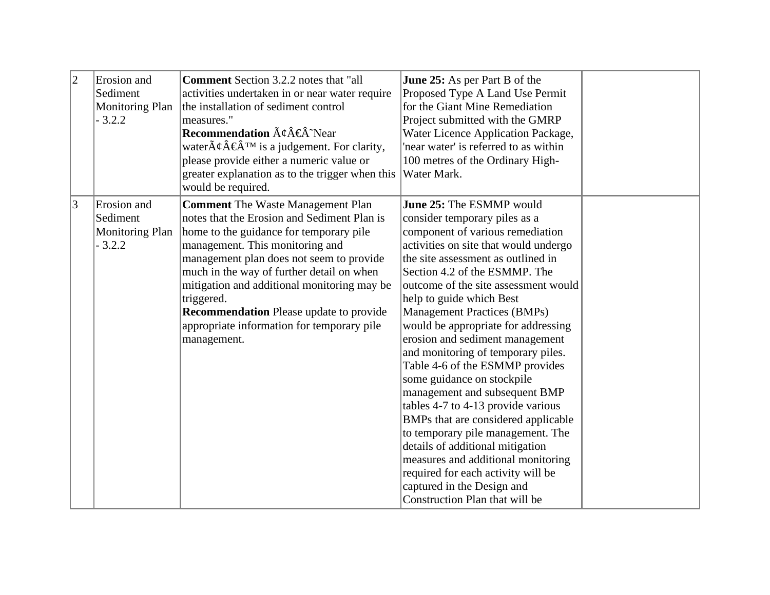| $ 2\rangle$    | Erosion and<br>Sediment<br><b>Monitoring Plan</b><br>$-3.2.2$ | <b>Comment</b> Section 3.2.2 notes that "all<br>activities undertaken in or near water require<br>the installation of sediment control<br>measures."<br><b>Recommendation</b> $\tilde{A}\notin \hat{A}^{\infty}$ Near<br>water $\tilde{A}\phi\hat{A}\overline{\epsilon}\hat{A}^{\text{TM}}$ is a judgement. For clarity,<br>please provide either a numeric value or<br>greater explanation as to the trigger when this<br>would be required. | June 25: As per Part B of the<br>Proposed Type A Land Use Permit<br>for the Giant Mine Remediation<br>Project submitted with the GMRP<br>Water Licence Application Package,<br>'near water' is referred to as within<br>100 metres of the Ordinary High-<br>Water Mark.                                                                                                                                                                                                                                                                                                                                                                                                                                                                                                                                                                     |  |
|----------------|---------------------------------------------------------------|-----------------------------------------------------------------------------------------------------------------------------------------------------------------------------------------------------------------------------------------------------------------------------------------------------------------------------------------------------------------------------------------------------------------------------------------------|---------------------------------------------------------------------------------------------------------------------------------------------------------------------------------------------------------------------------------------------------------------------------------------------------------------------------------------------------------------------------------------------------------------------------------------------------------------------------------------------------------------------------------------------------------------------------------------------------------------------------------------------------------------------------------------------------------------------------------------------------------------------------------------------------------------------------------------------|--|
| $\overline{3}$ | Erosion and<br>Sediment<br><b>Monitoring Plan</b><br>$-3.2.2$ | <b>Comment</b> The Waste Management Plan<br>notes that the Erosion and Sediment Plan is<br>home to the guidance for temporary pile<br>management. This monitoring and<br>management plan does not seem to provide<br>much in the way of further detail on when<br>mitigation and additional monitoring may be<br>triggered.<br><b>Recommendation</b> Please update to provide<br>appropriate information for temporary pile<br>management.    | June 25: The ESMMP would<br>consider temporary piles as a<br>component of various remediation<br>activities on site that would undergo<br>the site assessment as outlined in<br>Section 4.2 of the ESMMP. The<br>outcome of the site assessment would<br>help to guide which Best<br><b>Management Practices (BMPs)</b><br>would be appropriate for addressing<br>erosion and sediment management<br>and monitoring of temporary piles.<br>Table 4-6 of the ESMMP provides<br>some guidance on stockpile<br>management and subsequent BMP<br>tables 4-7 to 4-13 provide various<br>BMPs that are considered applicable<br>to temporary pile management. The<br>details of additional mitigation<br>measures and additional monitoring<br>required for each activity will be<br>captured in the Design and<br>Construction Plan that will be |  |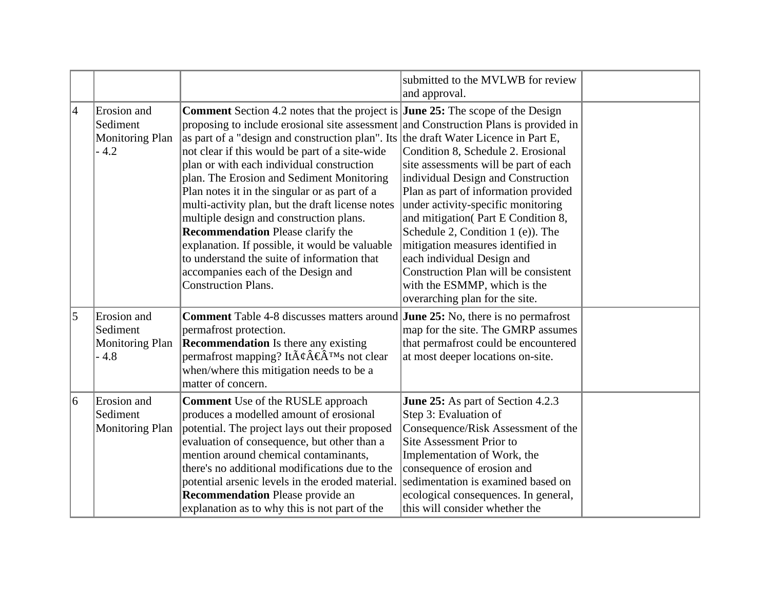|                |                                                             |                                                                                                                                                                                                                                                                                                                                                                                                                                                                                                                                                                                                                                                                                                                                                                                          | submitted to the MVLWB for review<br>and approval.                                                                                                                                                                                                                                                                                                                                                                                                      |  |
|----------------|-------------------------------------------------------------|------------------------------------------------------------------------------------------------------------------------------------------------------------------------------------------------------------------------------------------------------------------------------------------------------------------------------------------------------------------------------------------------------------------------------------------------------------------------------------------------------------------------------------------------------------------------------------------------------------------------------------------------------------------------------------------------------------------------------------------------------------------------------------------|---------------------------------------------------------------------------------------------------------------------------------------------------------------------------------------------------------------------------------------------------------------------------------------------------------------------------------------------------------------------------------------------------------------------------------------------------------|--|
| $\overline{4}$ | Erosion and<br>Sediment<br><b>Monitoring Plan</b><br>$-4.2$ | <b>Comment</b> Section 4.2 notes that the project is <b>June 25:</b> The scope of the Design<br>proposing to include erosional site assessment and Construction Plans is provided in<br>as part of a "design and construction plan". Its the draft Water Licence in Part E,<br>not clear if this would be part of a site-wide<br>plan or with each individual construction<br>plan. The Erosion and Sediment Monitoring<br>Plan notes it in the singular or as part of a<br>multi-activity plan, but the draft license notes<br>multiple design and construction plans.<br><b>Recommendation</b> Please clarify the<br>explanation. If possible, it would be valuable<br>to understand the suite of information that<br>accompanies each of the Design and<br><b>Construction Plans.</b> | Condition 8, Schedule 2. Erosional<br>site assessments will be part of each<br>individual Design and Construction<br>Plan as part of information provided<br>under activity-specific monitoring<br>and mitigation(Part E Condition 8,<br>Schedule 2, Condition 1 (e)). The<br>mitigation measures identified in<br>each individual Design and<br>Construction Plan will be consistent<br>with the ESMMP, which is the<br>overarching plan for the site. |  |
| 5              | Erosion and<br>Sediment<br><b>Monitoring Plan</b><br>$-4.8$ | <b>Comment</b> Table 4-8 discusses matters around <b>June 25:</b> No, there is no permafrost<br>permafrost protection.<br><b>Recommendation</b> Is there any existing<br>permafrost mapping? It $\tilde{A}\phi\hat{A}\phi\hat{A}^{\text{TM}}$ s not clear<br>when/where this mitigation needs to be a<br>matter of concern.                                                                                                                                                                                                                                                                                                                                                                                                                                                              | map for the site. The GMRP assumes<br>that permafrost could be encountered<br>at most deeper locations on-site.                                                                                                                                                                                                                                                                                                                                         |  |
| 6              | Erosion and<br>Sediment<br><b>Monitoring Plan</b>           | <b>Comment</b> Use of the RUSLE approach<br>produces a modelled amount of erosional<br>potential. The project lays out their proposed<br>evaluation of consequence, but other than a<br>mention around chemical contaminants,<br>there's no additional modifications due to the<br>potential arsenic levels in the eroded material.<br><b>Recommendation</b> Please provide an<br>explanation as to why this is not part of the                                                                                                                                                                                                                                                                                                                                                          | June 25: As part of Section 4.2.3<br>Step 3: Evaluation of<br>Consequence/Risk Assessment of the<br>Site Assessment Prior to<br>Implementation of Work, the<br>consequence of erosion and<br>sedimentation is examined based on<br>ecological consequences. In general,<br>this will consider whether the                                                                                                                                               |  |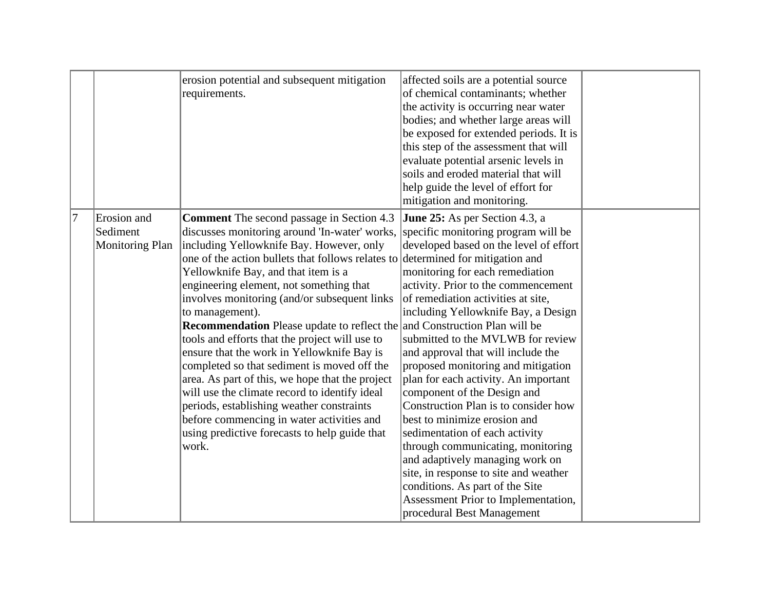|                |                                       | erosion potential and subsequent mitigation<br>requirements.                                                                                                                                                                                                                                                                                                                                                                                                                                                                                                                                                                                                                                                                                                                                                                                        | affected soils are a potential source<br>of chemical contaminants; whether<br>the activity is occurring near water<br>bodies; and whether large areas will<br>be exposed for extended periods. It is<br>this step of the assessment that will<br>evaluate potential arsenic levels in<br>soils and eroded material that will<br>help guide the level of effort for<br>mitigation and monitoring.                                                                                                                                                                                                                                                                                                                                                                                                                                          |  |
|----------------|---------------------------------------|-----------------------------------------------------------------------------------------------------------------------------------------------------------------------------------------------------------------------------------------------------------------------------------------------------------------------------------------------------------------------------------------------------------------------------------------------------------------------------------------------------------------------------------------------------------------------------------------------------------------------------------------------------------------------------------------------------------------------------------------------------------------------------------------------------------------------------------------------------|-------------------------------------------------------------------------------------------------------------------------------------------------------------------------------------------------------------------------------------------------------------------------------------------------------------------------------------------------------------------------------------------------------------------------------------------------------------------------------------------------------------------------------------------------------------------------------------------------------------------------------------------------------------------------------------------------------------------------------------------------------------------------------------------------------------------------------------------|--|
| 17<br>Sediment | Erosion and<br><b>Monitoring Plan</b> | <b>Comment</b> The second passage in Section 4.3<br>discusses monitoring around 'In-water' works,<br>including Yellowknife Bay. However, only<br>one of the action bullets that follows relates to<br>Yellowknife Bay, and that item is a<br>engineering element, not something that<br>involves monitoring (and/or subsequent links)<br>to management).<br><b>Recommendation</b> Please update to reflect the and Construction Plan will be<br>tools and efforts that the project will use to<br>ensure that the work in Yellowknife Bay is<br>completed so that sediment is moved off the<br>area. As part of this, we hope that the project<br>will use the climate record to identify ideal<br>periods, establishing weather constraints<br>before commencing in water activities and<br>using predictive forecasts to help guide that<br>work. | <b>June 25:</b> As per Section 4.3, a<br>specific monitoring program will be<br>developed based on the level of effort<br>determined for mitigation and<br>monitoring for each remediation<br>activity. Prior to the commencement<br>of remediation activities at site,<br>including Yellowknife Bay, a Design<br>submitted to the MVLWB for review<br>and approval that will include the<br>proposed monitoring and mitigation<br>plan for each activity. An important<br>component of the Design and<br>Construction Plan is to consider how<br>best to minimize erosion and<br>sedimentation of each activity<br>through communicating, monitoring<br>and adaptively managing work on<br>site, in response to site and weather<br>conditions. As part of the Site<br>Assessment Prior to Implementation,<br>procedural Best Management |  |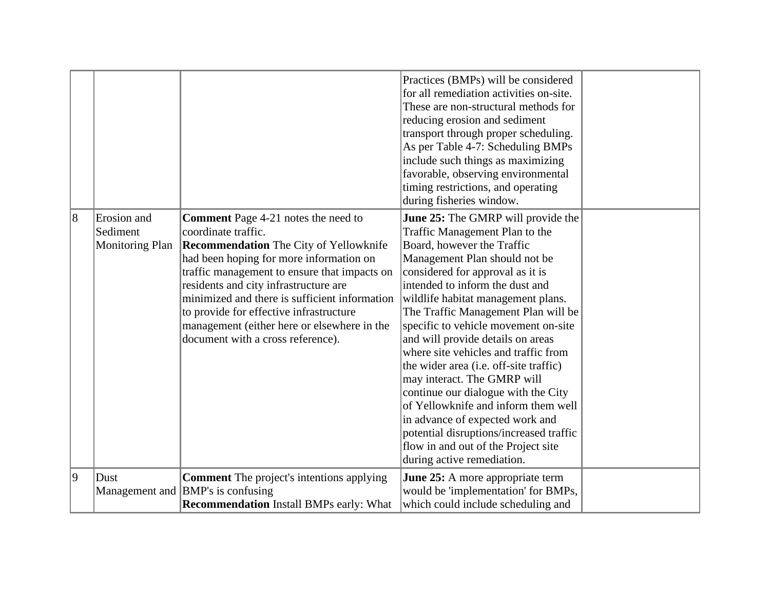|                |                        |                                                  | Practices (BMPs) will be considered<br>for all remediation activities on-site. |  |
|----------------|------------------------|--------------------------------------------------|--------------------------------------------------------------------------------|--|
|                |                        |                                                  | These are non-structural methods for                                           |  |
|                |                        |                                                  | reducing erosion and sediment                                                  |  |
|                |                        |                                                  | transport through proper scheduling.                                           |  |
|                |                        |                                                  | As per Table 4-7: Scheduling BMPs                                              |  |
|                |                        |                                                  | include such things as maximizing                                              |  |
|                |                        |                                                  | favorable, observing environmental                                             |  |
|                |                        |                                                  | timing restrictions, and operating                                             |  |
|                |                        |                                                  | during fisheries window.                                                       |  |
| $\overline{8}$ | Erosion and            | <b>Comment</b> Page 4-21 notes the need to       | <b>June 25:</b> The GMRP will provide the                                      |  |
|                | Sediment               | coordinate traffic.                              | Traffic Management Plan to the                                                 |  |
|                | <b>Monitoring Plan</b> | <b>Recommendation</b> The City of Yellowknife    | Board, however the Traffic                                                     |  |
|                |                        | had been hoping for more information on          | Management Plan should not be                                                  |  |
|                |                        | traffic management to ensure that impacts on     | considered for approval as it is                                               |  |
|                |                        | residents and city infrastructure are            | intended to inform the dust and                                                |  |
|                |                        | minimized and there is sufficient information    | wildlife habitat management plans.                                             |  |
|                |                        | to provide for effective infrastructure          | The Traffic Management Plan will be                                            |  |
|                |                        | management (either here or elsewhere in the      | specific to vehicle movement on-site                                           |  |
|                |                        | document with a cross reference).                | and will provide details on areas                                              |  |
|                |                        |                                                  | where site vehicles and traffic from                                           |  |
|                |                        |                                                  | the wider area (i.e. off-site traffic)                                         |  |
|                |                        |                                                  | may interact. The GMRP will                                                    |  |
|                |                        |                                                  | continue our dialogue with the City                                            |  |
|                |                        |                                                  | of Yellowknife and inform them well                                            |  |
|                |                        |                                                  | in advance of expected work and                                                |  |
|                |                        |                                                  | potential disruptions/increased traffic                                        |  |
|                |                        |                                                  | flow in and out of the Project site                                            |  |
|                |                        |                                                  | during active remediation.                                                     |  |
| 9              | Dust                   | <b>Comment</b> The project's intentions applying | <b>June 25:</b> A more appropriate term                                        |  |
|                | Management and         | <b>BMP</b> 's is confusing                       | would be 'implementation' for BMPs,                                            |  |
|                |                        | <b>Recommendation</b> Install BMPs early: What   | which could include scheduling and                                             |  |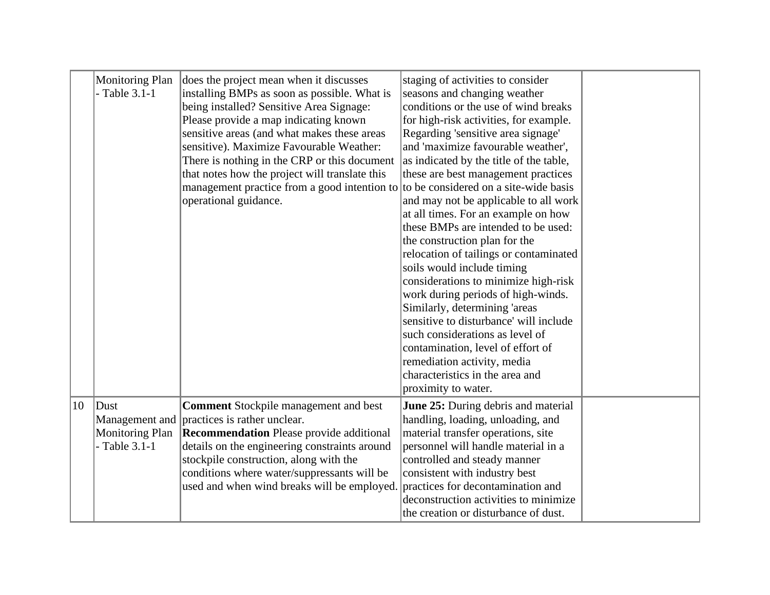|              | Monitoring Plan<br>- Table $3.1-1$               | does the project mean when it discusses<br>installing BMPs as soon as possible. What is<br>being installed? Sensitive Area Signage:<br>Please provide a map indicating known<br>sensitive areas (and what makes these areas<br>sensitive). Maximize Favourable Weather:<br>There is nothing in the CRP or this document<br>that notes how the project will translate this<br>management practice from a good intention to to be considered on a site-wide basis<br>operational guidance. | staging of activities to consider<br>seasons and changing weather<br>conditions or the use of wind breaks<br>for high-risk activities, for example.<br>Regarding 'sensitive area signage'<br>and 'maximize favourable weather',<br>as indicated by the title of the table,<br>these are best management practices<br>and may not be applicable to all work<br>at all times. For an example on how<br>these BMPs are intended to be used:<br>the construction plan for the<br>relocation of tailings or contaminated<br>soils would include timing<br>considerations to minimize high-risk<br>work during periods of high-winds.<br>Similarly, determining 'areas<br>sensitive to disturbance' will include<br>such considerations as level of<br>contamination, level of effort of<br>remediation activity, media<br>characteristics in the area and |  |
|--------------|--------------------------------------------------|------------------------------------------------------------------------------------------------------------------------------------------------------------------------------------------------------------------------------------------------------------------------------------------------------------------------------------------------------------------------------------------------------------------------------------------------------------------------------------------|------------------------------------------------------------------------------------------------------------------------------------------------------------------------------------------------------------------------------------------------------------------------------------------------------------------------------------------------------------------------------------------------------------------------------------------------------------------------------------------------------------------------------------------------------------------------------------------------------------------------------------------------------------------------------------------------------------------------------------------------------------------------------------------------------------------------------------------------------|--|
|              |                                                  |                                                                                                                                                                                                                                                                                                                                                                                                                                                                                          | proximity to water.                                                                                                                                                                                                                                                                                                                                                                                                                                                                                                                                                                                                                                                                                                                                                                                                                                  |  |
| $ 10\rangle$ | Dust<br><b>Monitoring Plan</b><br>$-Table 3.1-1$ | <b>Comment</b> Stockpile management and best<br>Management and <i>practices</i> is rather unclear.<br><b>Recommendation</b> Please provide additional<br>details on the engineering constraints around<br>stockpile construction, along with the<br>conditions where water/suppressants will be<br>used and when wind breaks will be employed.                                                                                                                                           | June 25: During debris and material<br>handling, loading, unloading, and<br>material transfer operations, site<br>personnel will handle material in a<br>controlled and steady manner<br>consistent with industry best<br>practices for decontamination and<br>deconstruction activities to minimize<br>the creation or disturbance of dust.                                                                                                                                                                                                                                                                                                                                                                                                                                                                                                         |  |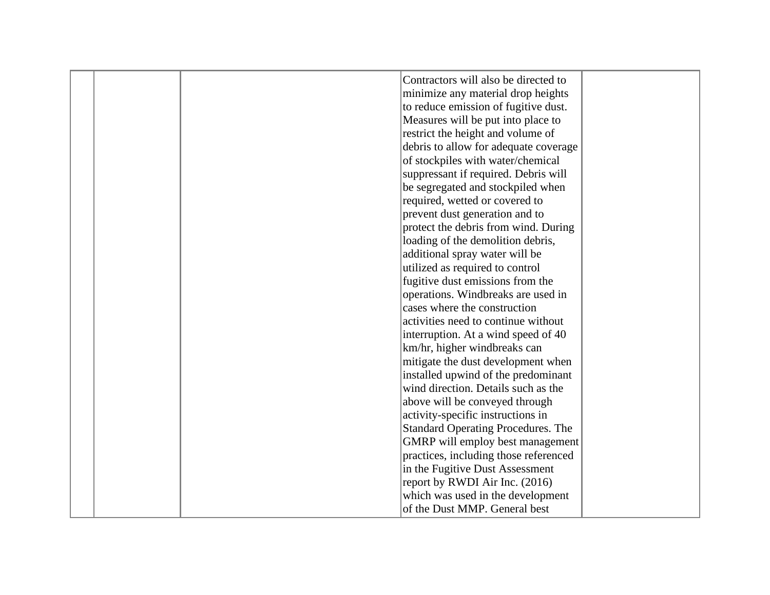|  | Contractors will also be directed to      |  |
|--|-------------------------------------------|--|
|  | minimize any material drop heights        |  |
|  | to reduce emission of fugitive dust.      |  |
|  | Measures will be put into place to        |  |
|  | restrict the height and volume of         |  |
|  | debris to allow for adequate coverage     |  |
|  | of stockpiles with water/chemical         |  |
|  | suppressant if required. Debris will      |  |
|  | be segregated and stockpiled when         |  |
|  | required, wetted or covered to            |  |
|  | prevent dust generation and to            |  |
|  | protect the debris from wind. During      |  |
|  | loading of the demolition debris,         |  |
|  | additional spray water will be            |  |
|  | utilized as required to control           |  |
|  | fugitive dust emissions from the          |  |
|  | operations. Windbreaks are used in        |  |
|  | cases where the construction              |  |
|  | activities need to continue without       |  |
|  | interruption. At a wind speed of 40       |  |
|  | km/hr, higher windbreaks can              |  |
|  | mitigate the dust development when        |  |
|  | installed upwind of the predominant       |  |
|  | wind direction. Details such as the       |  |
|  | above will be conveyed through            |  |
|  | activity-specific instructions in         |  |
|  | <b>Standard Operating Procedures. The</b> |  |
|  | GMRP will employ best management          |  |
|  | practices, including those referenced     |  |
|  | in the Fugitive Dust Assessment           |  |
|  | report by RWDI Air Inc. (2016)            |  |
|  | which was used in the development         |  |
|  | of the Dust MMP. General best             |  |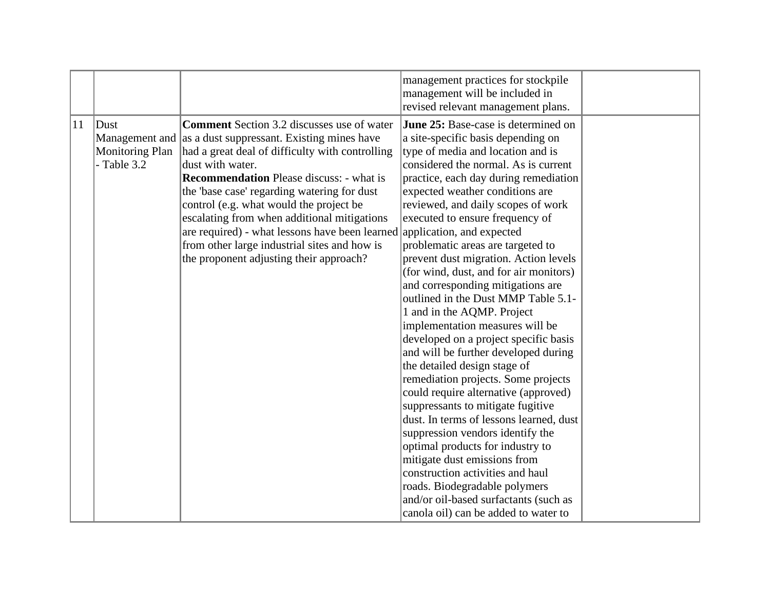|    |                                                   |                                                                                                                                                                                                                                                                                                                                                                                                                                                                                                                                                          | management practices for stockpile<br>management will be included in<br>revised relevant management plans.                                                                                                                                                                                                                                                                                                                                                                                                                                                                                                                                                                                                                                                                                                                                                                                                                                                                                                                                                                                                                     |  |
|----|---------------------------------------------------|----------------------------------------------------------------------------------------------------------------------------------------------------------------------------------------------------------------------------------------------------------------------------------------------------------------------------------------------------------------------------------------------------------------------------------------------------------------------------------------------------------------------------------------------------------|--------------------------------------------------------------------------------------------------------------------------------------------------------------------------------------------------------------------------------------------------------------------------------------------------------------------------------------------------------------------------------------------------------------------------------------------------------------------------------------------------------------------------------------------------------------------------------------------------------------------------------------------------------------------------------------------------------------------------------------------------------------------------------------------------------------------------------------------------------------------------------------------------------------------------------------------------------------------------------------------------------------------------------------------------------------------------------------------------------------------------------|--|
| 11 | $ $ Dust<br><b>Monitoring Plan</b><br>- Table 3.2 | <b>Comment</b> Section 3.2 discusses use of water<br>Management and as a dust suppressant. Existing mines have<br>had a great deal of difficulty with controlling<br>dust with water.<br><b>Recommendation</b> Please discuss: - what is<br>the 'base case' regarding watering for dust<br>control (e.g. what would the project be<br>escalating from when additional mitigations<br>are required) - what lessons have been learned application, and expected<br>from other large industrial sites and how is<br>the proponent adjusting their approach? | June 25: Base-case is determined on<br>a site-specific basis depending on<br>type of media and location and is<br>considered the normal. As is current<br>practice, each day during remediation<br>expected weather conditions are<br>reviewed, and daily scopes of work<br>executed to ensure frequency of<br>problematic areas are targeted to<br>prevent dust migration. Action levels<br>(for wind, dust, and for air monitors)<br>and corresponding mitigations are<br>outlined in the Dust MMP Table 5.1-<br>1 and in the AQMP. Project<br>implementation measures will be<br>developed on a project specific basis<br>and will be further developed during<br>the detailed design stage of<br>remediation projects. Some projects<br>could require alternative (approved)<br>suppressants to mitigate fugitive<br>dust. In terms of lessons learned, dust<br>suppression vendors identify the<br>optimal products for industry to<br>mitigate dust emissions from<br>construction activities and haul<br>roads. Biodegradable polymers<br>and/or oil-based surfactants (such as<br>canola oil) can be added to water to |  |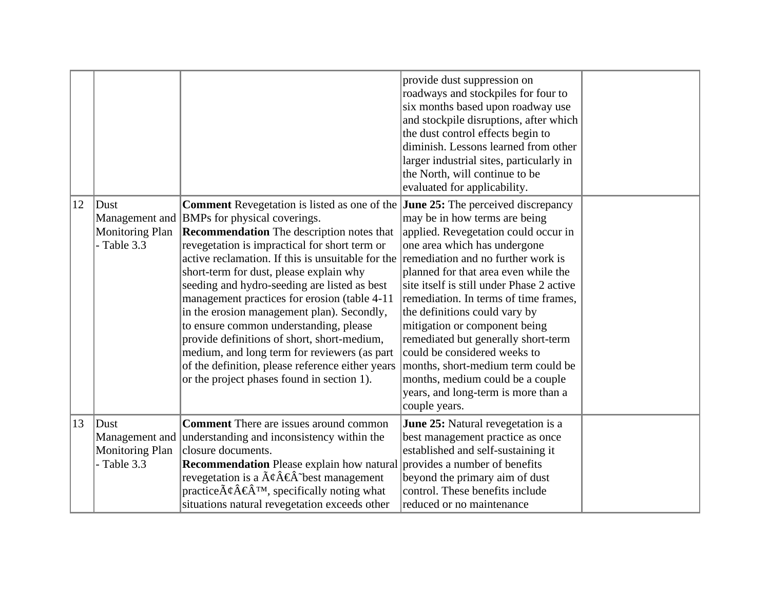|    |                                          |                                                                                                                                                                                                                                                                                                                                                                                                                                                                                                                                                                                                                                                                                                                                            | provide dust suppression on<br>roadways and stockpiles for four to<br>six months based upon roadway use<br>and stockpile disruptions, after which<br>the dust control effects begin to<br>diminish. Lessons learned from other<br>larger industrial sites, particularly in<br>the North, will continue to be                                                                                                                                                                                                                                         |  |
|----|------------------------------------------|--------------------------------------------------------------------------------------------------------------------------------------------------------------------------------------------------------------------------------------------------------------------------------------------------------------------------------------------------------------------------------------------------------------------------------------------------------------------------------------------------------------------------------------------------------------------------------------------------------------------------------------------------------------------------------------------------------------------------------------------|------------------------------------------------------------------------------------------------------------------------------------------------------------------------------------------------------------------------------------------------------------------------------------------------------------------------------------------------------------------------------------------------------------------------------------------------------------------------------------------------------------------------------------------------------|--|
|    |                                          |                                                                                                                                                                                                                                                                                                                                                                                                                                                                                                                                                                                                                                                                                                                                            | evaluated for applicability.                                                                                                                                                                                                                                                                                                                                                                                                                                                                                                                         |  |
| 12 | $ $ Dust<br>Monitoring Plan<br>Table 3.3 | <b>Comment</b> Revegetation is listed as one of the <b>June 25:</b> The perceived discrepancy<br>Management and BMPs for physical coverings.<br><b>Recommendation</b> The description notes that<br>revegetation is impractical for short term or<br>active reclamation. If this is unsuitable for the<br>short-term for dust, please explain why<br>seeding and hydro-seeding are listed as best<br>management practices for erosion (table 4-11<br>in the erosion management plan). Secondly,<br>to ensure common understanding, please<br>provide definitions of short, short-medium,<br>medium, and long term for reviewers (as part<br>of the definition, please reference either years<br>or the project phases found in section 1). | may be in how terms are being<br>applied. Revegetation could occur in<br>one area which has undergone<br>remediation and no further work is<br>planned for that area even while the<br>site itself is still under Phase 2 active<br>remediation. In terms of time frames,<br>the definitions could vary by<br>mitigation or component being<br>remediated but generally short-term<br>could be considered weeks to<br>months, short-medium term could be<br>months, medium could be a couple<br>years, and long-term is more than a<br>couple years. |  |
| 13 | $ $ Dust<br><b>Monitoring Plan</b>       | <b>Comment</b> There are issues around common<br>Management and understanding and inconsistency within the<br>closure documents.                                                                                                                                                                                                                                                                                                                                                                                                                                                                                                                                                                                                           | June 25: Natural revegetation is a<br>best management practice as once<br>established and self-sustaining it                                                                                                                                                                                                                                                                                                                                                                                                                                         |  |
|    | - Table 3.3                              | <b>Recommendation</b> Please explain how natural<br>revegetation is a $\tilde{A}\xi \hat{A} \xi \hat{A}$ best management<br>practice $\tilde{A}\xi \hat{A} \in \hat{A}^{TM}$ , specifically noting what<br>situations natural revegetation exceeds other                                                                                                                                                                                                                                                                                                                                                                                                                                                                                   | provides a number of benefits<br>beyond the primary aim of dust<br>control. These benefits include<br>reduced or no maintenance                                                                                                                                                                                                                                                                                                                                                                                                                      |  |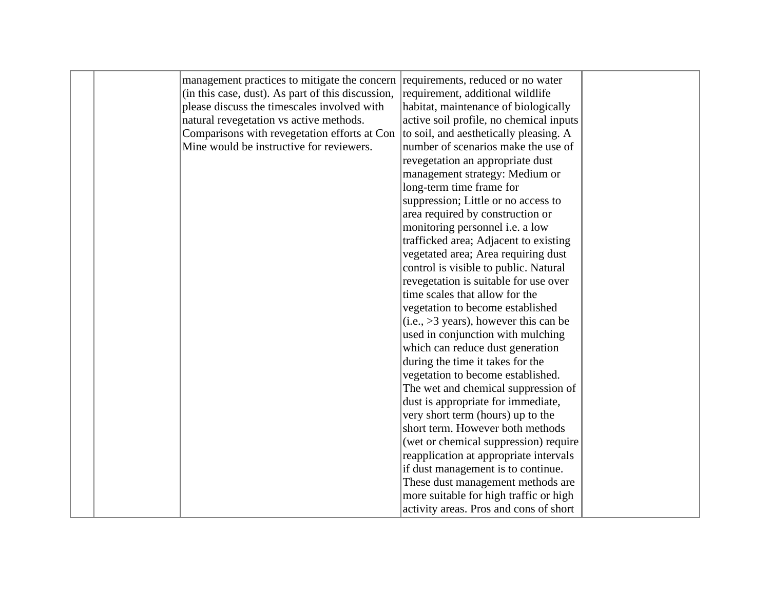|  | management practices to mitigate the concern requirements, reduced or no water              |                                          |  |
|--|---------------------------------------------------------------------------------------------|------------------------------------------|--|
|  | (in this case, dust). As part of this discussion,                                           | requirement, additional wildlife         |  |
|  | please discuss the timescales involved with                                                 | habitat, maintenance of biologically     |  |
|  | natural revegetation vs active methods.                                                     | active soil profile, no chemical inputs  |  |
|  | Comparisons with revegetation efforts at Con $\vert$ to soil, and aesthetically pleasing. A |                                          |  |
|  | Mine would be instructive for reviewers.                                                    | number of scenarios make the use of      |  |
|  |                                                                                             | revegetation an appropriate dust         |  |
|  |                                                                                             | management strategy: Medium or           |  |
|  |                                                                                             | long-term time frame for                 |  |
|  |                                                                                             | suppression; Little or no access to      |  |
|  |                                                                                             | area required by construction or         |  |
|  |                                                                                             | monitoring personnel i.e. a low          |  |
|  |                                                                                             | trafficked area; Adjacent to existing    |  |
|  |                                                                                             | vegetated area; Area requiring dust      |  |
|  |                                                                                             | control is visible to public. Natural    |  |
|  |                                                                                             | revegetation is suitable for use over    |  |
|  |                                                                                             | time scales that allow for the           |  |
|  |                                                                                             | vegetation to become established         |  |
|  |                                                                                             | $(i.e., >3 years)$ , however this can be |  |
|  |                                                                                             | used in conjunction with mulching        |  |
|  |                                                                                             | which can reduce dust generation         |  |
|  |                                                                                             | during the time it takes for the         |  |
|  |                                                                                             | vegetation to become established.        |  |
|  |                                                                                             | The wet and chemical suppression of      |  |
|  |                                                                                             | dust is appropriate for immediate,       |  |
|  |                                                                                             | very short term (hours) up to the        |  |
|  |                                                                                             | short term. However both methods         |  |
|  |                                                                                             | (wet or chemical suppression) require    |  |
|  |                                                                                             | reapplication at appropriate intervals   |  |
|  |                                                                                             | if dust management is to continue.       |  |
|  |                                                                                             | These dust management methods are        |  |
|  |                                                                                             | more suitable for high traffic or high   |  |
|  |                                                                                             | activity areas. Pros and cons of short   |  |
|  |                                                                                             |                                          |  |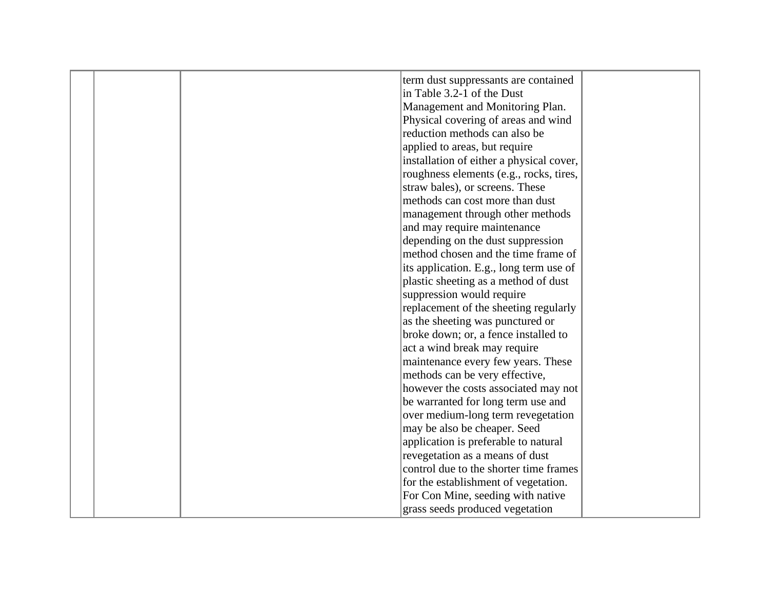|  | term dust suppressants are contained     |  |
|--|------------------------------------------|--|
|  | in Table 3.2-1 of the Dust               |  |
|  | Management and Monitoring Plan.          |  |
|  | Physical covering of areas and wind      |  |
|  | reduction methods can also be            |  |
|  | applied to areas, but require            |  |
|  | installation of either a physical cover, |  |
|  | roughness elements (e.g., rocks, tires,  |  |
|  | straw bales), or screens. These          |  |
|  | methods can cost more than dust          |  |
|  | management through other methods         |  |
|  | and may require maintenance              |  |
|  | depending on the dust suppression        |  |
|  | method chosen and the time frame of      |  |
|  | its application. E.g., long term use of  |  |
|  | plastic sheeting as a method of dust     |  |
|  | suppression would require                |  |
|  | replacement of the sheeting regularly    |  |
|  | as the sheeting was punctured or         |  |
|  | broke down; or, a fence installed to     |  |
|  | act a wind break may require             |  |
|  | maintenance every few years. These       |  |
|  | methods can be very effective,           |  |
|  | however the costs associated may not     |  |
|  | be warranted for long term use and       |  |
|  | over medium-long term revegetation       |  |
|  | may be also be cheaper. Seed             |  |
|  | application is preferable to natural     |  |
|  | revegetation as a means of dust          |  |
|  | control due to the shorter time frames   |  |
|  | for the establishment of vegetation.     |  |
|  |                                          |  |
|  | For Con Mine, seeding with native        |  |
|  | grass seeds produced vegetation          |  |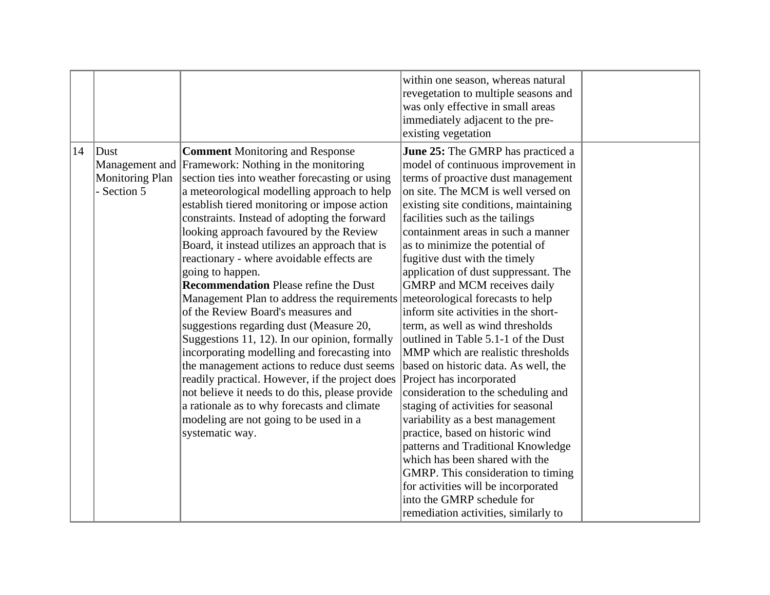|    |                                                 |                                                                                                                                                                                                                                                                                                                                                                                                                                                                                                                                                                                                                                                                                                                                                                                                                                                                                                                                                                                                                                                 | within one season, whereas natural<br>revegetation to multiple seasons and<br>was only effective in small areas<br>immediately adjacent to the pre-<br>existing vegetation                                                                                                                                                                                                                                                                                                                                                                                                                                                                                                                                                                                                                                                                                                                                                                                                                                                                  |  |
|----|-------------------------------------------------|-------------------------------------------------------------------------------------------------------------------------------------------------------------------------------------------------------------------------------------------------------------------------------------------------------------------------------------------------------------------------------------------------------------------------------------------------------------------------------------------------------------------------------------------------------------------------------------------------------------------------------------------------------------------------------------------------------------------------------------------------------------------------------------------------------------------------------------------------------------------------------------------------------------------------------------------------------------------------------------------------------------------------------------------------|---------------------------------------------------------------------------------------------------------------------------------------------------------------------------------------------------------------------------------------------------------------------------------------------------------------------------------------------------------------------------------------------------------------------------------------------------------------------------------------------------------------------------------------------------------------------------------------------------------------------------------------------------------------------------------------------------------------------------------------------------------------------------------------------------------------------------------------------------------------------------------------------------------------------------------------------------------------------------------------------------------------------------------------------|--|
| 14 | $ $ Dust<br><b>Monitoring Plan</b><br>Section 5 | <b>Comment Monitoring and Response</b><br>Management and Framework: Nothing in the monitoring<br>section ties into weather forecasting or using<br>a meteorological modelling approach to help<br>establish tiered monitoring or impose action<br>constraints. Instead of adopting the forward<br>looking approach favoured by the Review<br>Board, it instead utilizes an approach that is<br>reactionary - where avoidable effects are<br>going to happen.<br><b>Recommendation Please refine the Dust</b><br>Management Plan to address the requirements meteorological forecasts to help<br>of the Review Board's measures and<br>suggestions regarding dust (Measure 20,<br>Suggestions 11, 12). In our opinion, formally<br>incorporating modelling and forecasting into<br>the management actions to reduce dust seems<br>readily practical. However, if the project does<br>not believe it needs to do this, please provide<br>a rationale as to why forecasts and climate<br>modeling are not going to be used in a<br>systematic way. | <b>June 25:</b> The GMRP has practiced a<br>model of continuous improvement in<br>terms of proactive dust management<br>on site. The MCM is well versed on<br>existing site conditions, maintaining<br>facilities such as the tailings<br>containment areas in such a manner<br>as to minimize the potential of<br>fugitive dust with the timely<br>application of dust suppressant. The<br><b>GMRP</b> and MCM receives daily<br>inform site activities in the short-<br>term, as well as wind thresholds<br>outlined in Table 5.1-1 of the Dust<br>MMP which are realistic thresholds<br>based on historic data. As well, the<br>Project has incorporated<br>consideration to the scheduling and<br>staging of activities for seasonal<br>variability as a best management<br>practice, based on historic wind<br>patterns and Traditional Knowledge<br>which has been shared with the<br>GMRP. This consideration to timing<br>for activities will be incorporated<br>into the GMRP schedule for<br>remediation activities, similarly to |  |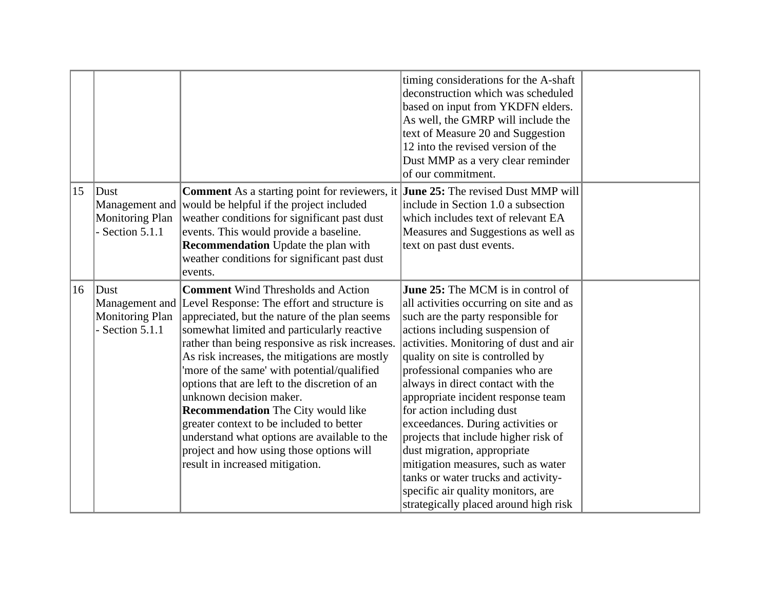| 15 | $ $ Dust<br><b>Monitoring Plan</b><br>Section 5.1.1 | <b>Comment</b> As a starting point for reviewers, it <b>June 25:</b> The revised Dust MMP will<br>Management and would be helpful if the project included<br>weather conditions for significant past dust<br>events. This would provide a baseline.<br><b>Recommendation</b> Update the plan with<br>weather conditions for significant past dust<br>events. | timing considerations for the A-shaft<br>deconstruction which was scheduled<br>based on input from YKDFN elders.<br>As well, the GMRP will include the<br>text of Measure 20 and Suggestion<br>12 into the revised version of the<br>Dust MMP as a very clear reminder<br>of our commitment.<br>include in Section 1.0 a subsection<br>which includes text of relevant EA<br>Measures and Suggestions as well as<br>text on past dust events. |  |
|----|-----------------------------------------------------|--------------------------------------------------------------------------------------------------------------------------------------------------------------------------------------------------------------------------------------------------------------------------------------------------------------------------------------------------------------|-----------------------------------------------------------------------------------------------------------------------------------------------------------------------------------------------------------------------------------------------------------------------------------------------------------------------------------------------------------------------------------------------------------------------------------------------|--|
| 16 | $ $ Dust                                            | <b>Comment Wind Thresholds and Action</b>                                                                                                                                                                                                                                                                                                                    | <b>June 25:</b> The MCM is in control of                                                                                                                                                                                                                                                                                                                                                                                                      |  |
|    |                                                     | Management and Level Response: The effort and structure is                                                                                                                                                                                                                                                                                                   | all activities occurring on site and as                                                                                                                                                                                                                                                                                                                                                                                                       |  |
|    | <b>Monitoring Plan</b>                              | appreciated, but the nature of the plan seems                                                                                                                                                                                                                                                                                                                | such are the party responsible for                                                                                                                                                                                                                                                                                                                                                                                                            |  |
|    | Section 5.1.1                                       | somewhat limited and particularly reactive                                                                                                                                                                                                                                                                                                                   | actions including suspension of                                                                                                                                                                                                                                                                                                                                                                                                               |  |
|    |                                                     | rather than being responsive as risk increases.                                                                                                                                                                                                                                                                                                              | activities. Monitoring of dust and air                                                                                                                                                                                                                                                                                                                                                                                                        |  |
|    |                                                     | As risk increases, the mitigations are mostly                                                                                                                                                                                                                                                                                                                | quality on site is controlled by                                                                                                                                                                                                                                                                                                                                                                                                              |  |
|    |                                                     | 'more of the same' with potential/qualified                                                                                                                                                                                                                                                                                                                  | professional companies who are                                                                                                                                                                                                                                                                                                                                                                                                                |  |
|    |                                                     | options that are left to the discretion of an                                                                                                                                                                                                                                                                                                                | always in direct contact with the                                                                                                                                                                                                                                                                                                                                                                                                             |  |
|    |                                                     | unknown decision maker.                                                                                                                                                                                                                                                                                                                                      | appropriate incident response team                                                                                                                                                                                                                                                                                                                                                                                                            |  |
|    |                                                     | <b>Recommendation</b> The City would like                                                                                                                                                                                                                                                                                                                    | for action including dust                                                                                                                                                                                                                                                                                                                                                                                                                     |  |
|    |                                                     | greater context to be included to better                                                                                                                                                                                                                                                                                                                     | exceedances. During activities or                                                                                                                                                                                                                                                                                                                                                                                                             |  |
|    |                                                     | understand what options are available to the                                                                                                                                                                                                                                                                                                                 | projects that include higher risk of                                                                                                                                                                                                                                                                                                                                                                                                          |  |
|    |                                                     | project and how using those options will                                                                                                                                                                                                                                                                                                                     | dust migration, appropriate                                                                                                                                                                                                                                                                                                                                                                                                                   |  |
|    |                                                     | result in increased mitigation.                                                                                                                                                                                                                                                                                                                              | mitigation measures, such as water                                                                                                                                                                                                                                                                                                                                                                                                            |  |
|    |                                                     |                                                                                                                                                                                                                                                                                                                                                              | tanks or water trucks and activity-                                                                                                                                                                                                                                                                                                                                                                                                           |  |
|    |                                                     |                                                                                                                                                                                                                                                                                                                                                              | specific air quality monitors, are                                                                                                                                                                                                                                                                                                                                                                                                            |  |
|    |                                                     |                                                                                                                                                                                                                                                                                                                                                              | strategically placed around high risk                                                                                                                                                                                                                                                                                                                                                                                                         |  |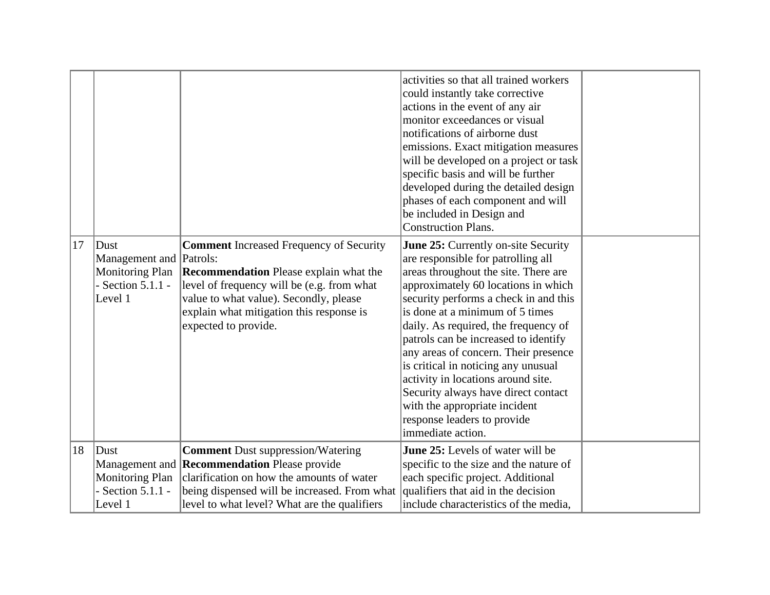|    |                           |                                                     | activities so that all trained workers  |  |
|----|---------------------------|-----------------------------------------------------|-----------------------------------------|--|
|    |                           |                                                     | could instantly take corrective         |  |
|    |                           |                                                     | actions in the event of any air         |  |
|    |                           |                                                     | monitor exceedances or visual           |  |
|    |                           |                                                     | notifications of airborne dust          |  |
|    |                           |                                                     | emissions. Exact mitigation measures    |  |
|    |                           |                                                     | will be developed on a project or task  |  |
|    |                           |                                                     | specific basis and will be further      |  |
|    |                           |                                                     | developed during the detailed design    |  |
|    |                           |                                                     | phases of each component and will       |  |
|    |                           |                                                     | be included in Design and               |  |
|    |                           |                                                     | Construction Plans.                     |  |
| 17 | $ $ Dust                  | <b>Comment Increased Frequency of Security</b>      | June 25: Currently on-site Security     |  |
|    | Management and   Patrols: |                                                     | are responsible for patrolling all      |  |
|    | <b>Monitoring Plan</b>    | <b>Recommendation</b> Please explain what the       | areas throughout the site. There are    |  |
|    | Section $5.1.1$ -         | level of frequency will be (e.g. from what          | approximately 60 locations in which     |  |
|    | Level 1                   | value to what value). Secondly, please              | security performs a check in and this   |  |
|    |                           | explain what mitigation this response is            | is done at a minimum of 5 times         |  |
|    |                           | expected to provide.                                | daily. As required, the frequency of    |  |
|    |                           |                                                     | patrols can be increased to identify    |  |
|    |                           |                                                     | any areas of concern. Their presence    |  |
|    |                           |                                                     | is critical in noticing any unusual     |  |
|    |                           |                                                     | activity in locations around site.      |  |
|    |                           |                                                     | Security always have direct contact     |  |
|    |                           |                                                     | with the appropriate incident           |  |
|    |                           |                                                     | response leaders to provide             |  |
|    |                           |                                                     | immediate action.                       |  |
| 18 | Dust                      | <b>Comment</b> Dust suppression/Watering            | <b>June 25:</b> Levels of water will be |  |
|    |                           | Management and <b>Recommendation</b> Please provide | specific to the size and the nature of  |  |
|    | <b>Monitoring Plan</b>    | clarification on how the amounts of water           | each specific project. Additional       |  |
|    | Section 5.1.1 -           | being dispensed will be increased. From what        | qualifiers that aid in the decision     |  |
|    | Level 1                   | level to what level? What are the qualifiers        | include characteristics of the media,   |  |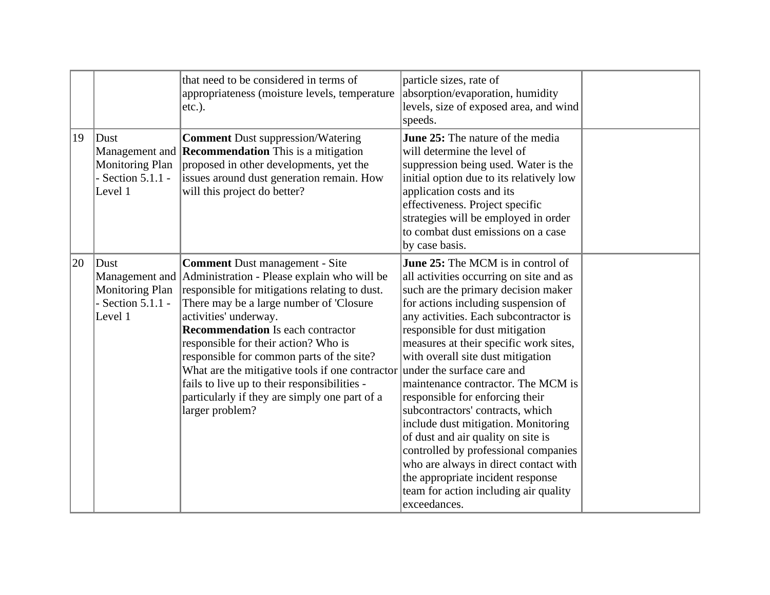|    |                                                                    | that need to be considered in terms of<br>appropriateness (moisture levels, temperature<br>$ etc.$ ).                                                                                                                                                                                                                                                                                                                                                                                                                                                        | particle sizes, rate of<br>absorption/evaporation, humidity<br>levels, size of exposed area, and wind<br>speeds.                                                                                                                                                                                                                                                                                                                                                                                                                                                                                                                                                                                      |  |
|----|--------------------------------------------------------------------|--------------------------------------------------------------------------------------------------------------------------------------------------------------------------------------------------------------------------------------------------------------------------------------------------------------------------------------------------------------------------------------------------------------------------------------------------------------------------------------------------------------------------------------------------------------|-------------------------------------------------------------------------------------------------------------------------------------------------------------------------------------------------------------------------------------------------------------------------------------------------------------------------------------------------------------------------------------------------------------------------------------------------------------------------------------------------------------------------------------------------------------------------------------------------------------------------------------------------------------------------------------------------------|--|
| 19 | $ $ Dust<br><b>Monitoring Plan</b><br>Section $5.1.1$ -<br>Level 1 | <b>Comment Dust suppression/Watering</b><br>Management and <b>Recommendation</b> This is a mitigation<br>proposed in other developments, yet the<br>issues around dust generation remain. How<br>will this project do better?                                                                                                                                                                                                                                                                                                                                | June 25: The nature of the media<br>will determine the level of<br>suppression being used. Water is the<br>initial option due to its relatively low<br>application costs and its<br>effectiveness. Project specific<br>strategies will be employed in order<br>to combat dust emissions on a case<br>by case basis.                                                                                                                                                                                                                                                                                                                                                                                   |  |
| 20 | $ $ Dust<br><b>Monitoring Plan</b><br>Section $5.1.1$ -<br>Level 1 | <b>Comment</b> Dust management - Site<br>Management and Administration - Please explain who will be<br>responsible for mitigations relating to dust.<br>There may be a large number of 'Closure'<br>activities' underway.<br><b>Recommendation</b> Is each contractor<br>responsible for their action? Who is<br>responsible for common parts of the site?<br>What are the mitigative tools if one contractor under the surface care and<br>fails to live up to their responsibilities -<br>particularly if they are simply one part of a<br>larger problem? | <b>June 25:</b> The MCM is in control of<br>all activities occurring on site and as<br>such are the primary decision maker<br>for actions including suspension of<br>any activities. Each subcontractor is<br>responsible for dust mitigation<br>measures at their specific work sites,<br>with overall site dust mitigation<br>maintenance contractor. The MCM is<br>responsible for enforcing their<br>subcontractors' contracts, which<br>include dust mitigation. Monitoring<br>of dust and air quality on site is<br>controlled by professional companies<br>who are always in direct contact with<br>the appropriate incident response<br>team for action including air quality<br>exceedances. |  |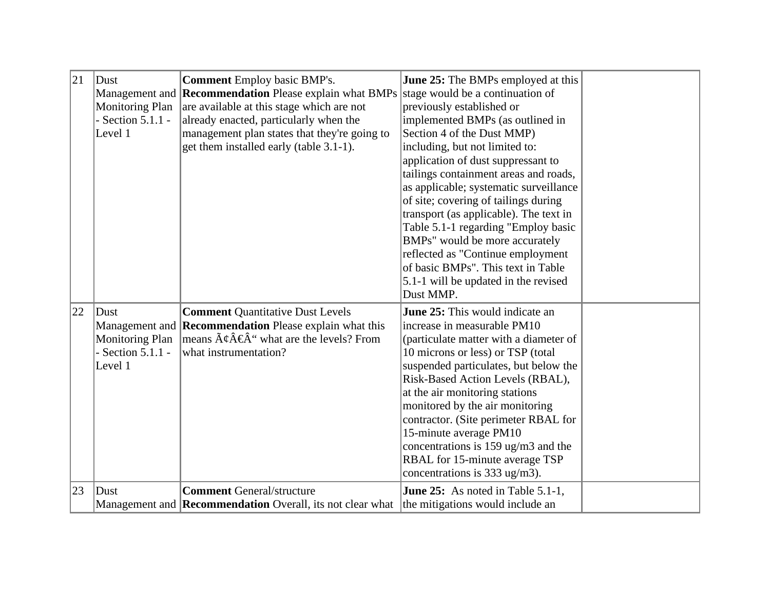| 21 | Dust<br><b>Monitoring Plan</b><br>Section $5.1.1$ -<br>Level 1                   | <b>Comment Employ basic BMP's.</b><br>Management and <b>Recommendation</b> Please explain what BMPs<br>are available at this stage which are not<br>already enacted, particularly when the<br>management plan states that they're going to<br>get them installed early (table 3.1-1). | <b>June 25:</b> The BMPs employed at this<br>stage would be a continuation of<br>previously established or<br>implemented BMPs (as outlined in<br>Section 4 of the Dust MMP)<br>including, but not limited to:                                                                                                                                                                                                                                                              |  |
|----|----------------------------------------------------------------------------------|---------------------------------------------------------------------------------------------------------------------------------------------------------------------------------------------------------------------------------------------------------------------------------------|-----------------------------------------------------------------------------------------------------------------------------------------------------------------------------------------------------------------------------------------------------------------------------------------------------------------------------------------------------------------------------------------------------------------------------------------------------------------------------|--|
|    |                                                                                  |                                                                                                                                                                                                                                                                                       | application of dust suppressant to<br>tailings containment areas and roads,<br>as applicable; systematic surveillance<br>of site; covering of tailings during<br>transport (as applicable). The text in<br>Table 5.1-1 regarding "Employ basic<br>BMPs" would be more accurately<br>reflected as "Continue employment"<br>of basic BMPs". This text in Table<br>5.1-1 will be updated in the revised<br>Dust MMP.                                                           |  |
| 22 | Dust<br>Management and<br><b>Monitoring Plan</b><br>Section $5.1.1$ -<br>Level 1 | <b>Comment Quantitative Dust Levels</b><br><b>Recommendation</b> Please explain what this<br>means $\tilde{A}\phi \hat{A} \hat{\epsilon} \hat{A}$ " what are the levels? From<br>what instrumentation?                                                                                | June 25: This would indicate an<br>increase in measurable PM10<br>(particulate matter with a diameter of<br>10 microns or less) or TSP (total<br>suspended particulates, but below the<br>Risk-Based Action Levels (RBAL),<br>at the air monitoring stations<br>monitored by the air monitoring<br>contractor. (Site perimeter RBAL for<br>15-minute average PM10<br>concentrations is 159 ug/m3 and the<br>RBAL for 15-minute average TSP<br>concentrations is 333 ug/m3). |  |
| 23 | Dust                                                                             | <b>Comment General/structure</b><br>Management and <b>Recommendation</b> Overall, its not clear what                                                                                                                                                                                  | June 25: As noted in Table 5.1-1,<br>the mitigations would include an                                                                                                                                                                                                                                                                                                                                                                                                       |  |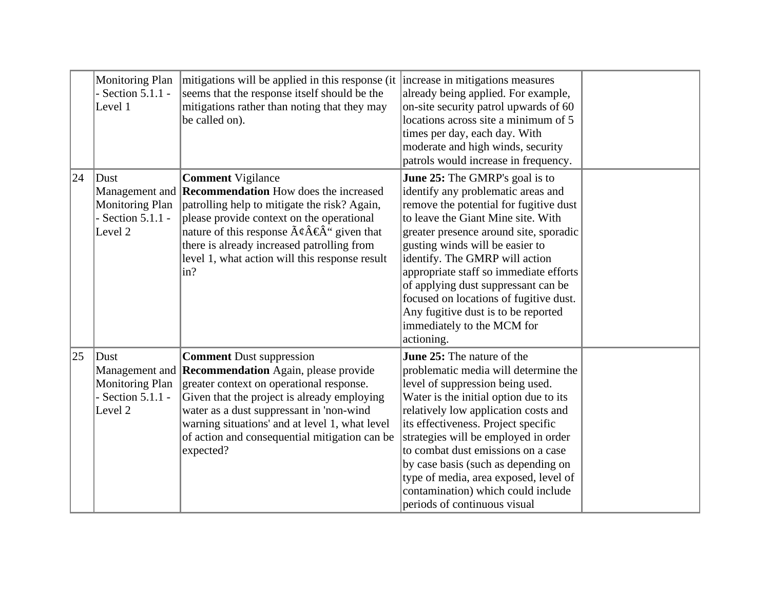|    | Monitoring Plan<br>Section 5.1.1 - | mitigations will be applied in this response (it  increase in mitigations measures<br>seems that the response itself should be the | already being applied. For example,                                        |  |
|----|------------------------------------|------------------------------------------------------------------------------------------------------------------------------------|----------------------------------------------------------------------------|--|
|    | Level 1                            | mitigations rather than noting that they may                                                                                       | on-site security patrol upwards of 60                                      |  |
|    |                                    | be called on).                                                                                                                     | locations across site a minimum of 5                                       |  |
|    |                                    |                                                                                                                                    |                                                                            |  |
|    |                                    |                                                                                                                                    | times per day, each day. With                                              |  |
|    |                                    |                                                                                                                                    | moderate and high winds, security                                          |  |
|    |                                    |                                                                                                                                    | patrols would increase in frequency.                                       |  |
| 24 | Dust                               | <b>Comment Vigilance</b>                                                                                                           | June 25: The GMRP's goal is to                                             |  |
|    |                                    | Management and <b>Recommendation</b> How does the increased                                                                        | identify any problematic areas and                                         |  |
|    | <b>Monitoring Plan</b>             | patrolling help to mitigate the risk? Again,                                                                                       | remove the potential for fugitive dust                                     |  |
|    | - Section $5.1.1$ -                | please provide context on the operational                                                                                          | to leave the Giant Mine site. With                                         |  |
|    | Level 2                            | nature of this response $\tilde{A}\xi \hat{A} \xi \hat{A}$ " given that                                                            | greater presence around site, sporadic                                     |  |
|    |                                    | there is already increased patrolling from                                                                                         | gusting winds will be easier to                                            |  |
|    |                                    | level 1, what action will this response result                                                                                     | identify. The GMRP will action                                             |  |
|    |                                    | $\ln$ ?                                                                                                                            | appropriate staff so immediate efforts                                     |  |
|    |                                    |                                                                                                                                    | of applying dust suppressant can be                                        |  |
|    |                                    |                                                                                                                                    | focused on locations of fugitive dust.                                     |  |
|    |                                    |                                                                                                                                    | Any fugitive dust is to be reported                                        |  |
|    |                                    |                                                                                                                                    | immediately to the MCM for                                                 |  |
|    |                                    |                                                                                                                                    | actioning.                                                                 |  |
| 25 | Dust                               | <b>Comment Dust suppression</b>                                                                                                    | <b>June 25:</b> The nature of the                                          |  |
|    |                                    | Management and <b>Recommendation</b> Again, please provide                                                                         | problematic media will determine the                                       |  |
|    | <b>Monitoring Plan</b>             | greater context on operational response.                                                                                           | level of suppression being used.                                           |  |
|    | Section 5.1.1 -                    | Given that the project is already employing                                                                                        | Water is the initial option due to its                                     |  |
|    | Level 2                            | water as a dust suppressant in 'non-wind                                                                                           | relatively low application costs and                                       |  |
|    |                                    | warning situations' and at level 1, what level                                                                                     | its effectiveness. Project specific                                        |  |
|    |                                    |                                                                                                                                    |                                                                            |  |
|    |                                    | of action and consequential mitigation can be                                                                                      | strategies will be employed in order<br>to combat dust emissions on a case |  |
|    |                                    | expected?                                                                                                                          |                                                                            |  |
|    |                                    |                                                                                                                                    | by case basis (such as depending on                                        |  |
|    |                                    |                                                                                                                                    | type of media, area exposed, level of                                      |  |
|    |                                    |                                                                                                                                    | contamination) which could include                                         |  |
|    |                                    |                                                                                                                                    | periods of continuous visual                                               |  |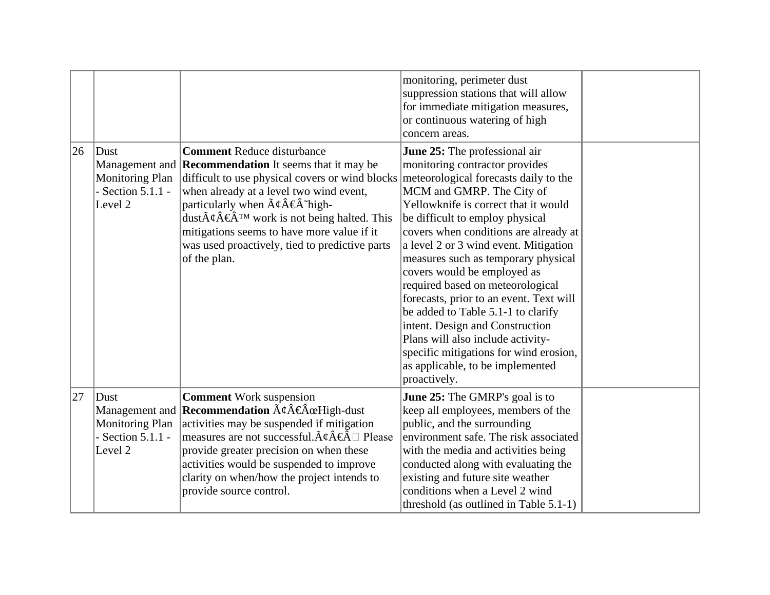|    |                                                                         |                                                                                                                                                                                                                                                                                                                                                                                                                                                                     | monitoring, perimeter dust<br>suppression stations that will allow<br>for immediate mitigation measures,<br>or continuous watering of high<br>concern areas.                                                                                                                                                                                                                                                                                                                                                                                                                                                                                                        |  |
|----|-------------------------------------------------------------------------|---------------------------------------------------------------------------------------------------------------------------------------------------------------------------------------------------------------------------------------------------------------------------------------------------------------------------------------------------------------------------------------------------------------------------------------------------------------------|---------------------------------------------------------------------------------------------------------------------------------------------------------------------------------------------------------------------------------------------------------------------------------------------------------------------------------------------------------------------------------------------------------------------------------------------------------------------------------------------------------------------------------------------------------------------------------------------------------------------------------------------------------------------|--|
| 26 | $ $ Dust<br><b>Monitoring Plan</b><br>Section 5.1.1 -<br>Level 2        | <b>Comment Reduce disturbance</b><br>Management and <b>Recommendation</b> It seems that it may be<br>difficult to use physical covers or wind blocks<br>when already at a level two wind event,<br>particularly when $\tilde{A}\xi\hat{A}\xi\hat{A}^{\dagger}$ high-<br>dust $\tilde{A}\xi \hat{A} \in \hat{A}^{TM}$ work is not being halted. This<br>mitigations seems to have more value if it<br>was used proactively, tied to predictive parts<br>of the plan. | June 25: The professional air<br>monitoring contractor provides<br>meteorological forecasts daily to the<br>MCM and GMRP. The City of<br>Yellowknife is correct that it would<br>be difficult to employ physical<br>covers when conditions are already at<br>a level 2 or 3 wind event. Mitigation<br>measures such as temporary physical<br>covers would be employed as<br>required based on meteorological<br>forecasts, prior to an event. Text will<br>be added to Table 5.1-1 to clarify<br>intent. Design and Construction<br>Plans will also include activity-<br>specific mitigations for wind erosion,<br>as applicable, to be implemented<br>proactively. |  |
| 27 | Dust<br><b>Monitoring Plan</b><br>Section 5.1.1 -<br>Level <sub>2</sub> | <b>Comment</b> Work suspension<br>Management and <b>Recommendation</b> $\tilde{A}\xi\hat{A}\xi\hat{A}\omega H$ igh-dust<br>activities may be suspended if mitigation<br>measures are not successful. $\tilde{A}\xi \hat{A} \in \hat{A} \square$ Please<br>provide greater precision on when these<br>activities would be suspended to improve<br>clarity on when/how the project intends to<br>provide source control.                                              | June 25: The GMRP's goal is to<br>keep all employees, members of the<br>public, and the surrounding<br>environment safe. The risk associated<br>with the media and activities being<br>conducted along with evaluating the<br>existing and future site weather<br>conditions when a Level 2 wind<br>threshold (as outlined in Table 5.1-1)                                                                                                                                                                                                                                                                                                                          |  |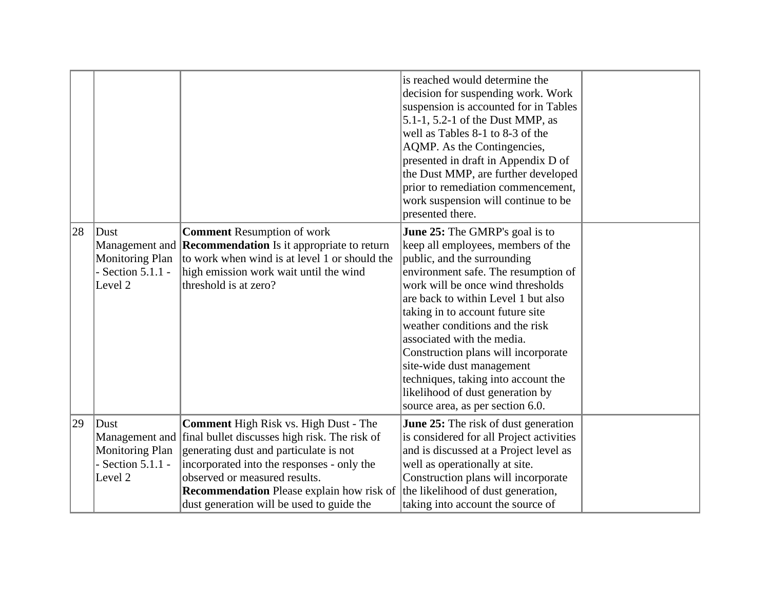|    |                                                                             |                                                                                                                                                                                                                                                                                                                                        | is reached would determine the<br>decision for suspending work. Work<br>suspension is accounted for in Tables<br>$5.1-1$ , $5.2-1$ of the Dust MMP, as<br>well as Tables 8-1 to 8-3 of the<br>AQMP. As the Contingencies,<br>presented in draft in Appendix D of<br>the Dust MMP, are further developed<br>prior to remediation commencement,<br>work suspension will continue to be<br>presented there.                                                                                                       |  |
|----|-----------------------------------------------------------------------------|----------------------------------------------------------------------------------------------------------------------------------------------------------------------------------------------------------------------------------------------------------------------------------------------------------------------------------------|----------------------------------------------------------------------------------------------------------------------------------------------------------------------------------------------------------------------------------------------------------------------------------------------------------------------------------------------------------------------------------------------------------------------------------------------------------------------------------------------------------------|--|
| 28 | Dust<br><b>Monitoring Plan</b><br>Section 5.1.1 -<br>Level <sub>2</sub>     | <b>Comment Resumption of work</b><br>Management and <b>Recommendation</b> Is it appropriate to return<br>to work when wind is at level 1 or should the<br>high emission work wait until the wind<br>threshold is at zero?                                                                                                              | June 25: The GMRP's goal is to<br>keep all employees, members of the<br>public, and the surrounding<br>environment safe. The resumption of<br>work will be once wind thresholds<br>are back to within Level 1 but also<br>taking in to account future site<br>weather conditions and the risk<br>associated with the media.<br>Construction plans will incorporate<br>site-wide dust management<br>techniques, taking into account the<br>likelihood of dust generation by<br>source area, as per section 6.0. |  |
| 29 | $ $ Dust<br><b>Monitoring Plan</b><br>Section 5.1.1 -<br>Level <sub>2</sub> | <b>Comment</b> High Risk vs. High Dust - The<br>Management and final bullet discusses high risk. The risk of<br>generating dust and particulate is not<br>incorporated into the responses - only the<br>observed or measured results.<br><b>Recommendation</b> Please explain how risk of<br>dust generation will be used to guide the | <b>June 25:</b> The risk of dust generation<br>is considered for all Project activities<br>and is discussed at a Project level as<br>well as operationally at site.<br>Construction plans will incorporate<br>the likelihood of dust generation,<br>taking into account the source of                                                                                                                                                                                                                          |  |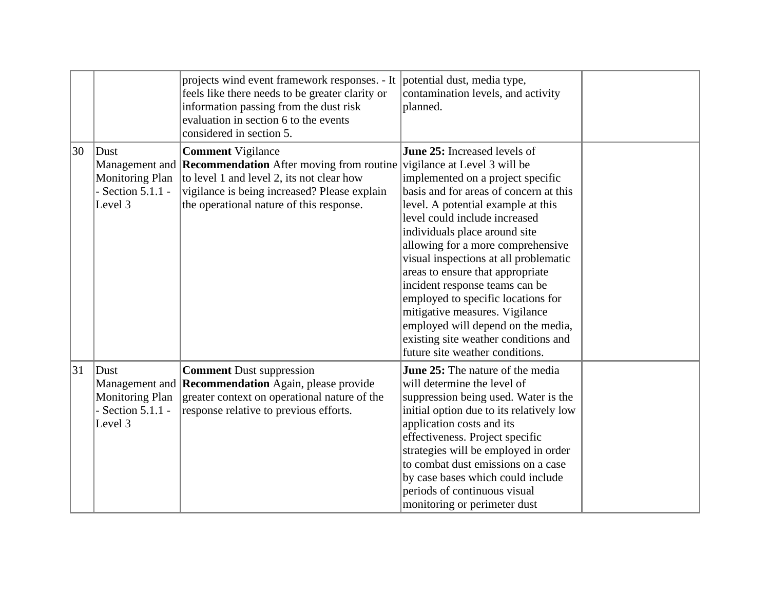|    |                                                                      | projects wind event framework responses. - It potential dust, media type,<br>feels like there needs to be greater clarity or<br>information passing from the dust risk<br>evaluation in section 6 to the events<br>considered in section 5. | contamination levels, and activity<br>planned.                                                                                                                                                                                                                                                                                                                                                                                                                                                                                                                                                          |  |
|----|----------------------------------------------------------------------|---------------------------------------------------------------------------------------------------------------------------------------------------------------------------------------------------------------------------------------------|---------------------------------------------------------------------------------------------------------------------------------------------------------------------------------------------------------------------------------------------------------------------------------------------------------------------------------------------------------------------------------------------------------------------------------------------------------------------------------------------------------------------------------------------------------------------------------------------------------|--|
| 30 | $ $ Dust<br><b>Monitoring Plan</b><br>- Section $5.1.1$ -<br>Level 3 | <b>Comment Vigilance</b><br>Management and <b>Recommendation</b> After moving from routine<br>to level 1 and level 2, its not clear how<br>vigilance is being increased? Please explain<br>the operational nature of this response.         | <b>June 25:</b> Increased levels of<br>vigilance at Level 3 will be<br>implemented on a project specific<br>basis and for areas of concern at this<br>level. A potential example at this<br>level could include increased<br>individuals place around site<br>allowing for a more comprehensive<br>visual inspections at all problematic<br>areas to ensure that appropriate<br>incident response teams can be<br>employed to specific locations for<br>mitigative measures. Vigilance<br>employed will depend on the media,<br>existing site weather conditions and<br>future site weather conditions. |  |
| 31 | $ $ Dust<br><b>Monitoring Plan</b><br>- Section $5.1.1$ -<br>Level 3 | <b>Comment Dust suppression</b><br>Management and <b>Recommendation</b> Again, please provide<br>greater context on operational nature of the<br>response relative to previous efforts.                                                     | June 25: The nature of the media<br>will determine the level of<br>suppression being used. Water is the<br>initial option due to its relatively low<br>application costs and its<br>effectiveness. Project specific<br>strategies will be employed in order<br>to combat dust emissions on a case<br>by case bases which could include<br>periods of continuous visual<br>monitoring or perimeter dust                                                                                                                                                                                                  |  |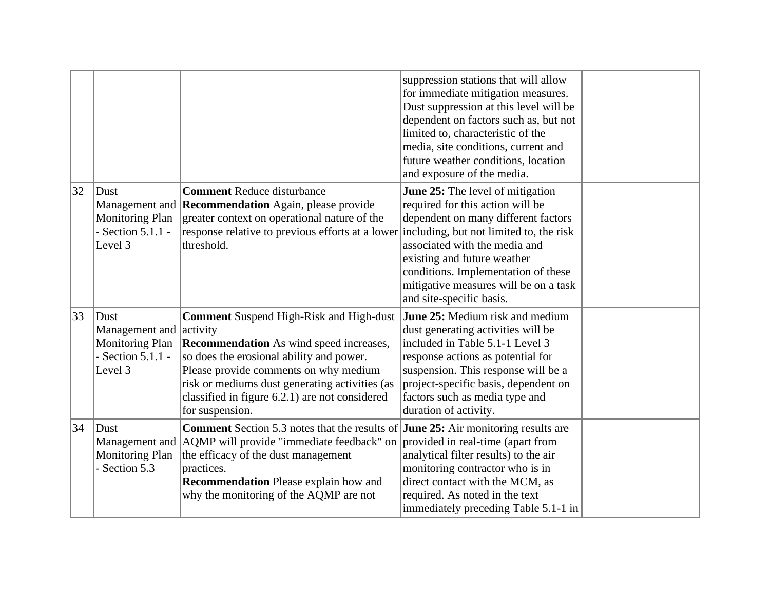|              |                                                                                                 |                                                                                                                                                                                                                                                                                                              | suppression stations that will allow<br>for immediate mitigation measures.<br>Dust suppression at this level will be<br>dependent on factors such as, but not<br>limited to, characteristic of the<br>media, site conditions, current and<br>future weather conditions, location<br>and exposure of the media.                            |  |
|--------------|-------------------------------------------------------------------------------------------------|--------------------------------------------------------------------------------------------------------------------------------------------------------------------------------------------------------------------------------------------------------------------------------------------------------------|-------------------------------------------------------------------------------------------------------------------------------------------------------------------------------------------------------------------------------------------------------------------------------------------------------------------------------------------|--|
| $ 32\rangle$ | Dust<br><b>Monitoring Plan</b><br>Section $5.1.1$ -<br>Level 3                                  | <b>Comment Reduce disturbance</b><br>Management and <b>Recommendation</b> Again, please provide<br>greater context on operational nature of the<br>response relative to previous efforts at a lower<br>threshold.                                                                                            | <b>June 25:</b> The level of mitigation<br>required for this action will be<br>dependent on many different factors<br>including, but not limited to, the risk<br>associated with the media and<br>existing and future weather<br>conditions. Implementation of these<br>mitigative measures will be on a task<br>and site-specific basis. |  |
| 33           | Dust<br>Management and activity<br>Monitoring Plan<br>- Section $5.1.1$ -<br>Level <sub>3</sub> | <b>Comment Suspend High-Risk and High-dust</b><br><b>Recommendation</b> As wind speed increases,<br>so does the erosional ability and power.<br>Please provide comments on why medium<br>risk or mediums dust generating activities (as<br>classified in figure 6.2.1) are not considered<br>for suspension. | June 25: Medium risk and medium<br>dust generating activities will be<br>included in Table 5.1-1 Level 3<br>response actions as potential for<br>suspension. This response will be a<br>project-specific basis, dependent on<br>factors such as media type and<br>duration of activity.                                                   |  |
| 34           | $ $ Dust<br>Monitoring Plan<br>- Section 5.3                                                    | Comment Section 5.3 notes that the results of June 25: Air monitoring results are<br>Management and AQMP will provide "immediate feedback" on<br>the efficacy of the dust management<br>practices.<br><b>Recommendation</b> Please explain how and<br>why the monitoring of the AQMP are not                 | provided in real-time (apart from<br>analytical filter results) to the air<br>monitoring contractor who is in<br>direct contact with the MCM, as<br>required. As noted in the text<br>immediately preceding Table 5.1-1 in                                                                                                                |  |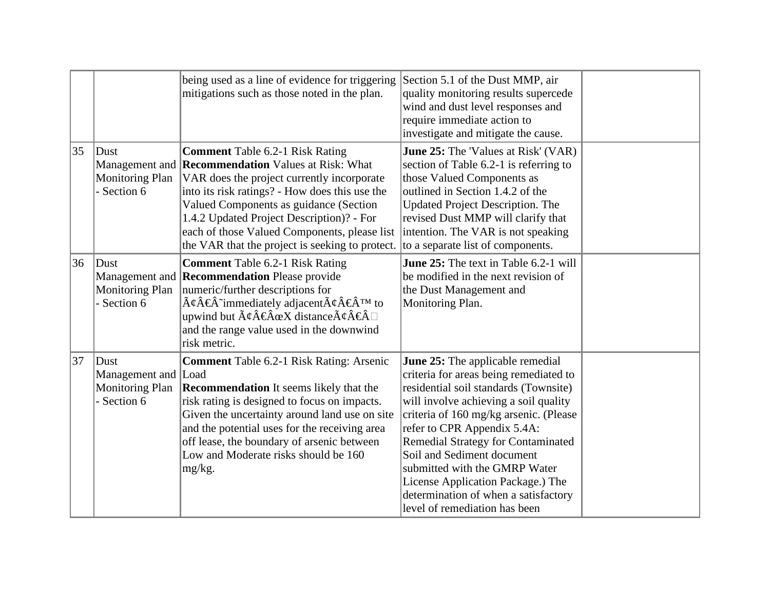|    |                                                                      | being used as a line of evidence for triggering<br>mitigations such as those noted in the plan.                                                                                                                                                                                                                                                                                                                                             | Section 5.1 of the Dust MMP, air<br>quality monitoring results supercede<br>wind and dust level responses and<br>require immediate action to<br>investigate and mitigate the cause.                                                                                                                                                                                                                                                                                    |  |
|----|----------------------------------------------------------------------|---------------------------------------------------------------------------------------------------------------------------------------------------------------------------------------------------------------------------------------------------------------------------------------------------------------------------------------------------------------------------------------------------------------------------------------------|------------------------------------------------------------------------------------------------------------------------------------------------------------------------------------------------------------------------------------------------------------------------------------------------------------------------------------------------------------------------------------------------------------------------------------------------------------------------|--|
| 35 | $ $ Dust<br><b>Monitoring Plan</b><br>- Section 6                    | <b>Comment Table 6.2-1 Risk Rating</b><br>Management and <b>Recommendation</b> Values at Risk: What<br>VAR does the project currently incorporate<br>into its risk ratings? - How does this use the<br>Valued Components as guidance (Section<br>1.4.2 Updated Project Description)? - For<br>each of those Valued Components, please list<br>the VAR that the project is seeking to protect.                                               | <b>June 25:</b> The 'Values at Risk' (VAR)<br>section of Table 6.2-1 is referring to<br>those Valued Components as<br>outlined in Section 1.4.2 of the<br><b>Updated Project Description. The</b><br>revised Dust MMP will clarify that<br>intention. The VAR is not speaking<br>to a separate list of components.                                                                                                                                                     |  |
| 36 | Dust<br><b>Monitoring Plan</b><br>- Section 6                        | <b>Comment Table 6.2-1 Risk Rating</b><br>Management and <b>Recommendation</b> Please provide<br>numeric/further descriptions for<br>$\tilde{A}\psi\hat{A}\hat{\epsilon}\hat{A}^{\dagger}$ immediately adjacent $\tilde{A}\psi\hat{A}\hat{\epsilon}\hat{A}^{\dagger}$ to<br>upwind but $\tilde{A}\phi\hat{A}\phi\hat{A}\alpha X$ distance $\tilde{A}\phi\hat{A}\phi\hat{A}\Box$<br>and the range value used in the downwind<br>risk metric. | June 25: The text in Table 6.2-1 will<br>be modified in the next revision of<br>the Dust Management and<br>Monitoring Plan.                                                                                                                                                                                                                                                                                                                                            |  |
| 37 | Dust<br>Management and Load<br><b>Monitoring Plan</b><br>- Section 6 | <b>Comment Table 6.2-1 Risk Rating: Arsenic</b><br><b>Recommendation</b> It seems likely that the<br>risk rating is designed to focus on impacts.<br>Given the uncertainty around land use on site<br>and the potential uses for the receiving area<br>off lease, the boundary of arsenic between<br>Low and Moderate risks should be 160<br>$mg/kg$ .                                                                                      | <b>June 25:</b> The applicable remedial<br>criteria for areas being remediated to<br>residential soil standards (Townsite)<br>will involve achieving a soil quality<br>criteria of 160 mg/kg arsenic. (Please<br>refer to CPR Appendix 5.4A:<br><b>Remedial Strategy for Contaminated</b><br>Soil and Sediment document<br>submitted with the GMRP Water<br>License Application Package.) The<br>determination of when a satisfactory<br>level of remediation has been |  |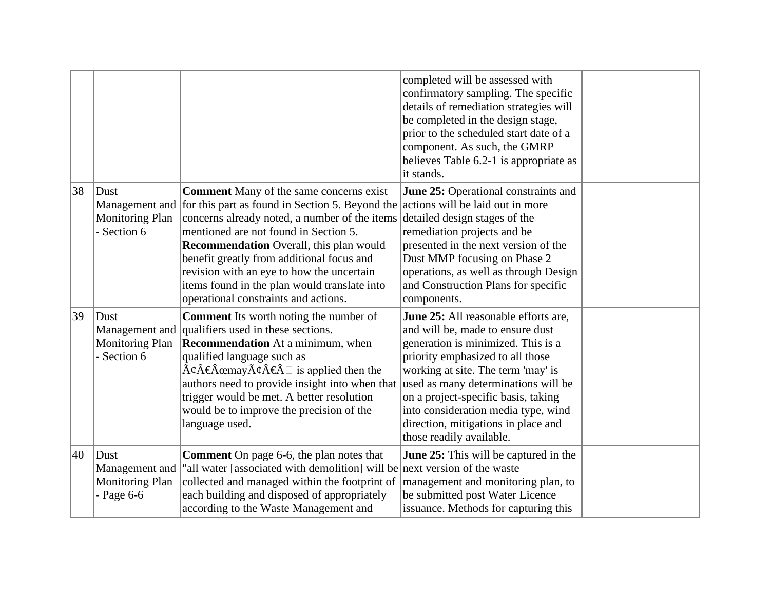|    |                                                                    |                                                                                                                                                                                                                                                                                                                                                                                                                                                                                 | completed will be assessed with<br>confirmatory sampling. The specific<br>details of remediation strategies will<br>be completed in the design stage,<br>prior to the scheduled start date of a<br>component. As such, the GMRP<br>believes Table 6.2-1 is appropriate as<br>it stands.                                                                                          |  |
|----|--------------------------------------------------------------------|---------------------------------------------------------------------------------------------------------------------------------------------------------------------------------------------------------------------------------------------------------------------------------------------------------------------------------------------------------------------------------------------------------------------------------------------------------------------------------|----------------------------------------------------------------------------------------------------------------------------------------------------------------------------------------------------------------------------------------------------------------------------------------------------------------------------------------------------------------------------------|--|
| 38 | $ $ Dust<br><b>Monitoring Plan</b><br>Section 6                    | <b>Comment</b> Many of the same concerns exist<br>Management and for this part as found in Section 5. Beyond the actions will be laid out in more<br>concerns already noted, a number of the items<br>mentioned are not found in Section 5.<br><b>Recommendation</b> Overall, this plan would<br>benefit greatly from additional focus and<br>revision with an eye to how the uncertain<br>items found in the plan would translate into<br>operational constraints and actions. | <b>June 25:</b> Operational constraints and<br>detailed design stages of the<br>remediation projects and be<br>presented in the next version of the<br>Dust MMP focusing on Phase 2<br>operations, as well as through Design<br>and Construction Plans for specific<br>components.                                                                                               |  |
| 39 | Dust<br>Monitoring Plan<br>Section 6                               | <b>Comment</b> Its worth noting the number of<br>Management and qualifiers used in these sections.<br><b>Recommendation</b> At a minimum, when<br>qualified language such as<br>$\tilde{A}\xi \hat{A} \in \hat{A}$ cemay $\tilde{A}\xi \hat{A} \in \hat{A}$ is applied then the<br>authors need to provide insight into when that<br>trigger would be met. A better resolution<br>would be to improve the precision of the<br>language used.                                    | June 25: All reasonable efforts are,<br>and will be, made to ensure dust<br>generation is minimized. This is a<br>priority emphasized to all those<br>working at site. The term 'may' is<br>used as many determinations will be<br>on a project-specific basis, taking<br>into consideration media type, wind<br>direction, mitigations in place and<br>those readily available. |  |
| 40 | $ $ Dust<br>Management and<br><b>Monitoring Plan</b><br>Page $6-6$ | <b>Comment</b> On page 6-6, the plan notes that<br>"all water [associated with demolition] will be next version of the waste<br>collected and managed within the footprint of<br>each building and disposed of appropriately<br>according to the Waste Management and                                                                                                                                                                                                           | <b>June 25:</b> This will be captured in the<br>management and monitoring plan, to<br>be submitted post Water Licence<br>issuance. Methods for capturing this                                                                                                                                                                                                                    |  |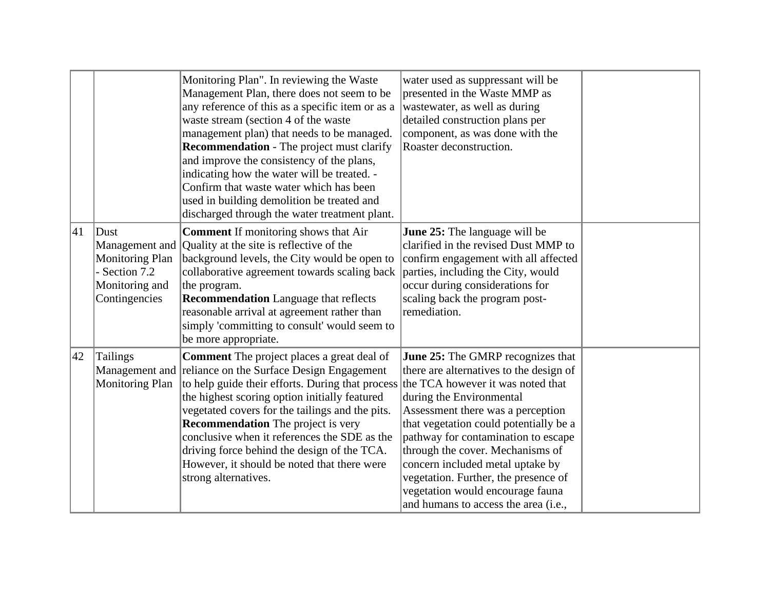|    |                                                                                    | Monitoring Plan". In reviewing the Waste<br>Management Plan, there does not seem to be<br>any reference of this as a specific item or as a<br>waste stream (section 4 of the waste<br>management plan) that needs to be managed.<br><b>Recommendation</b> - The project must clarify<br>and improve the consistency of the plans,<br>indicating how the water will be treated. -<br>Confirm that waste water which has been<br>used in building demolition be treated and<br>discharged through the water treatment plant. | water used as suppressant will be<br>presented in the Waste MMP as<br>wastewater, as well as during<br>detailed construction plans per<br>component, as was done with the<br>Roaster deconstruction.                                                                                                                                                                                                                              |  |
|----|------------------------------------------------------------------------------------|----------------------------------------------------------------------------------------------------------------------------------------------------------------------------------------------------------------------------------------------------------------------------------------------------------------------------------------------------------------------------------------------------------------------------------------------------------------------------------------------------------------------------|-----------------------------------------------------------------------------------------------------------------------------------------------------------------------------------------------------------------------------------------------------------------------------------------------------------------------------------------------------------------------------------------------------------------------------------|--|
| 41 | Dust<br><b>Monitoring Plan</b><br>- Section 7.2<br>Monitoring and<br>Contingencies | <b>Comment</b> If monitoring shows that Air<br>Management and Quality at the site is reflective of the<br>background levels, the City would be open to<br>collaborative agreement towards scaling back<br>the program.<br><b>Recommendation</b> Language that reflects<br>reasonable arrival at agreement rather than<br>simply 'committing to consult' would seem to<br>be more appropriate.                                                                                                                              | June 25: The language will be<br>clarified in the revised Dust MMP to<br>confirm engagement with all affected<br>parties, including the City, would<br>occur during considerations for<br>scaling back the program post-<br>remediation.                                                                                                                                                                                          |  |
| 42 | Tailings<br><b>Monitoring Plan</b>                                                 | <b>Comment</b> The project places a great deal of<br>Management and reliance on the Surface Design Engagement<br>to help guide their efforts. During that process the TCA however it was noted that<br>the highest scoring option initially featured<br>vegetated covers for the tailings and the pits.<br><b>Recommendation</b> The project is very<br>conclusive when it references the SDE as the<br>driving force behind the design of the TCA.<br>However, it should be noted that there were<br>strong alternatives. | <b>June 25:</b> The GMRP recognizes that<br>there are alternatives to the design of<br>during the Environmental<br>Assessment there was a perception<br>that vegetation could potentially be a<br>pathway for contamination to escape<br>through the cover. Mechanisms of<br>concern included metal uptake by<br>vegetation. Further, the presence of<br>vegetation would encourage fauna<br>and humans to access the area (i.e., |  |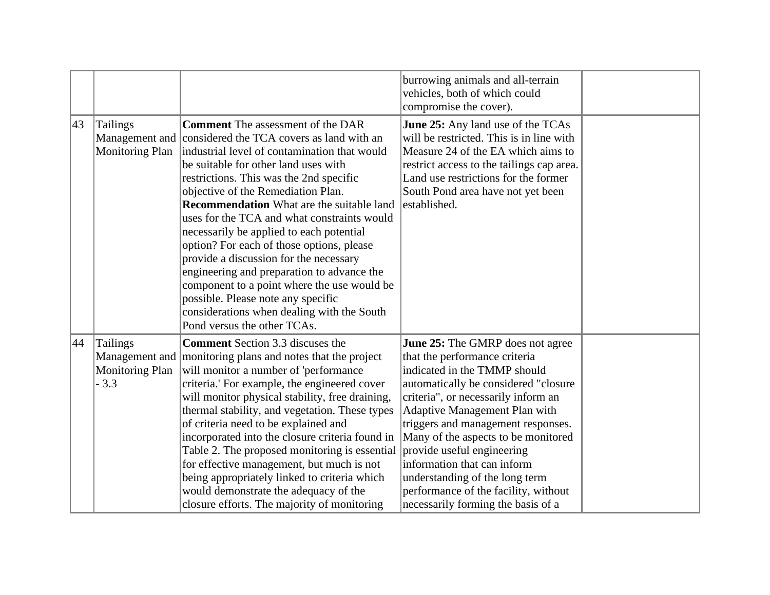|    |                                              |                                                                                                                                                                                                                                                                                                                                                                                                                                                                                                                                                                                                                                                                                                                                     | burrowing animals and all-terrain<br>vehicles, both of which could<br>compromise the cover).                                                                                                                                                                                                                                                                                                                                                                                       |  |
|----|----------------------------------------------|-------------------------------------------------------------------------------------------------------------------------------------------------------------------------------------------------------------------------------------------------------------------------------------------------------------------------------------------------------------------------------------------------------------------------------------------------------------------------------------------------------------------------------------------------------------------------------------------------------------------------------------------------------------------------------------------------------------------------------------|------------------------------------------------------------------------------------------------------------------------------------------------------------------------------------------------------------------------------------------------------------------------------------------------------------------------------------------------------------------------------------------------------------------------------------------------------------------------------------|--|
| 43 | <b>Tailings</b><br><b>Monitoring Plan</b>    | <b>Comment</b> The assessment of the DAR<br>Management and considered the TCA covers as land with an<br>industrial level of contamination that would<br>be suitable for other land uses with<br>restrictions. This was the 2nd specific<br>objective of the Remediation Plan.<br><b>Recommendation</b> What are the suitable land<br>uses for the TCA and what constraints would<br>necessarily be applied to each potential<br>option? For each of those options, please<br>provide a discussion for the necessary<br>engineering and preparation to advance the<br>component to a point where the use would be<br>possible. Please note any specific<br>considerations when dealing with the South<br>Pond versus the other TCAs. | <b>June 25:</b> Any land use of the TCAs<br>will be restricted. This is in line with<br>Measure 24 of the EA which aims to<br>restrict access to the tailings cap area.<br>Land use restrictions for the former<br>South Pond area have not yet been<br>established.                                                                                                                                                                                                               |  |
| 44 | Tailings<br><b>Monitoring Plan</b><br>$-3.3$ | <b>Comment</b> Section 3.3 discuses the<br>Management and monitoring plans and notes that the project<br>will monitor a number of 'performance<br>criteria.' For example, the engineered cover<br>will monitor physical stability, free draining,<br>thermal stability, and vegetation. These types<br>of criteria need to be explained and<br>incorporated into the closure criteria found in<br>Table 2. The proposed monitoring is essential<br>for effective management, but much is not<br>being appropriately linked to criteria which<br>would demonstrate the adequacy of the<br>closure efforts. The majority of monitoring                                                                                                | <b>June 25:</b> The GMRP does not agree<br>that the performance criteria<br>indicated in the TMMP should<br>automatically be considered "closure<br>criteria", or necessarily inform an<br>Adaptive Management Plan with<br>triggers and management responses.<br>Many of the aspects to be monitored<br>provide useful engineering<br>information that can inform<br>understanding of the long term<br>performance of the facility, without<br>necessarily forming the basis of a |  |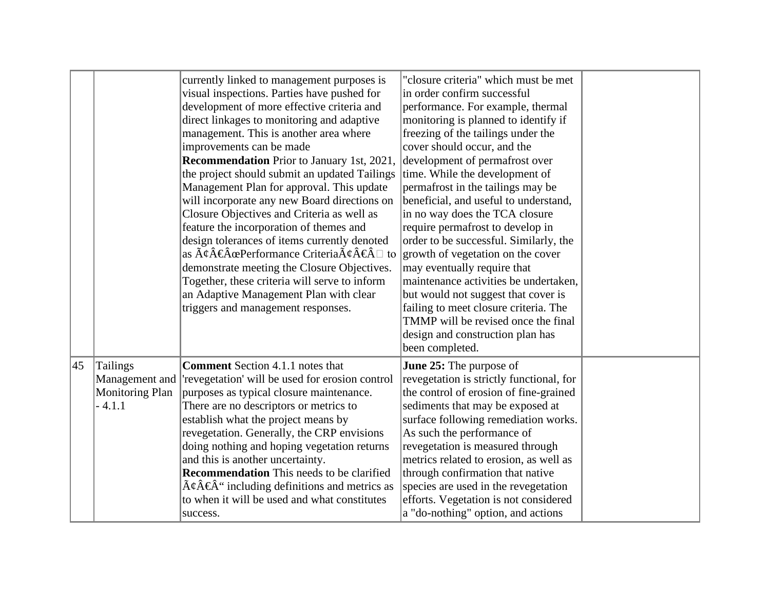|    |                                                                  | currently linked to management purposes is<br>visual inspections. Parties have pushed for<br>development of more effective criteria and<br>direct linkages to monitoring and adaptive<br>management. This is another area where<br>improvements can be made<br><b>Recommendation</b> Prior to January 1st, 2021,<br>the project should submit an updated Tailings<br>Management Plan for approval. This update<br>will incorporate any new Board directions on<br>Closure Objectives and Criteria as well as<br>feature the incorporation of themes and<br>design tolerances of items currently denoted<br>as $\tilde{A}\psi\hat{A}\hat{\in} \hat{A}$ as $\tilde{A}\psi\hat{A}\hat{\in} \hat{A}$ to<br>demonstrate meeting the Closure Objectives.<br>Together, these criteria will serve to inform<br>an Adaptive Management Plan with clear<br>triggers and management responses. | "closure criteria" which must be met<br>in order confirm successful<br>performance. For example, thermal<br>monitoring is planned to identify if<br>freezing of the tailings under the<br>cover should occur, and the<br>development of permafrost over<br>time. While the development of<br>permafrost in the tailings may be<br>beneficial, and useful to understand,<br>in no way does the TCA closure<br>require permafrost to develop in<br>order to be successful. Similarly, the<br>growth of vegetation on the cover<br>may eventually require that<br>maintenance activities be undertaken,<br>but would not suggest that cover is<br>failing to meet closure criteria. The<br>TMMP will be revised once the final<br>design and construction plan has |  |
|----|------------------------------------------------------------------|-------------------------------------------------------------------------------------------------------------------------------------------------------------------------------------------------------------------------------------------------------------------------------------------------------------------------------------------------------------------------------------------------------------------------------------------------------------------------------------------------------------------------------------------------------------------------------------------------------------------------------------------------------------------------------------------------------------------------------------------------------------------------------------------------------------------------------------------------------------------------------------|-----------------------------------------------------------------------------------------------------------------------------------------------------------------------------------------------------------------------------------------------------------------------------------------------------------------------------------------------------------------------------------------------------------------------------------------------------------------------------------------------------------------------------------------------------------------------------------------------------------------------------------------------------------------------------------------------------------------------------------------------------------------|--|
|    |                                                                  |                                                                                                                                                                                                                                                                                                                                                                                                                                                                                                                                                                                                                                                                                                                                                                                                                                                                                     | been completed.                                                                                                                                                                                                                                                                                                                                                                                                                                                                                                                                                                                                                                                                                                                                                 |  |
| 45 | Tailings<br>Management and<br><b>Monitoring Plan</b><br>$-4.1.1$ | <b>Comment</b> Section 4.1.1 notes that<br>'revegetation' will be used for erosion control<br>purposes as typical closure maintenance.<br>There are no descriptors or metrics to<br>establish what the project means by<br>revegetation. Generally, the CRP envisions<br>doing nothing and hoping vegetation returns<br>and this is another uncertainty.<br><b>Recommendation</b> This needs to be clarified<br>$\tilde{A}\xi\hat{A}\xi\hat{A}$ " including definitions and metrics as<br>to when it will be used and what constitutes<br>success.                                                                                                                                                                                                                                                                                                                                  | <b>June 25:</b> The purpose of<br>revegetation is strictly functional, for<br>the control of erosion of fine-grained<br>sediments that may be exposed at<br>surface following remediation works.<br>As such the performance of<br>revegetation is measured through<br>metrics related to erosion, as well as<br>through confirmation that native<br>species are used in the revegetation<br>efforts. Vegetation is not considered<br>a "do-nothing" option, and actions                                                                                                                                                                                                                                                                                         |  |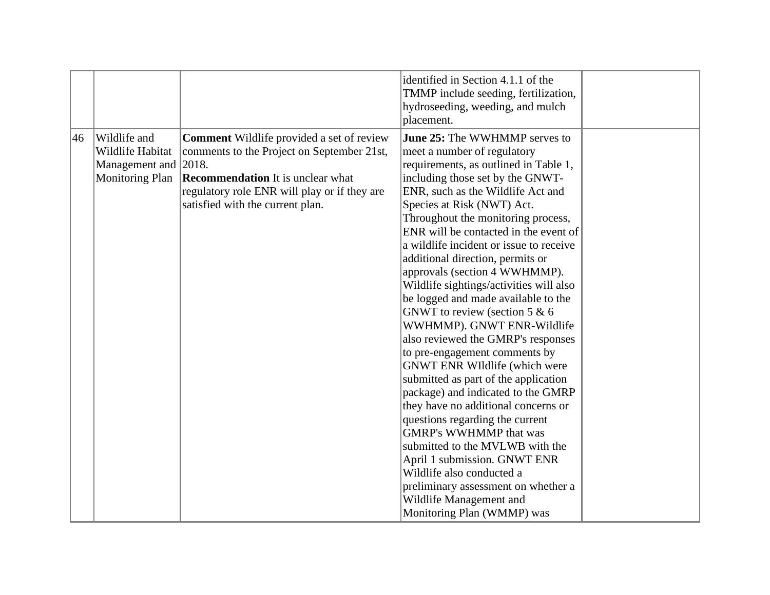|    |                                                                                    |                                                                                                                                                                                                                                | identified in Section 4.1.1 of the<br>TMMP include seeding, fertilization,                                                                                                                                                                                                                                                                                                                                                                                                                                                         |  |
|----|------------------------------------------------------------------------------------|--------------------------------------------------------------------------------------------------------------------------------------------------------------------------------------------------------------------------------|------------------------------------------------------------------------------------------------------------------------------------------------------------------------------------------------------------------------------------------------------------------------------------------------------------------------------------------------------------------------------------------------------------------------------------------------------------------------------------------------------------------------------------|--|
|    |                                                                                    |                                                                                                                                                                                                                                | hydroseeding, weeding, and mulch<br>placement.                                                                                                                                                                                                                                                                                                                                                                                                                                                                                     |  |
| 46 | Wildlife and<br>Wildlife Habitat<br>Management and 2018.<br><b>Monitoring Plan</b> | <b>Comment</b> Wildlife provided a set of review<br>comments to the Project on September 21st,<br><b>Recommendation</b> It is unclear what<br>regulatory role ENR will play or if they are<br>satisfied with the current plan. | June 25: The WWHMMP serves to<br>meet a number of regulatory<br>requirements, as outlined in Table 1,<br>including those set by the GNWT-<br>ENR, such as the Wildlife Act and<br>Species at Risk (NWT) Act.<br>Throughout the monitoring process,<br>ENR will be contacted in the event of<br>a wildlife incident or issue to receive<br>additional direction, permits or<br>approvals (section 4 WWHMMP).<br>Wildlife sightings/activities will also<br>be logged and made available to the<br>GNWT to review (section 5 $\&$ 6  |  |
|    |                                                                                    |                                                                                                                                                                                                                                | WWHMMP). GNWT ENR-Wildlife<br>also reviewed the GMRP's responses<br>to pre-engagement comments by<br><b>GNWT ENR WIldlife (which were</b><br>submitted as part of the application<br>package) and indicated to the GMRP<br>they have no additional concerns or<br>questions regarding the current<br><b>GMRP's WWHMMP that was</b><br>submitted to the MVLWB with the<br>April 1 submission. GNWT ENR<br>Wildlife also conducted a<br>preliminary assessment on whether a<br>Wildlife Management and<br>Monitoring Plan (WMMP) was |  |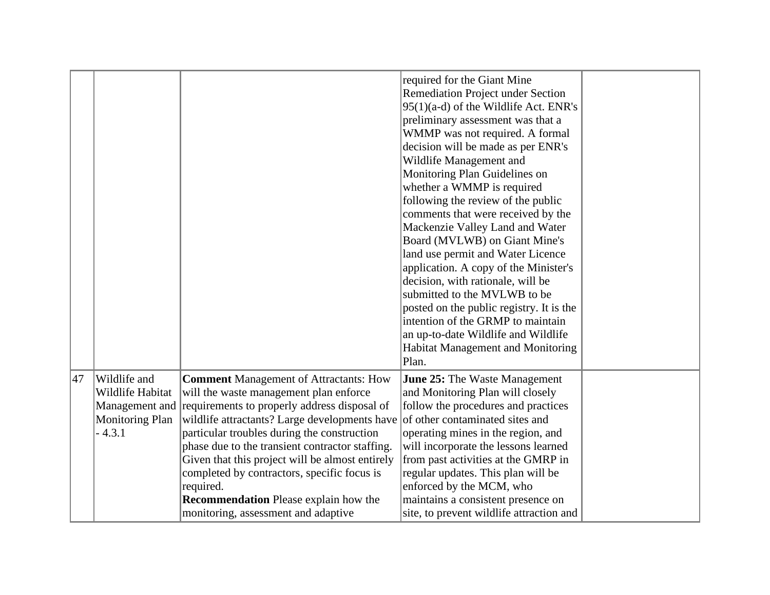| Remediation Project under Section<br>95(1)(a-d) of the Wildlife Act. ENR's<br>preliminary assessment was that a<br>WMMP was not required. A formal<br>decision will be made as per ENR's<br>Wildlife Management and<br>Monitoring Plan Guidelines on<br>whether a WMMP is required |  |                             |  |
|------------------------------------------------------------------------------------------------------------------------------------------------------------------------------------------------------------------------------------------------------------------------------------|--|-----------------------------|--|
|                                                                                                                                                                                                                                                                                    |  | required for the Giant Mine |  |
|                                                                                                                                                                                                                                                                                    |  |                             |  |
|                                                                                                                                                                                                                                                                                    |  |                             |  |
|                                                                                                                                                                                                                                                                                    |  |                             |  |
|                                                                                                                                                                                                                                                                                    |  |                             |  |
|                                                                                                                                                                                                                                                                                    |  |                             |  |
|                                                                                                                                                                                                                                                                                    |  |                             |  |
|                                                                                                                                                                                                                                                                                    |  |                             |  |
|                                                                                                                                                                                                                                                                                    |  |                             |  |
| following the review of the public                                                                                                                                                                                                                                                 |  |                             |  |
| comments that were received by the                                                                                                                                                                                                                                                 |  |                             |  |
| Mackenzie Valley Land and Water                                                                                                                                                                                                                                                    |  |                             |  |
| Board (MVLWB) on Giant Mine's                                                                                                                                                                                                                                                      |  |                             |  |
| land use permit and Water Licence                                                                                                                                                                                                                                                  |  |                             |  |
| application. A copy of the Minister's                                                                                                                                                                                                                                              |  |                             |  |
| decision, with rationale, will be                                                                                                                                                                                                                                                  |  |                             |  |
| submitted to the MVLWB to be                                                                                                                                                                                                                                                       |  |                             |  |
| posted on the public registry. It is the                                                                                                                                                                                                                                           |  |                             |  |
| intention of the GRMP to maintain                                                                                                                                                                                                                                                  |  |                             |  |
| an up-to-date Wildlife and Wildlife                                                                                                                                                                                                                                                |  |                             |  |
| Habitat Management and Monitoring                                                                                                                                                                                                                                                  |  |                             |  |
| Plan.                                                                                                                                                                                                                                                                              |  |                             |  |
| 47<br>Wildlife and<br><b>Comment Management of Attractants: How</b><br><b>June 25:</b> The Waste Management                                                                                                                                                                        |  |                             |  |
| Wildlife Habitat<br>will the waste management plan enforce<br>and Monitoring Plan will closely                                                                                                                                                                                     |  |                             |  |
| Management and requirements to properly address disposal of<br>follow the procedures and practices                                                                                                                                                                                 |  |                             |  |
| wildlife attractants? Large developments have<br>of other contaminated sites and<br><b>Monitoring Plan</b>                                                                                                                                                                         |  |                             |  |
| $-4.3.1$<br>particular troubles during the construction<br>operating mines in the region, and                                                                                                                                                                                      |  |                             |  |
| phase due to the transient contractor staffing.<br>will incorporate the lessons learned                                                                                                                                                                                            |  |                             |  |
| Given that this project will be almost entirely<br>from past activities at the GMRP in                                                                                                                                                                                             |  |                             |  |
| completed by contractors, specific focus is<br>regular updates. This plan will be                                                                                                                                                                                                  |  |                             |  |
| required.<br>enforced by the MCM, who                                                                                                                                                                                                                                              |  |                             |  |
| <b>Recommendation</b> Please explain how the<br>maintains a consistent presence on                                                                                                                                                                                                 |  |                             |  |
| monitoring, assessment and adaptive<br>site, to prevent wildlife attraction and                                                                                                                                                                                                    |  |                             |  |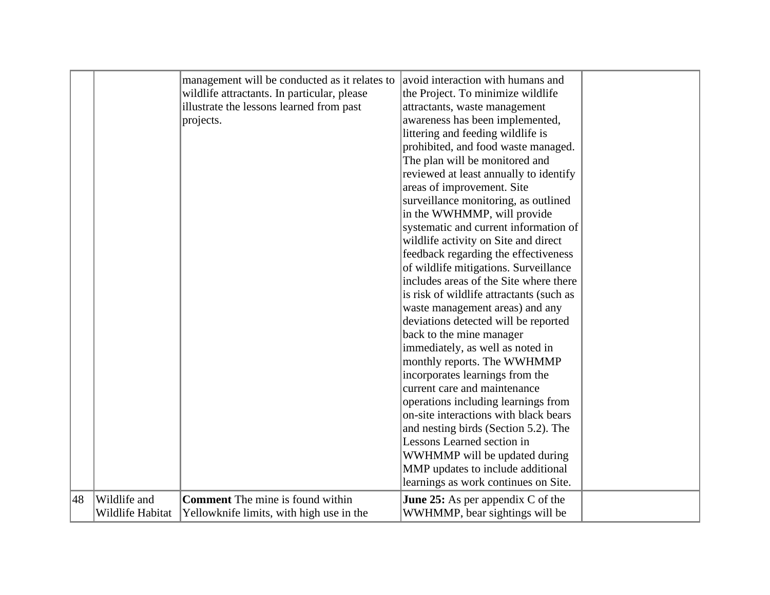|    |                  | management will be conducted as it relates to | avoid interaction with humans and          |  |
|----|------------------|-----------------------------------------------|--------------------------------------------|--|
|    |                  | wildlife attractants. In particular, please   | the Project. To minimize wildlife          |  |
|    |                  | illustrate the lessons learned from past      | attractants, waste management              |  |
|    |                  | projects.                                     | awareness has been implemented,            |  |
|    |                  |                                               | littering and feeding wildlife is          |  |
|    |                  |                                               | prohibited, and food waste managed.        |  |
|    |                  |                                               | The plan will be monitored and             |  |
|    |                  |                                               | reviewed at least annually to identify     |  |
|    |                  |                                               | areas of improvement. Site                 |  |
|    |                  |                                               | surveillance monitoring, as outlined       |  |
|    |                  |                                               | in the WWHMMP, will provide                |  |
|    |                  |                                               | systematic and current information of      |  |
|    |                  |                                               | wildlife activity on Site and direct       |  |
|    |                  |                                               | feedback regarding the effectiveness       |  |
|    |                  |                                               | of wildlife mitigations. Surveillance      |  |
|    |                  |                                               | includes areas of the Site where there     |  |
|    |                  |                                               | is risk of wildlife attractants (such as   |  |
|    |                  |                                               | waste management areas) and any            |  |
|    |                  |                                               | deviations detected will be reported       |  |
|    |                  |                                               | back to the mine manager                   |  |
|    |                  |                                               | immediately, as well as noted in           |  |
|    |                  |                                               | monthly reports. The WWHMMP                |  |
|    |                  |                                               | incorporates learnings from the            |  |
|    |                  |                                               | current care and maintenance               |  |
|    |                  |                                               | operations including learnings from        |  |
|    |                  |                                               | on-site interactions with black bears      |  |
|    |                  |                                               | and nesting birds (Section 5.2). The       |  |
|    |                  |                                               | Lessons Learned section in                 |  |
|    |                  |                                               | WWHMMP will be updated during              |  |
|    |                  |                                               | MMP updates to include additional          |  |
|    |                  |                                               | learnings as work continues on Site.       |  |
| 48 | Wildlife and     | <b>Comment</b> The mine is found within       | <b>June 25:</b> As per appendix $C$ of the |  |
|    | Wildlife Habitat | Yellowknife limits, with high use in the      | WWHMMP, bear sightings will be             |  |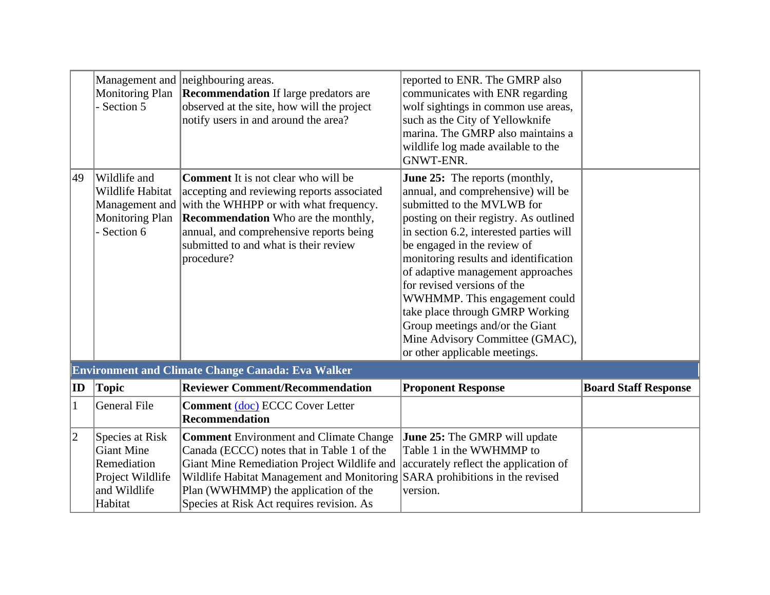|              | <b>Monitoring Plan</b><br>Section 5                                                                | Management and neighbouring areas.<br><b>Recommendation</b> If large predators are<br>observed at the site, how will the project<br>notify users in and around the area?                                                                                                                                       | reported to ENR. The GMRP also<br>communicates with ENR regarding<br>wolf sightings in common use areas,<br>such as the City of Yellowknife<br>marina. The GMRP also maintains a<br>wildlife log made available to the<br>GNWT-ENR.                                                                                                                                                                                                                                                                                   |                             |
|--------------|----------------------------------------------------------------------------------------------------|----------------------------------------------------------------------------------------------------------------------------------------------------------------------------------------------------------------------------------------------------------------------------------------------------------------|-----------------------------------------------------------------------------------------------------------------------------------------------------------------------------------------------------------------------------------------------------------------------------------------------------------------------------------------------------------------------------------------------------------------------------------------------------------------------------------------------------------------------|-----------------------------|
| 49           | Wildlife and<br>Wildlife Habitat<br><b>Monitoring Plan</b><br>Section 6                            | <b>Comment</b> It is not clear who will be<br>accepting and reviewing reports associated<br>Management and with the WHHPP or with what frequency.<br><b>Recommendation</b> Who are the monthly,<br>annual, and comprehensive reports being<br>submitted to and what is their review<br>procedure?              | <b>June 25:</b> The reports (monthly,<br>annual, and comprehensive) will be<br>submitted to the MVLWB for<br>posting on their registry. As outlined<br>in section 6.2, interested parties will<br>be engaged in the review of<br>monitoring results and identification<br>of adaptive management approaches<br>for revised versions of the<br>WWHMMP. This engagement could<br>take place through GMRP Working<br>Group meetings and/or the Giant<br>Mine Advisory Committee (GMAC),<br>or other applicable meetings. |                             |
|              |                                                                                                    | <b>Environment and Climate Change Canada: Eva Walker</b>                                                                                                                                                                                                                                                       |                                                                                                                                                                                                                                                                                                                                                                                                                                                                                                                       |                             |
| $ {\bf ID} $ | <b>Topic</b>                                                                                       | <b>Reviewer Comment/Recommendation</b>                                                                                                                                                                                                                                                                         | <b>Proponent Response</b>                                                                                                                                                                                                                                                                                                                                                                                                                                                                                             | <b>Board Staff Response</b> |
| $\mathbf{1}$ | <b>General File</b>                                                                                | <b>Comment (doc) ECCC Cover Letter</b><br>Recommendation                                                                                                                                                                                                                                                       |                                                                                                                                                                                                                                                                                                                                                                                                                                                                                                                       |                             |
| $ 2\rangle$  | Species at Risk<br><b>Giant Mine</b><br>Remediation<br>Project Wildlife<br>and Wildlife<br>Habitat | <b>Comment</b> Environment and Climate Change<br>Canada (ECCC) notes that in Table 1 of the<br>Giant Mine Remediation Project Wildlife and<br>Wildlife Habitat Management and Monitoring SARA prohibitions in the revised<br>Plan (WWHMMP) the application of the<br>Species at Risk Act requires revision. As | <b>June 25:</b> The GMRP will update<br>Table 1 in the WWHMMP to<br>accurately reflect the application of<br>version.                                                                                                                                                                                                                                                                                                                                                                                                 |                             |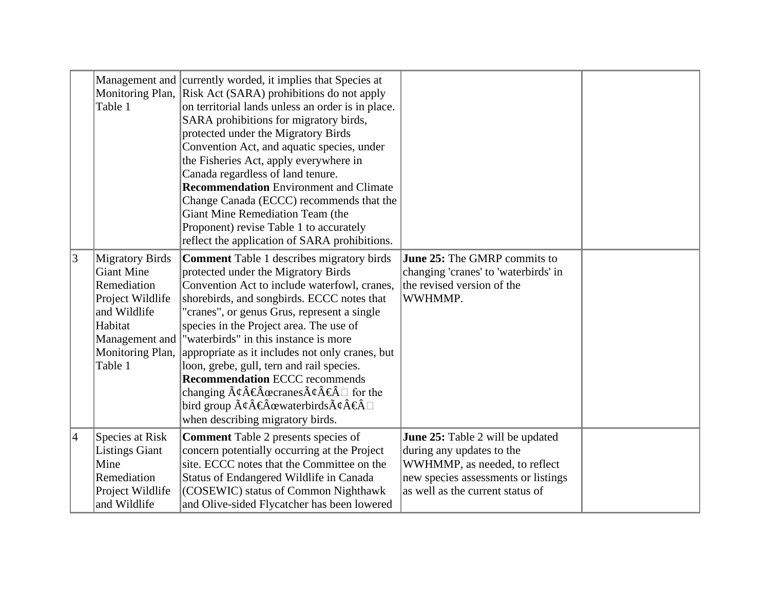|                | Table 1                                                                                                                                                    | Management and currently worded, it implies that Species at<br>Monitoring Plan, Risk Act (SARA) prohibitions do not apply<br>on territorial lands unless an order is in place.<br>SARA prohibitions for migratory birds,<br>protected under the Migratory Birds<br>Convention Act, and aquatic species, under<br>the Fisheries Act, apply everywhere in<br>Canada regardless of land tenure.<br><b>Recommendation</b> Environment and Climate<br>Change Canada (ECCC) recommends that the<br>Giant Mine Remediation Team (the<br>Proponent) revise Table 1 to accurately<br>reflect the application of SARA prohibitions.                                                                                           |                                                                                                                                                                           |  |
|----------------|------------------------------------------------------------------------------------------------------------------------------------------------------------|---------------------------------------------------------------------------------------------------------------------------------------------------------------------------------------------------------------------------------------------------------------------------------------------------------------------------------------------------------------------------------------------------------------------------------------------------------------------------------------------------------------------------------------------------------------------------------------------------------------------------------------------------------------------------------------------------------------------|---------------------------------------------------------------------------------------------------------------------------------------------------------------------------|--|
| 3              | <b>Migratory Birds</b><br><b>Giant Mine</b><br>Remediation<br>Project Wildlife<br>and Wildlife<br>Habitat<br>Management and<br>Monitoring Plan,<br>Table 1 | <b>Comment Table 1 describes migratory birds</b><br>protected under the Migratory Birds<br>Convention Act to include waterfowl, cranes,<br>shorebirds, and songbirds. ECCC notes that<br>"cranes", or genus Grus, represent a single<br>species in the Project area. The use of<br>"waterbirds" in this instance is more<br>appropriate as it includes not only cranes, but<br>loon, grebe, gull, tern and rail species.<br><b>Recommendation ECCC recommends</b><br>changing $\tilde{A}\psi \hat{A} \in \hat{A}$ accranes $\tilde{A}\psi \hat{A} \in \hat{A}$ $\Box$ for the<br>bird group $\tilde{A}\xi\hat{A}\xi\hat{A}$ œwaterbirds $\tilde{A}\xi\hat{A}\xi\hat{A} \square$<br>when describing migratory birds. | June 25: The GMRP commits to<br>changing 'cranes' to 'waterbirds' in<br>the revised version of the<br>WWHMMP.                                                             |  |
| $\overline{4}$ | Species at Risk<br><b>Listings Giant</b><br>Mine<br>Remediation<br>Project Wildlife<br>and Wildlife                                                        | <b>Comment</b> Table 2 presents species of<br>concern potentially occurring at the Project<br>site. ECCC notes that the Committee on the<br>Status of Endangered Wildlife in Canada<br>(COSEWIC) status of Common Nighthawk<br>and Olive-sided Flycatcher has been lowered                                                                                                                                                                                                                                                                                                                                                                                                                                          | June 25: Table 2 will be updated<br>during any updates to the<br>WWHMMP, as needed, to reflect<br>new species assessments or listings<br>as well as the current status of |  |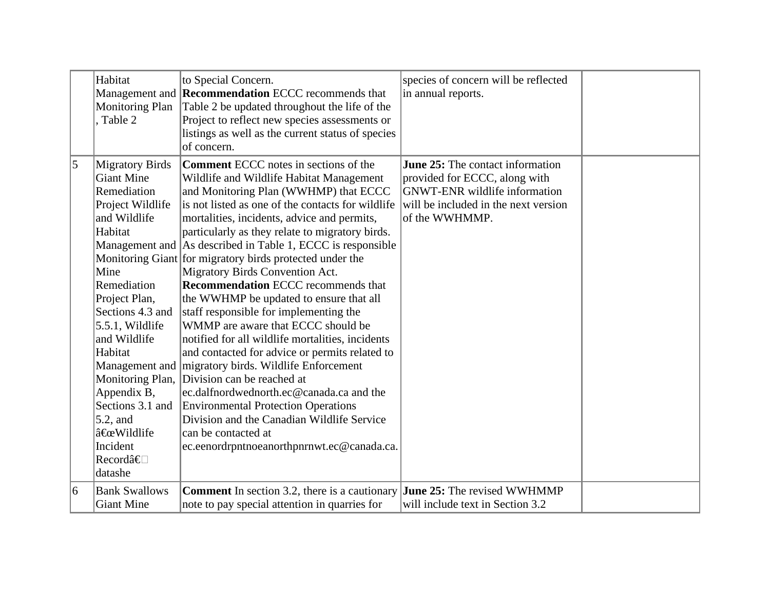|   | Habitat<br><b>Monitoring Plan</b><br>Table 2                                                                                                                                                                                                                                                                                               | to Special Concern.<br>Management and <b>Recommendation</b> ECCC recommends that<br>Table 2 be updated throughout the life of the<br>Project to reflect new species assessments or<br>listings as well as the current status of species<br>of concern.                                                                                                                                                                                                                                                                                                                                                                                                                                                                                                                                                                                                                                                                                                                                                                                   | species of concern will be reflected<br>in annual reports.                                                                                                                 |  |
|---|--------------------------------------------------------------------------------------------------------------------------------------------------------------------------------------------------------------------------------------------------------------------------------------------------------------------------------------------|------------------------------------------------------------------------------------------------------------------------------------------------------------------------------------------------------------------------------------------------------------------------------------------------------------------------------------------------------------------------------------------------------------------------------------------------------------------------------------------------------------------------------------------------------------------------------------------------------------------------------------------------------------------------------------------------------------------------------------------------------------------------------------------------------------------------------------------------------------------------------------------------------------------------------------------------------------------------------------------------------------------------------------------|----------------------------------------------------------------------------------------------------------------------------------------------------------------------------|--|
| 5 | <b>Migratory Birds</b><br><b>Giant Mine</b><br>Remediation<br>Project Wildlife<br>and Wildlife<br>Habitat<br>Mine<br>Remediation<br>Project Plan,<br>Sections 4.3 and<br>5.5.1, Wildlife<br>and Wildlife<br>Habitat<br>Monitoring Plan,<br>Appendix B,<br>Sections 3.1 and<br>$5.2$ , and<br>"Wildlife<br>Incident<br>Recordâ€⊡<br>datashe | <b>Comment ECCC</b> notes in sections of the<br>Wildlife and Wildlife Habitat Management<br>and Monitoring Plan (WWHMP) that ECCC<br>is not listed as one of the contacts for wildlife<br>mortalities, incidents, advice and permits,<br>particularly as they relate to migratory birds.<br>Management and As described in Table 1, ECCC is responsible<br>Monitoring Giant for migratory birds protected under the<br>Migratory Birds Convention Act.<br><b>Recommendation ECCC recommends that</b><br>the WWHMP be updated to ensure that all<br>staff responsible for implementing the<br>WMMP are aware that ECCC should be<br>notified for all wildlife mortalities, incidents<br>and contacted for advice or permits related to<br>Management and migratory birds. Wildlife Enforcement<br>Division can be reached at<br>ec.dalfnordwednorth.ec@canada.ca and the<br><b>Environmental Protection Operations</b><br>Division and the Canadian Wildlife Service<br>can be contacted at<br>ec.eenordrpntnoeanorthpnrnwt.ec@canada.ca. | <b>June 25:</b> The contact information<br>provided for ECCC, along with<br><b>GNWT-ENR</b> wildlife information<br>will be included in the next version<br>of the WWHMMP. |  |
| 6 | <b>Bank Swallows</b><br><b>Giant Mine</b>                                                                                                                                                                                                                                                                                                  | <b>Comment</b> In section 3.2, there is a cautionary<br>note to pay special attention in quarries for                                                                                                                                                                                                                                                                                                                                                                                                                                                                                                                                                                                                                                                                                                                                                                                                                                                                                                                                    | June 25: The revised WWHMMP<br>will include text in Section 3.2                                                                                                            |  |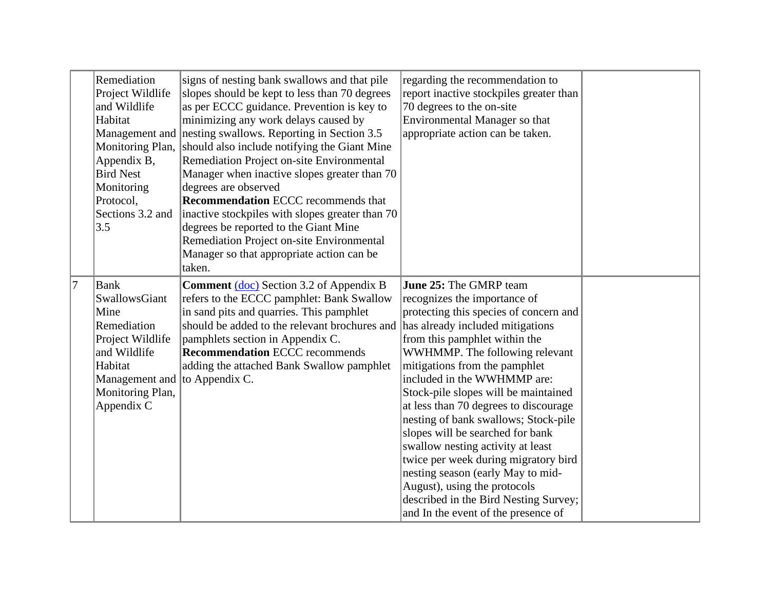|   | Remediation<br>Project Wildlife<br>and Wildlife<br>Habitat<br>Appendix B,<br><b>Bird Nest</b><br>Monitoring<br>Protocol,<br>Sections 3.2 and<br>3.5                   | signs of nesting bank swallows and that pile<br>slopes should be kept to less than 70 degrees<br>as per ECCC guidance. Prevention is key to<br>minimizing any work delays caused by<br>Management and nesting swallows. Reporting in Section 3.5<br>Monitoring Plan, should also include notifying the Giant Mine<br>Remediation Project on-site Environmental<br>Manager when inactive slopes greater than 70<br>degrees are observed<br><b>Recommendation ECCC</b> recommends that<br>inactive stockpiles with slopes greater than 70<br>degrees be reported to the Giant Mine<br>Remediation Project on-site Environmental<br>Manager so that appropriate action can be<br>taken. | regarding the recommendation to<br>report inactive stockpiles greater than<br>70 degrees to the on-site<br>Environmental Manager so that<br>appropriate action can be taken.                                                                                                                                                                                                                                                                                                                                                                                                                                                                                                  |  |
|---|-----------------------------------------------------------------------------------------------------------------------------------------------------------------------|--------------------------------------------------------------------------------------------------------------------------------------------------------------------------------------------------------------------------------------------------------------------------------------------------------------------------------------------------------------------------------------------------------------------------------------------------------------------------------------------------------------------------------------------------------------------------------------------------------------------------------------------------------------------------------------|-------------------------------------------------------------------------------------------------------------------------------------------------------------------------------------------------------------------------------------------------------------------------------------------------------------------------------------------------------------------------------------------------------------------------------------------------------------------------------------------------------------------------------------------------------------------------------------------------------------------------------------------------------------------------------|--|
| 7 | <b>Bank</b><br>SwallowsGiant<br>Mine<br>Remediation<br>Project Wildlife<br>and Wildlife<br>Habitat<br>Management and to Appendix C.<br>Monitoring Plan,<br>Appendix C | <b>Comment</b> (doc) Section 3.2 of Appendix B<br>refers to the ECCC pamphlet: Bank Swallow<br>in sand pits and quarries. This pamphlet<br>should be added to the relevant brochures and<br>pamphlets section in Appendix C.<br><b>Recommendation ECCC recommends</b><br>adding the attached Bank Swallow pamphlet                                                                                                                                                                                                                                                                                                                                                                   | <b>June 25:</b> The GMRP team<br>recognizes the importance of<br>protecting this species of concern and<br>has already included mitigations<br>from this pamphlet within the<br>WWHMMP. The following relevant<br>mitigations from the pamphlet<br>included in the WWHMMP are:<br>Stock-pile slopes will be maintained<br>at less than 70 degrees to discourage<br>nesting of bank swallows; Stock-pile<br>slopes will be searched for bank<br>swallow nesting activity at least<br>twice per week during migratory bird<br>nesting season (early May to mid-<br>August), using the protocols<br>described in the Bird Nesting Survey;<br>and In the event of the presence of |  |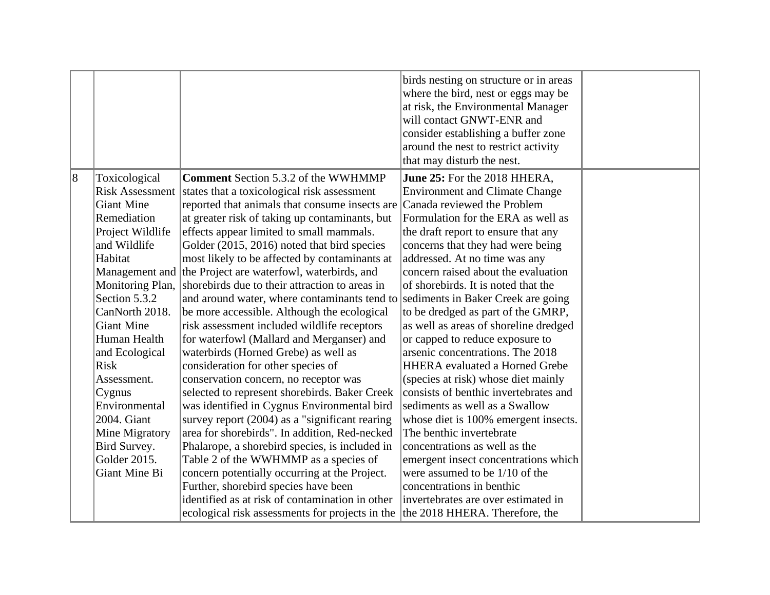|                |                        |                                                                                 | birds nesting on structure or in areas<br>where the bird, nest or eggs may be<br>at risk, the Environmental Manager<br>will contact GNWT-ENR and<br>consider establishing a buffer zone<br>around the nest to restrict activity<br>that may disturb the nest. |  |
|----------------|------------------------|---------------------------------------------------------------------------------|---------------------------------------------------------------------------------------------------------------------------------------------------------------------------------------------------------------------------------------------------------------|--|
| $\overline{8}$ | Toxicological          | <b>Comment</b> Section 5.3.2 of the WWHMMP                                      | June 25: For the 2018 HHERA,                                                                                                                                                                                                                                  |  |
|                | <b>Risk Assessment</b> | states that a toxicological risk assessment                                     | <b>Environment and Climate Change</b>                                                                                                                                                                                                                         |  |
|                | <b>Giant Mine</b>      | reported that animals that consume insects are Canada reviewed the Problem      |                                                                                                                                                                                                                                                               |  |
|                | Remediation            | at greater risk of taking up contaminants, but                                  | Formulation for the ERA as well as                                                                                                                                                                                                                            |  |
|                | Project Wildlife       | effects appear limited to small mammals.                                        | the draft report to ensure that any                                                                                                                                                                                                                           |  |
|                | and Wildlife           | Golder (2015, 2016) noted that bird species                                     | concerns that they had were being                                                                                                                                                                                                                             |  |
|                | Habitat                | most likely to be affected by contaminants at                                   | addressed. At no time was any                                                                                                                                                                                                                                 |  |
|                |                        | Management and the Project are waterfowl, waterbirds, and                       | concern raised about the evaluation                                                                                                                                                                                                                           |  |
|                | Monitoring Plan,       | shorebirds due to their attraction to areas in                                  | of shorebirds. It is noted that the                                                                                                                                                                                                                           |  |
|                | Section 5.3.2          | and around water, where contaminants tend to sediments in Baker Creek are going |                                                                                                                                                                                                                                                               |  |
|                | CanNorth 2018.         | be more accessible. Although the ecological                                     | to be dredged as part of the GMRP,                                                                                                                                                                                                                            |  |
|                | <b>Giant Mine</b>      | risk assessment included wildlife receptors                                     | as well as areas of shoreline dredged                                                                                                                                                                                                                         |  |
|                | Human Health           | for waterfowl (Mallard and Merganser) and                                       | or capped to reduce exposure to                                                                                                                                                                                                                               |  |
|                | and Ecological         | waterbirds (Horned Grebe) as well as                                            | arsenic concentrations. The 2018                                                                                                                                                                                                                              |  |
|                | <b>Risk</b>            | consideration for other species of                                              | <b>HHERA</b> evaluated a Horned Grebe                                                                                                                                                                                                                         |  |
|                | Assessment.            | conservation concern, no receptor was                                           | (species at risk) whose diet mainly                                                                                                                                                                                                                           |  |
|                | Cygnus                 | selected to represent shorebirds. Baker Creek                                   | consists of benthic invertebrates and                                                                                                                                                                                                                         |  |
|                | Environmental          | was identified in Cygnus Environmental bird                                     | sediments as well as a Swallow                                                                                                                                                                                                                                |  |
|                | 2004. Giant            | survey report (2004) as a "significant rearing                                  | whose diet is 100% emergent insects.                                                                                                                                                                                                                          |  |
|                | Mine Migratory         | area for shorebirds". In addition, Red-necked                                   | The benthic invertebrate                                                                                                                                                                                                                                      |  |
|                | Bird Survey.           | Phalarope, a shorebird species, is included in                                  | concentrations as well as the                                                                                                                                                                                                                                 |  |
|                | Golder 2015.           | Table 2 of the WWHMMP as a species of                                           | emergent insect concentrations which                                                                                                                                                                                                                          |  |
|                | Giant Mine Bi          | concern potentially occurring at the Project.                                   | were assumed to be 1/10 of the                                                                                                                                                                                                                                |  |
|                |                        | Further, shorebird species have been                                            | concentrations in benthic                                                                                                                                                                                                                                     |  |
|                |                        | identified as at risk of contamination in other                                 | invertebrates are over estimated in                                                                                                                                                                                                                           |  |
|                |                        | ecological risk assessments for projects in the                                 | the 2018 HHERA. Therefore, the                                                                                                                                                                                                                                |  |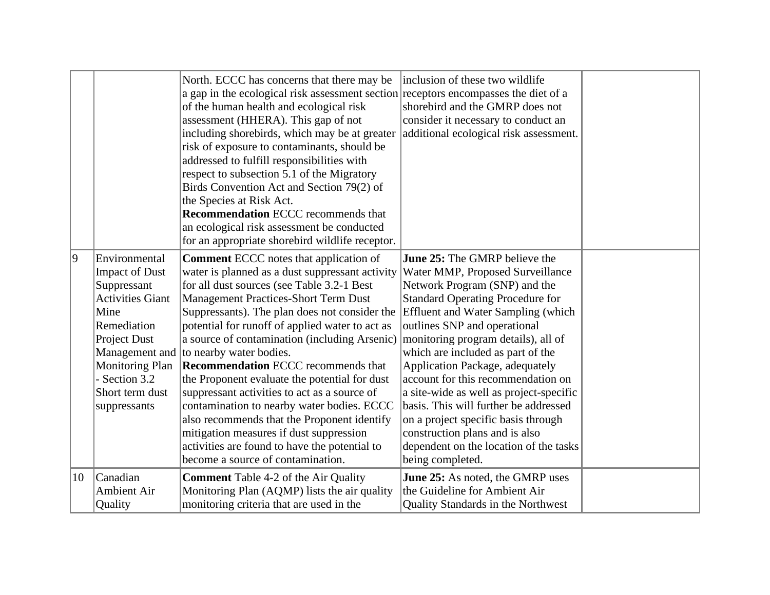|    |                                                                                                                                                                                                       | North. ECCC has concerns that there may be<br>a gap in the ecological risk assessment section receptors encompasses the diet of a<br>of the human health and ecological risk<br>assessment (HHERA). This gap of not<br>including shorebirds, which may be at greater<br>risk of exposure to contaminants, should be<br>addressed to fulfill responsibilities with<br>respect to subsection 5.1 of the Migratory<br>Birds Convention Act and Section 79(2) of<br>the Species at Risk Act.<br><b>Recommendation ECCC recommends that</b><br>an ecological risk assessment be conducted<br>for an appropriate shorebird wildlife receptor.                                                                                                                                   | inclusion of these two wildlife<br>shorebird and the GMRP does not<br>consider it necessary to conduct an<br>additional ecological risk assessment.                                                                                                                                                                                                                                                                                                                                                                                                                                                               |  |
|----|-------------------------------------------------------------------------------------------------------------------------------------------------------------------------------------------------------|---------------------------------------------------------------------------------------------------------------------------------------------------------------------------------------------------------------------------------------------------------------------------------------------------------------------------------------------------------------------------------------------------------------------------------------------------------------------------------------------------------------------------------------------------------------------------------------------------------------------------------------------------------------------------------------------------------------------------------------------------------------------------|-------------------------------------------------------------------------------------------------------------------------------------------------------------------------------------------------------------------------------------------------------------------------------------------------------------------------------------------------------------------------------------------------------------------------------------------------------------------------------------------------------------------------------------------------------------------------------------------------------------------|--|
| 9  | Environmental<br><b>Impact of Dust</b><br>Suppressant<br><b>Activities Giant</b><br>Mine<br>Remediation<br>Project Dust<br><b>Monitoring Plan</b><br>- Section 3.2<br>Short term dust<br>suppressants | <b>Comment ECCC</b> notes that application of<br>water is planned as a dust suppressant activity<br>for all dust sources (see Table 3.2-1 Best<br><b>Management Practices-Short Term Dust</b><br>Suppressants). The plan does not consider the<br>potential for runoff of applied water to act as<br>a source of contamination (including Arsenic)<br>Management and to nearby water bodies.<br><b>Recommendation</b> ECCC recommends that<br>the Proponent evaluate the potential for dust<br>suppressant activities to act as a source of<br>contamination to nearby water bodies. ECCC<br>also recommends that the Proponent identify<br>mitigation measures if dust suppression<br>activities are found to have the potential to<br>become a source of contamination. | <b>June 25:</b> The GMRP believe the<br>Water MMP, Proposed Surveillance<br>Network Program (SNP) and the<br><b>Standard Operating Procedure for</b><br><b>Effluent and Water Sampling (which</b><br>outlines SNP and operational<br>monitoring program details), all of<br>which are included as part of the<br>Application Package, adequately<br>account for this recommendation on<br>a site-wide as well as project-specific<br>basis. This will further be addressed<br>on a project specific basis through<br>construction plans and is also<br>dependent on the location of the tasks<br>being completed. |  |
| 10 | Canadian<br><b>Ambient Air</b><br>Quality                                                                                                                                                             | <b>Comment</b> Table 4-2 of the Air Quality<br>Monitoring Plan (AQMP) lists the air quality<br>monitoring criteria that are used in the                                                                                                                                                                                                                                                                                                                                                                                                                                                                                                                                                                                                                                   | <b>June 25:</b> As noted, the GMRP uses<br>the Guideline for Ambient Air<br>Quality Standards in the Northwest                                                                                                                                                                                                                                                                                                                                                                                                                                                                                                    |  |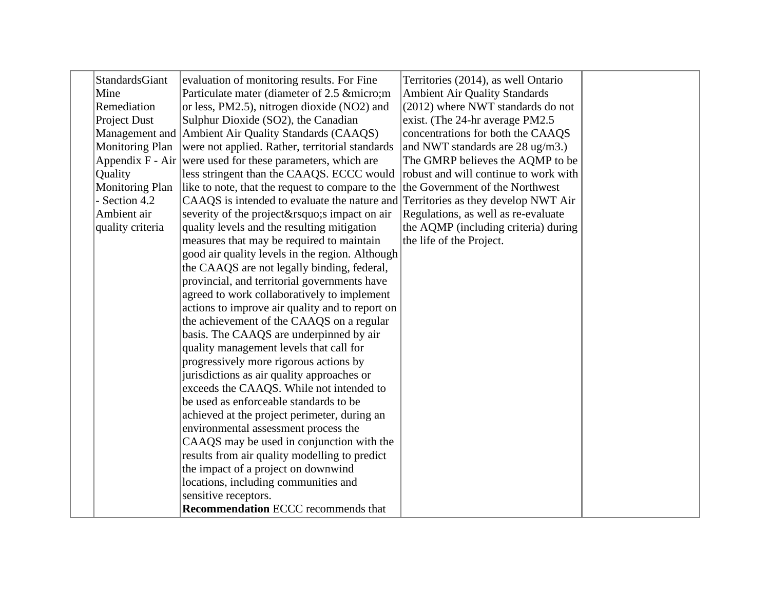| StandardsGiant   | evaluation of monitoring results. For Fine                                       | Territories (2014), as well Ontario   |  |
|------------------|----------------------------------------------------------------------------------|---------------------------------------|--|
| Mine             | Particulate mater (diameter of 2.5 µm                                            | <b>Ambient Air Quality Standards</b>  |  |
| Remediation      | or less, PM2.5), nitrogen dioxide (NO2) and                                      | (2012) where NWT standards do not     |  |
| Project Dust     | Sulphur Dioxide (SO2), the Canadian                                              | exist. (The 24-hr average PM2.5)      |  |
|                  | Management and Ambient Air Quality Standards (CAAQS)                             | concentrations for both the CAAQS     |  |
| Monitoring Plan  | were not applied. Rather, territorial standards                                  | and NWT standards are 28 ug/m3.)      |  |
|                  | Appendix $F - Air$ were used for these parameters, which are                     | The GMRP believes the AQMP to be      |  |
| Quality          | less stringent than the CAAQS. ECCC would                                        | robust and will continue to work with |  |
| Monitoring Plan  | like to note, that the request to compare to the                                 | the Government of the Northwest       |  |
| - Section 4.2    | CAAQS is intended to evaluate the nature and Territories as they develop NWT Air |                                       |  |
| Ambient air      | severity of the project' simpact on air                                          | Regulations, as well as re-evaluate   |  |
| quality criteria | quality levels and the resulting mitigation                                      | the AQMP (including criteria) during  |  |
|                  | measures that may be required to maintain                                        | the life of the Project.              |  |
|                  | good air quality levels in the region. Although                                  |                                       |  |
|                  | the CAAQS are not legally binding, federal,                                      |                                       |  |
|                  | provincial, and territorial governments have                                     |                                       |  |
|                  | agreed to work collaboratively to implement                                      |                                       |  |
|                  | actions to improve air quality and to report on                                  |                                       |  |
|                  | the achievement of the CAAQS on a regular                                        |                                       |  |
|                  | basis. The CAAQS are underpinned by air                                          |                                       |  |
|                  | quality management levels that call for                                          |                                       |  |
|                  | progressively more rigorous actions by                                           |                                       |  |
|                  | jurisdictions as air quality approaches or                                       |                                       |  |
|                  | exceeds the CAAQS. While not intended to                                         |                                       |  |
|                  | be used as enforceable standards to be                                           |                                       |  |
|                  | achieved at the project perimeter, during an                                     |                                       |  |
|                  | environmental assessment process the                                             |                                       |  |
|                  | CAAQS may be used in conjunction with the                                        |                                       |  |
|                  | results from air quality modelling to predict                                    |                                       |  |
|                  | the impact of a project on downwind                                              |                                       |  |
|                  | locations, including communities and                                             |                                       |  |
|                  | sensitive receptors.                                                             |                                       |  |
|                  | <b>Recommendation ECCC recommends that</b>                                       |                                       |  |
|                  |                                                                                  |                                       |  |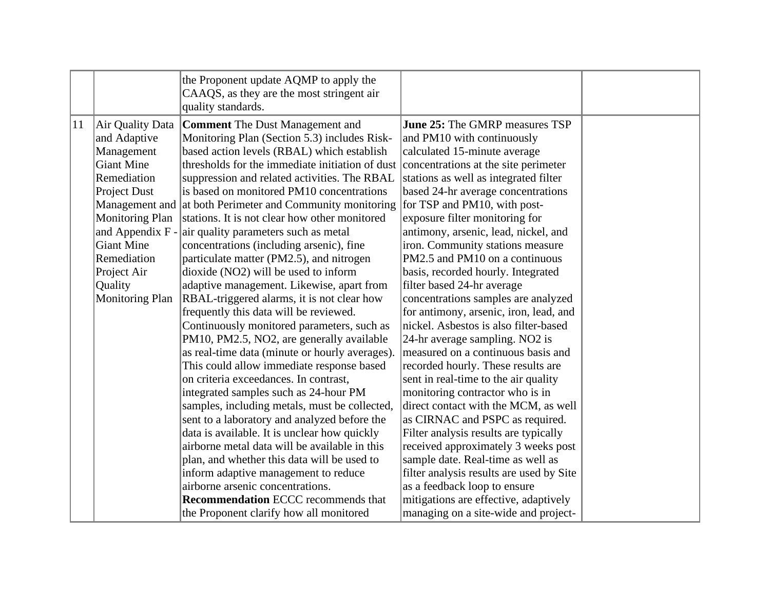|    |                                                                                                                                                                                                                                              | the Proponent update AQMP to apply the<br>CAAQS, as they are the most stringent air<br>quality standards.                                                                                                                                                                                                                                                                                                                                                                                                                                                                                                                                                                                                                                                                                                                                                                                                                                                                                                                                                                                                                                                                                                                     |                                                                                                                                                                                                                                                                                                                                                                                                                                                                                                                                                                                                                                                                                                                                                                                                                                                                                                                                                                                                   |  |
|----|----------------------------------------------------------------------------------------------------------------------------------------------------------------------------------------------------------------------------------------------|-------------------------------------------------------------------------------------------------------------------------------------------------------------------------------------------------------------------------------------------------------------------------------------------------------------------------------------------------------------------------------------------------------------------------------------------------------------------------------------------------------------------------------------------------------------------------------------------------------------------------------------------------------------------------------------------------------------------------------------------------------------------------------------------------------------------------------------------------------------------------------------------------------------------------------------------------------------------------------------------------------------------------------------------------------------------------------------------------------------------------------------------------------------------------------------------------------------------------------|---------------------------------------------------------------------------------------------------------------------------------------------------------------------------------------------------------------------------------------------------------------------------------------------------------------------------------------------------------------------------------------------------------------------------------------------------------------------------------------------------------------------------------------------------------------------------------------------------------------------------------------------------------------------------------------------------------------------------------------------------------------------------------------------------------------------------------------------------------------------------------------------------------------------------------------------------------------------------------------------------|--|
| 11 | Air Quality Data<br>and Adaptive<br>Management<br>Giant Mine<br>Remediation<br>Project Dust<br>Management and<br><b>Monitoring Plan</b><br>and Appendix F -<br>Giant Mine<br>Remediation<br>Project Air<br>Quality<br><b>Monitoring Plan</b> | <b>Comment</b> The Dust Management and<br>Monitoring Plan (Section 5.3) includes Risk-<br>based action levels (RBAL) which establish<br>thresholds for the immediate initiation of dust<br>suppression and related activities. The RBAL<br>is based on monitored PM10 concentrations<br>at both Perimeter and Community monitoring<br>stations. It is not clear how other monitored<br>air quality parameters such as metal<br>concentrations (including arsenic), fine<br>particulate matter (PM2.5), and nitrogen<br>dioxide (NO2) will be used to inform<br>adaptive management. Likewise, apart from<br>RBAL-triggered alarms, it is not clear how<br>frequently this data will be reviewed.<br>Continuously monitored parameters, such as<br>PM10, PM2.5, NO2, are generally available<br>as real-time data (minute or hourly averages).<br>This could allow immediate response based<br>on criteria exceedances. In contrast,<br>integrated samples such as 24-hour PM<br>samples, including metals, must be collected,<br>sent to a laboratory and analyzed before the<br>data is available. It is unclear how quickly<br>airborne metal data will be available in this<br>plan, and whether this data will be used to | <b>June 25:</b> The GMRP measures TSP<br>and PM10 with continuously<br>calculated 15-minute average<br>concentrations at the site perimeter<br>stations as well as integrated filter<br>based 24-hr average concentrations<br>for TSP and PM10, with post-<br>exposure filter monitoring for<br>antimony, arsenic, lead, nickel, and<br>iron. Community stations measure<br>PM2.5 and PM10 on a continuous<br>basis, recorded hourly. Integrated<br>filter based 24-hr average<br>concentrations samples are analyzed<br>for antimony, arsenic, iron, lead, and<br>nickel. Asbestos is also filter-based<br>24-hr average sampling. NO2 is<br>measured on a continuous basis and<br>recorded hourly. These results are<br>sent in real-time to the air quality<br>monitoring contractor who is in<br>direct contact with the MCM, as well<br>as CIRNAC and PSPC as required.<br>Filter analysis results are typically<br>received approximately 3 weeks post<br>sample date. Real-time as well as |  |
|    |                                                                                                                                                                                                                                              | inform adaptive management to reduce<br>airborne arsenic concentrations.<br><b>Recommendation ECCC recommends that</b>                                                                                                                                                                                                                                                                                                                                                                                                                                                                                                                                                                                                                                                                                                                                                                                                                                                                                                                                                                                                                                                                                                        | filter analysis results are used by Site<br>as a feedback loop to ensure<br>mitigations are effective, adaptively                                                                                                                                                                                                                                                                                                                                                                                                                                                                                                                                                                                                                                                                                                                                                                                                                                                                                 |  |
|    |                                                                                                                                                                                                                                              | the Proponent clarify how all monitored                                                                                                                                                                                                                                                                                                                                                                                                                                                                                                                                                                                                                                                                                                                                                                                                                                                                                                                                                                                                                                                                                                                                                                                       | managing on a site-wide and project-                                                                                                                                                                                                                                                                                                                                                                                                                                                                                                                                                                                                                                                                                                                                                                                                                                                                                                                                                              |  |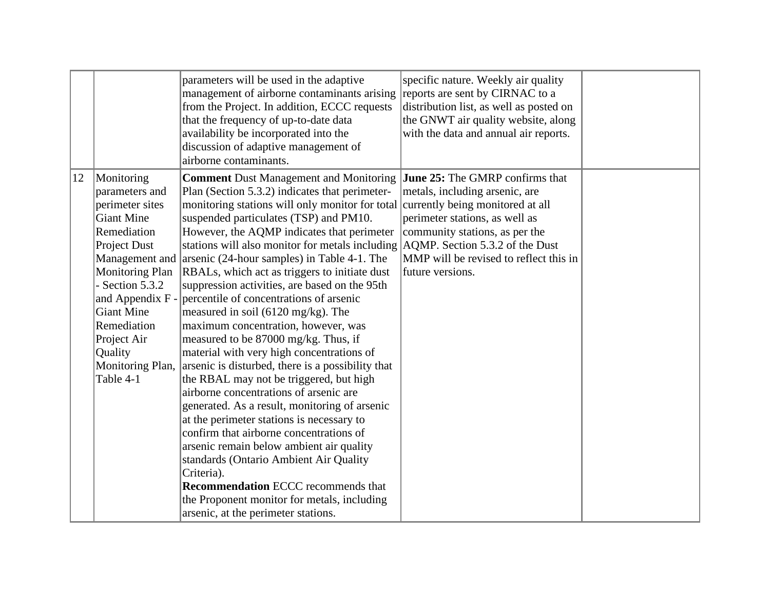|    |                                                                                                                                                                                                                                                                           | parameters will be used in the adaptive<br>management of airborne contaminants arising<br>from the Project. In addition, ECCC requests<br>that the frequency of up-to-date data<br>availability be incorporated into the<br>discussion of adaptive management of<br>airborne contaminants.                                                                                                                                                                                                                                                                                                                                                                                                                                                                                                                                                                                                                                                                                                                                                                                                                                                                                                           | specific nature. Weekly air quality<br>reports are sent by CIRNAC to a<br>distribution list, as well as posted on<br>the GNWT air quality website, along<br>with the data and annual air reports.                                                                          |  |
|----|---------------------------------------------------------------------------------------------------------------------------------------------------------------------------------------------------------------------------------------------------------------------------|------------------------------------------------------------------------------------------------------------------------------------------------------------------------------------------------------------------------------------------------------------------------------------------------------------------------------------------------------------------------------------------------------------------------------------------------------------------------------------------------------------------------------------------------------------------------------------------------------------------------------------------------------------------------------------------------------------------------------------------------------------------------------------------------------------------------------------------------------------------------------------------------------------------------------------------------------------------------------------------------------------------------------------------------------------------------------------------------------------------------------------------------------------------------------------------------------|----------------------------------------------------------------------------------------------------------------------------------------------------------------------------------------------------------------------------------------------------------------------------|--|
| 12 | Monitoring<br>parameters and<br>perimeter sites<br>Giant Mine<br>Remediation<br>Project Dust<br>Management and<br><b>Monitoring Plan</b><br>- Section $5.3.2$<br>and Appendix F -<br>Giant Mine<br>Remediation<br>Project Air<br>Quality<br>Monitoring Plan,<br>Table 4-1 | <b>Comment Dust Management and Monitoring</b><br>Plan (Section 5.3.2) indicates that perimeter-<br>monitoring stations will only monitor for total<br>suspended particulates (TSP) and PM10.<br>However, the AQMP indicates that perimeter<br>stations will also monitor for metals including<br>arsenic $(24$ -hour samples) in Table 4-1. The<br>RBALs, which act as triggers to initiate dust<br>suppression activities, are based on the 95th<br>percentile of concentrations of arsenic<br>measured in soil $(6120 \text{ mg/kg})$ . The<br>maximum concentration, however, was<br>measured to be 87000 mg/kg. Thus, if<br>material with very high concentrations of<br>arsenic is disturbed, there is a possibility that<br>the RBAL may not be triggered, but high<br>airborne concentrations of arsenic are<br>generated. As a result, monitoring of arsenic<br>at the perimeter stations is necessary to<br>confirm that airborne concentrations of<br>arsenic remain below ambient air quality<br>standards (Ontario Ambient Air Quality<br>Criteria).<br><b>Recommendation ECCC recommends that</b><br>the Proponent monitor for metals, including<br>arsenic, at the perimeter stations. | June 25: The GMRP confirms that<br>metals, including arsenic, are<br>currently being monitored at all<br>perimeter stations, as well as<br>community stations, as per the<br>AQMP. Section 5.3.2 of the Dust<br>MMP will be revised to reflect this in<br>future versions. |  |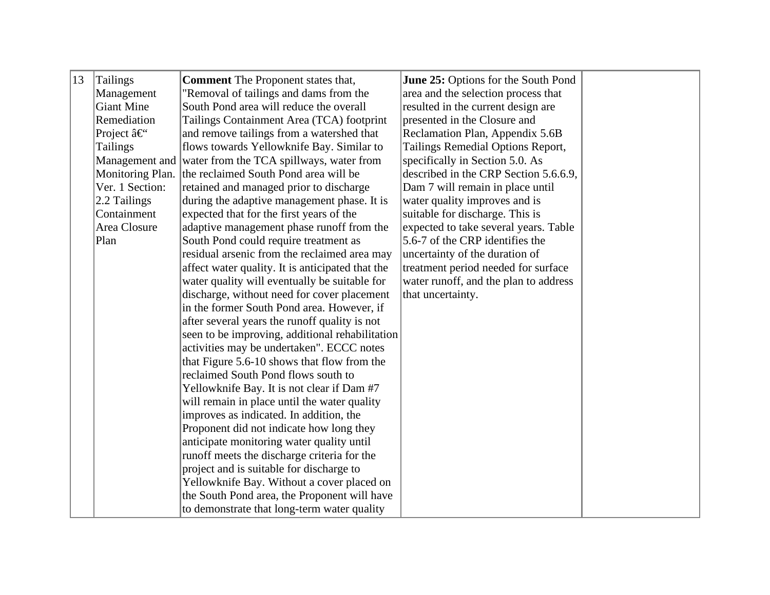| 13 | <b>Tailings</b>  | <b>Comment</b> The Proponent states that,               | June 25: Options for the South Pond   |  |
|----|------------------|---------------------------------------------------------|---------------------------------------|--|
|    | Management       | "Removal of tailings and dams from the                  | area and the selection process that   |  |
|    | Giant Mine       | South Pond area will reduce the overall                 | resulted in the current design are    |  |
|    | Remediation      | Tailings Containment Area (TCA) footprint               | presented in the Closure and          |  |
|    | Project â€       | and remove tailings from a watershed that               | Reclamation Plan, Appendix 5.6B       |  |
|    | <b>Tailings</b>  | flows towards Yellowknife Bay. Similar to               | Tailings Remedial Options Report,     |  |
|    |                  | Management and water from the TCA spillways, water from | specifically in Section 5.0. As       |  |
|    | Monitoring Plan. | the reclaimed South Pond area will be                   | described in the CRP Section 5.6.6.9, |  |
|    | Ver. 1 Section:  | retained and managed prior to discharge                 | Dam 7 will remain in place until      |  |
|    | 2.2 Tailings     | during the adaptive management phase. It is             | water quality improves and is         |  |
|    | Containment      | expected that for the first years of the                | suitable for discharge. This is       |  |
|    | Area Closure     | adaptive management phase runoff from the               | expected to take several years. Table |  |
|    | Plan             | South Pond could require treatment as                   | 5.6-7 of the CRP identifies the       |  |
|    |                  | residual arsenic from the reclaimed area may            | uncertainty of the duration of        |  |
|    |                  | affect water quality. It is anticipated that the        | treatment period needed for surface   |  |
|    |                  | water quality will eventually be suitable for           | water runoff, and the plan to address |  |
|    |                  | discharge, without need for cover placement             | that uncertainty.                     |  |
|    |                  | in the former South Pond area. However, if              |                                       |  |
|    |                  | after several years the runoff quality is not           |                                       |  |
|    |                  | seen to be improving, additional rehabilitation         |                                       |  |
|    |                  | activities may be undertaken". ECCC notes               |                                       |  |
|    |                  | that Figure 5.6-10 shows that flow from the             |                                       |  |
|    |                  | reclaimed South Pond flows south to                     |                                       |  |
|    |                  | Yellowknife Bay. It is not clear if Dam #7              |                                       |  |
|    |                  | will remain in place until the water quality            |                                       |  |
|    |                  | improves as indicated. In addition, the                 |                                       |  |
|    |                  | Proponent did not indicate how long they                |                                       |  |
|    |                  | anticipate monitoring water quality until               |                                       |  |
|    |                  | runoff meets the discharge criteria for the             |                                       |  |
|    |                  | project and is suitable for discharge to                |                                       |  |
|    |                  | Yellowknife Bay. Without a cover placed on              |                                       |  |
|    |                  | the South Pond area, the Proponent will have            |                                       |  |
|    |                  | to demonstrate that long-term water quality             |                                       |  |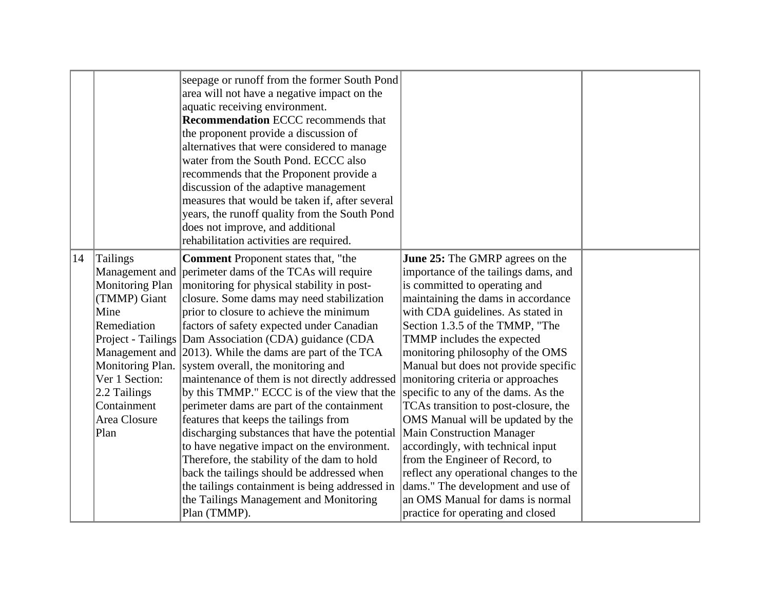|                    |                                                                                                                                                          | seepage or runoff from the former South Pond<br>area will not have a negative impact on the<br>aquatic receiving environment.<br><b>Recommendation ECCC recommends that</b><br>the proponent provide a discussion of<br>alternatives that were considered to manage<br>water from the South Pond. ECCC also<br>recommends that the Proponent provide a<br>discussion of the adaptive management<br>measures that would be taken if, after several<br>years, the runoff quality from the South Pond<br>does not improve, and additional<br>rehabilitation activities are required.                                                                                                                                                                                                                                                                                                                                                                     |                                                                                                                                                                                                                                                                                                                                                                                                                                                                                                                                                                                                                                                                                                                                                               |  |
|--------------------|----------------------------------------------------------------------------------------------------------------------------------------------------------|-------------------------------------------------------------------------------------------------------------------------------------------------------------------------------------------------------------------------------------------------------------------------------------------------------------------------------------------------------------------------------------------------------------------------------------------------------------------------------------------------------------------------------------------------------------------------------------------------------------------------------------------------------------------------------------------------------------------------------------------------------------------------------------------------------------------------------------------------------------------------------------------------------------------------------------------------------|---------------------------------------------------------------------------------------------------------------------------------------------------------------------------------------------------------------------------------------------------------------------------------------------------------------------------------------------------------------------------------------------------------------------------------------------------------------------------------------------------------------------------------------------------------------------------------------------------------------------------------------------------------------------------------------------------------------------------------------------------------------|--|
| 14<br>Mine<br>Plan | Tailings<br><b>Monitoring Plan</b><br>(TMMP) Giant<br>Remediation<br>Monitoring Plan.<br>Ver 1 Section:<br>$2.2$ Tailings<br>Containment<br>Area Closure | <b>Comment</b> Proponent states that, "the<br>Management and perimeter dams of the TCAs will require<br>monitoring for physical stability in post-<br>closure. Some dams may need stabilization<br>prior to closure to achieve the minimum<br>factors of safety expected under Canadian<br>Project - Tailings Dam Association (CDA) guidance (CDA)<br>Management and 2013). While the dams are part of the TCA<br>system overall, the monitoring and<br>maintenance of them is not directly addressed<br>by this TMMP." ECCC is of the view that the<br>perimeter dams are part of the containment<br>features that keeps the tailings from<br>discharging substances that have the potential<br>to have negative impact on the environment.<br>Therefore, the stability of the dam to hold<br>back the tailings should be addressed when<br>the tailings containment is being addressed in<br>the Tailings Management and Monitoring<br>Plan (TMMP). | June 25: The GMRP agrees on the<br>importance of the tailings dams, and<br>is committed to operating and<br>maintaining the dams in accordance<br>with CDA guidelines. As stated in<br>Section 1.3.5 of the TMMP, "The<br>TMMP includes the expected<br>monitoring philosophy of the OMS<br>Manual but does not provide specific<br>monitoring criteria or approaches<br>specific to any of the dams. As the<br>TCAs transition to post-closure, the<br>OMS Manual will be updated by the<br><b>Main Construction Manager</b><br>accordingly, with technical input<br>from the Engineer of Record, to<br>reflect any operational changes to the<br>dams." The development and use of<br>an OMS Manual for dams is normal<br>practice for operating and closed |  |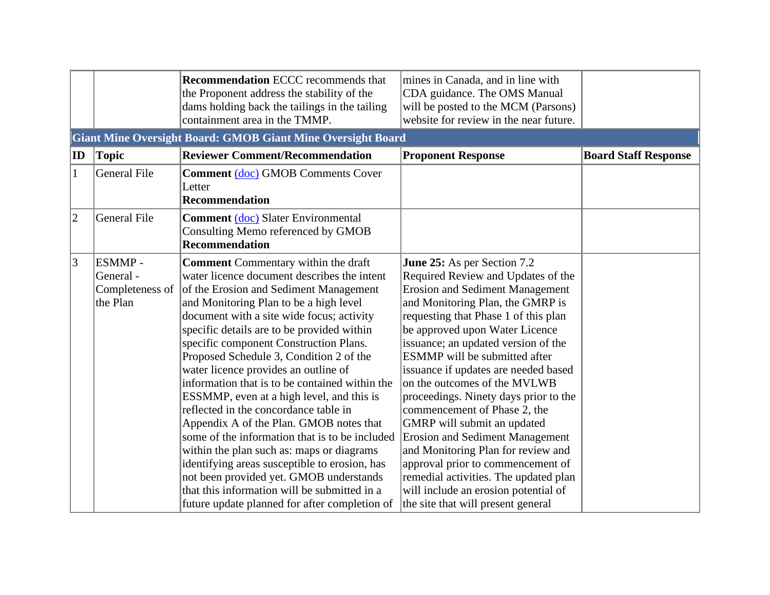|              |                                                    | <b>Recommendation ECCC recommends that</b><br>the Proponent address the stability of the<br>dams holding back the tailings in the tailing<br>containment area in the TMMP.                                                                                                                                                                                                                                                                                                                                                                                                                                                                                                                                                                                                                                                                                                           | mines in Canada, and in line with<br>CDA guidance. The OMS Manual<br>will be posted to the MCM (Parsons)<br>website for review in the near future.                                                                                                                                                                                                                                                                                                                                                                                                                                                                                                                                                                                   |                             |
|--------------|----------------------------------------------------|--------------------------------------------------------------------------------------------------------------------------------------------------------------------------------------------------------------------------------------------------------------------------------------------------------------------------------------------------------------------------------------------------------------------------------------------------------------------------------------------------------------------------------------------------------------------------------------------------------------------------------------------------------------------------------------------------------------------------------------------------------------------------------------------------------------------------------------------------------------------------------------|--------------------------------------------------------------------------------------------------------------------------------------------------------------------------------------------------------------------------------------------------------------------------------------------------------------------------------------------------------------------------------------------------------------------------------------------------------------------------------------------------------------------------------------------------------------------------------------------------------------------------------------------------------------------------------------------------------------------------------------|-----------------------------|
|              |                                                    | <b>Giant Mine Oversight Board: GMOB Giant Mine Oversight Board</b>                                                                                                                                                                                                                                                                                                                                                                                                                                                                                                                                                                                                                                                                                                                                                                                                                   |                                                                                                                                                                                                                                                                                                                                                                                                                                                                                                                                                                                                                                                                                                                                      |                             |
| ID           | Topic                                              | <b>Reviewer Comment/Recommendation</b>                                                                                                                                                                                                                                                                                                                                                                                                                                                                                                                                                                                                                                                                                                                                                                                                                                               | <b>Proponent Response</b>                                                                                                                                                                                                                                                                                                                                                                                                                                                                                                                                                                                                                                                                                                            | <b>Board Staff Response</b> |
| $\mathbf{1}$ | General File                                       | <b>Comment (doc) GMOB Comments Cover</b><br>Letter<br><b>Recommendation</b>                                                                                                                                                                                                                                                                                                                                                                                                                                                                                                                                                                                                                                                                                                                                                                                                          |                                                                                                                                                                                                                                                                                                                                                                                                                                                                                                                                                                                                                                                                                                                                      |                             |
| $ 2\rangle$  | <b>General File</b>                                | <b>Comment (doc)</b> Slater Environmental<br>Consulting Memo referenced by GMOB<br><b>Recommendation</b>                                                                                                                                                                                                                                                                                                                                                                                                                                                                                                                                                                                                                                                                                                                                                                             |                                                                                                                                                                                                                                                                                                                                                                                                                                                                                                                                                                                                                                                                                                                                      |                             |
| $ 3\rangle$  | ESMMP-<br>General -<br>Completeness of<br>the Plan | <b>Comment</b> Commentary within the draft<br>water licence document describes the intent<br>of the Erosion and Sediment Management<br>and Monitoring Plan to be a high level<br>document with a site wide focus; activity<br>specific details are to be provided within<br>specific component Construction Plans.<br>Proposed Schedule 3, Condition 2 of the<br>water licence provides an outline of<br>information that is to be contained within the<br>ESSMMP, even at a high level, and this is<br>reflected in the concordance table in<br>Appendix A of the Plan. GMOB notes that<br>some of the information that is to be included<br>within the plan such as: maps or diagrams<br>identifying areas susceptible to erosion, has<br>not been provided yet. GMOB understands<br>that this information will be submitted in a<br>future update planned for after completion of | <b>June 25:</b> As per Section 7.2<br>Required Review and Updates of the<br><b>Erosion and Sediment Management</b><br>and Monitoring Plan, the GMRP is<br>requesting that Phase 1 of this plan<br>be approved upon Water Licence<br>issuance; an updated version of the<br>ESMMP will be submitted after<br>issuance if updates are needed based<br>on the outcomes of the MVLWB<br>proceedings. Ninety days prior to the<br>commencement of Phase 2, the<br>GMRP will submit an updated<br><b>Erosion and Sediment Management</b><br>and Monitoring Plan for review and<br>approval prior to commencement of<br>remedial activities. The updated plan<br>will include an erosion potential of<br>the site that will present general |                             |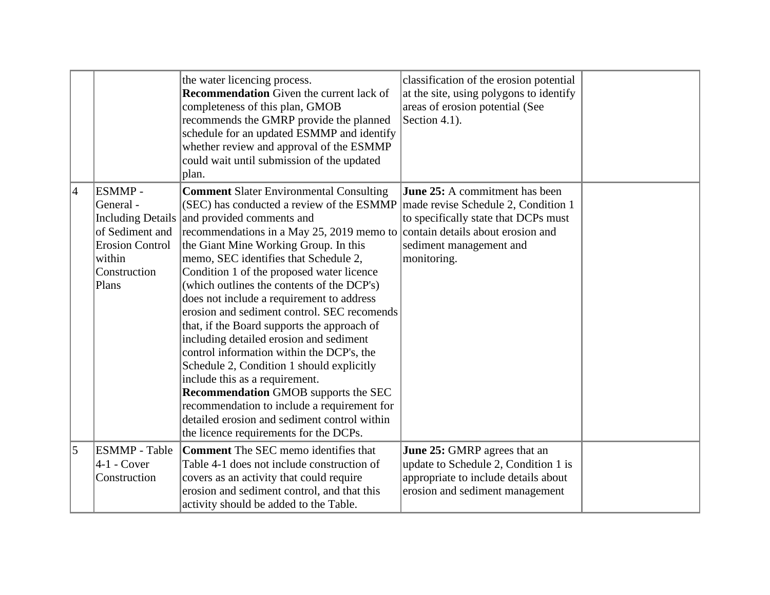|                 |                                                                                                                                  | the water licencing process.<br><b>Recommendation</b> Given the current lack of<br>completeness of this plan, GMOB<br>recommends the GMRP provide the planned<br>schedule for an updated ESMMP and identify<br>whether review and approval of the ESMMP<br>could wait until submission of the updated<br>plan.                                                                                                                                                                                                                                                                                                                                                                                                                                                                                                                                                                                                                             | classification of the erosion potential<br>at the site, using polygons to identify<br>areas of erosion potential (See<br>Section 4.1).                 |  |
|-----------------|----------------------------------------------------------------------------------------------------------------------------------|--------------------------------------------------------------------------------------------------------------------------------------------------------------------------------------------------------------------------------------------------------------------------------------------------------------------------------------------------------------------------------------------------------------------------------------------------------------------------------------------------------------------------------------------------------------------------------------------------------------------------------------------------------------------------------------------------------------------------------------------------------------------------------------------------------------------------------------------------------------------------------------------------------------------------------------------|--------------------------------------------------------------------------------------------------------------------------------------------------------|--|
| $\vert 4 \vert$ | ESMMP -<br>General -<br><b>Including Details</b><br>of Sediment and<br><b>Erosion Control</b><br>within<br>Construction<br>Plans | <b>Comment Slater Environmental Consulting</b><br>(SEC) has conducted a review of the ESMMP $\vert$ made revise Schedule 2, Condition 1<br>and provided comments and<br>recommendations in a May 25, 2019 memo to contain details about erosion and<br>the Giant Mine Working Group. In this<br>memo, SEC identifies that Schedule 2,<br>Condition 1 of the proposed water licence<br>(which outlines the contents of the DCP's)<br>does not include a requirement to address<br>erosion and sediment control. SEC recomends<br>that, if the Board supports the approach of<br>including detailed erosion and sediment<br>control information within the DCP's, the<br>Schedule 2, Condition 1 should explicitly<br>include this as a requirement.<br><b>Recommendation GMOB supports the SEC</b><br>recommendation to include a requirement for<br>detailed erosion and sediment control within<br>the licence requirements for the DCPs. | <b>June 25:</b> A commitment has been<br>to specifically state that DCPs must<br>sediment management and<br>monitoring.                                |  |
| $\overline{5}$  | <b>ESMMP</b> - Table<br>4-1 - Cover<br>Construction                                                                              | <b>Comment</b> The SEC memo identifies that<br>Table 4-1 does not include construction of<br>covers as an activity that could require<br>erosion and sediment control, and that this<br>activity should be added to the Table.                                                                                                                                                                                                                                                                                                                                                                                                                                                                                                                                                                                                                                                                                                             | <b>June 25: GMRP</b> agrees that an<br>update to Schedule 2, Condition 1 is<br>appropriate to include details about<br>erosion and sediment management |  |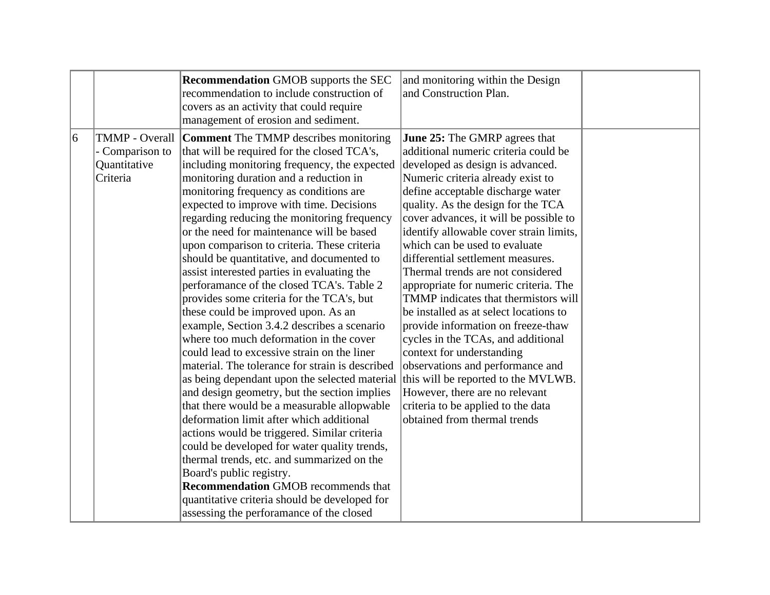|   |                                                                      | <b>Recommendation GMOB supports the SEC</b><br>recommendation to include construction of<br>covers as an activity that could require<br>management of erosion and sediment.                                                                                                                                                                                                                                                                                                                                                                                                                                                                                                                                                                                                                                                                                                                                                                                                                                                                                                                                                                                                                                                                                                                                                                                      | and monitoring within the Design<br>and Construction Plan.                                                                                                                                                                                                                                                                                                                                                                                                                                                                                                                                                                                                                                                                                                                                                                                              |  |
|---|----------------------------------------------------------------------|------------------------------------------------------------------------------------------------------------------------------------------------------------------------------------------------------------------------------------------------------------------------------------------------------------------------------------------------------------------------------------------------------------------------------------------------------------------------------------------------------------------------------------------------------------------------------------------------------------------------------------------------------------------------------------------------------------------------------------------------------------------------------------------------------------------------------------------------------------------------------------------------------------------------------------------------------------------------------------------------------------------------------------------------------------------------------------------------------------------------------------------------------------------------------------------------------------------------------------------------------------------------------------------------------------------------------------------------------------------|---------------------------------------------------------------------------------------------------------------------------------------------------------------------------------------------------------------------------------------------------------------------------------------------------------------------------------------------------------------------------------------------------------------------------------------------------------------------------------------------------------------------------------------------------------------------------------------------------------------------------------------------------------------------------------------------------------------------------------------------------------------------------------------------------------------------------------------------------------|--|
| 6 | <b>TMMP</b> - Overall<br>- Comparison to<br>Quantitative<br>Criteria | <b>Comment</b> The TMMP describes monitoring<br>that will be required for the closed TCA's,<br>including monitoring frequency, the expected<br>monitoring duration and a reduction in<br>monitoring frequency as conditions are<br>expected to improve with time. Decisions<br>regarding reducing the monitoring frequency<br>or the need for maintenance will be based<br>upon comparison to criteria. These criteria<br>should be quantitative, and documented to<br>assist interested parties in evaluating the<br>perforamance of the closed TCA's. Table 2<br>provides some criteria for the TCA's, but<br>these could be improved upon. As an<br>example, Section 3.4.2 describes a scenario<br>where too much deformation in the cover<br>could lead to excessive strain on the liner<br>material. The tolerance for strain is described<br>as being dependant upon the selected material<br>and design geometry, but the section implies<br>that there would be a measurable allopwable<br>deformation limit after which additional<br>actions would be triggered. Similar criteria<br>could be developed for water quality trends,<br>thermal trends, etc. and summarized on the<br>Board's public registry.<br><b>Recommendation GMOB recommends that</b><br>quantitative criteria should be developed for<br>assessing the perforamance of the closed | <b>June 25:</b> The GMRP agrees that<br>additional numeric criteria could be<br>developed as design is advanced.<br>Numeric criteria already exist to<br>define acceptable discharge water<br>quality. As the design for the TCA<br>cover advances, it will be possible to<br>identify allowable cover strain limits,<br>which can be used to evaluate<br>differential settlement measures.<br>Thermal trends are not considered<br>appropriate for numeric criteria. The<br>TMMP indicates that thermistors will<br>be installed as at select locations to<br>provide information on freeze-thaw<br>cycles in the TCAs, and additional<br>context for understanding<br>observations and performance and<br>this will be reported to the MVLWB.<br>However, there are no relevant<br>criteria to be applied to the data<br>obtained from thermal trends |  |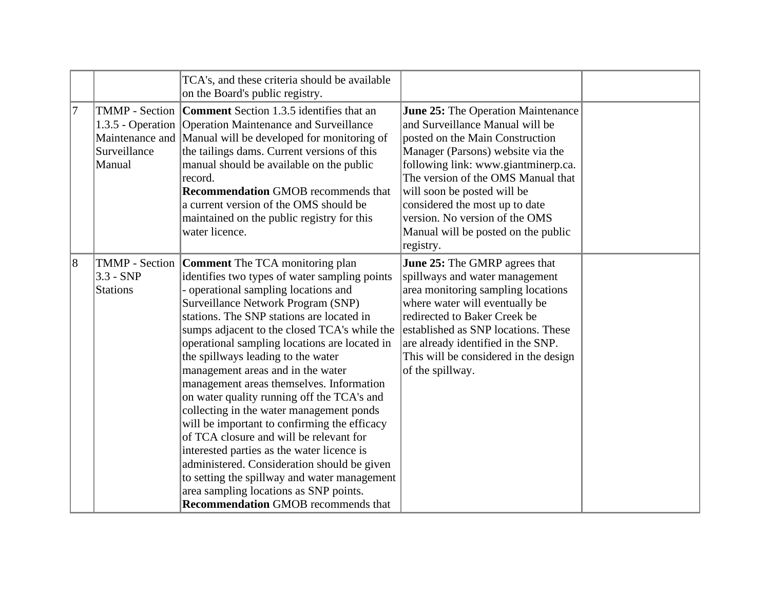|           |                                | TCA's, and these criteria should be available<br>on the Board's public registry.                                                                                                                                                                                                                                                                                                                                                                                                                                                                                                                                                                                                                                                                                                                                                                                             |                                                                                                                                                                                                                                                                                                                                                                                          |  |
|-----------|--------------------------------|------------------------------------------------------------------------------------------------------------------------------------------------------------------------------------------------------------------------------------------------------------------------------------------------------------------------------------------------------------------------------------------------------------------------------------------------------------------------------------------------------------------------------------------------------------------------------------------------------------------------------------------------------------------------------------------------------------------------------------------------------------------------------------------------------------------------------------------------------------------------------|------------------------------------------------------------------------------------------------------------------------------------------------------------------------------------------------------------------------------------------------------------------------------------------------------------------------------------------------------------------------------------------|--|
| 17        | Surveillance<br>Manual         | <b>TMMP</b> - Section <b>Comment</b> Section 1.3.5 identifies that an<br>1.3.5 - Operation   Operation Maintenance and Surveillance<br>Maintenance and Manual will be developed for monitoring of<br>the tailings dams. Current versions of this<br>manual should be available on the public<br>record.<br><b>Recommendation GMOB recommends that</b><br>a current version of the OMS should be<br>maintained on the public registry for this<br>water licence.                                                                                                                                                                                                                                                                                                                                                                                                              | <b>June 25:</b> The Operation Maintenance<br>and Surveillance Manual will be<br>posted on the Main Construction<br>Manager (Parsons) website via the<br>following link: www.giantminerp.ca.<br>The version of the OMS Manual that<br>will soon be posted will be<br>considered the most up to date<br>version. No version of the OMS<br>Manual will be posted on the public<br>registry. |  |
| $\vert 8$ | $3.3 - SNP$<br><b>Stations</b> | TMMP - Section Comment The TCA monitoring plan<br>identifies two types of water sampling points<br>- operational sampling locations and<br>Surveillance Network Program (SNP)<br>stations. The SNP stations are located in<br>sumps adjacent to the closed TCA's while the<br>operational sampling locations are located in<br>the spillways leading to the water<br>management areas and in the water<br>management areas themselves. Information<br>on water quality running off the TCA's and<br>collecting in the water management ponds<br>will be important to confirming the efficacy<br>of TCA closure and will be relevant for<br>interested parties as the water licence is<br>administered. Consideration should be given<br>to setting the spillway and water management<br>area sampling locations as SNP points.<br><b>Recommendation GMOB recommends that</b> | <b>June 25:</b> The GMRP agrees that<br>spillways and water management<br>area monitoring sampling locations<br>where water will eventually be<br>redirected to Baker Creek be<br>established as SNP locations. These<br>are already identified in the SNP.<br>This will be considered in the design<br>of the spillway.                                                                 |  |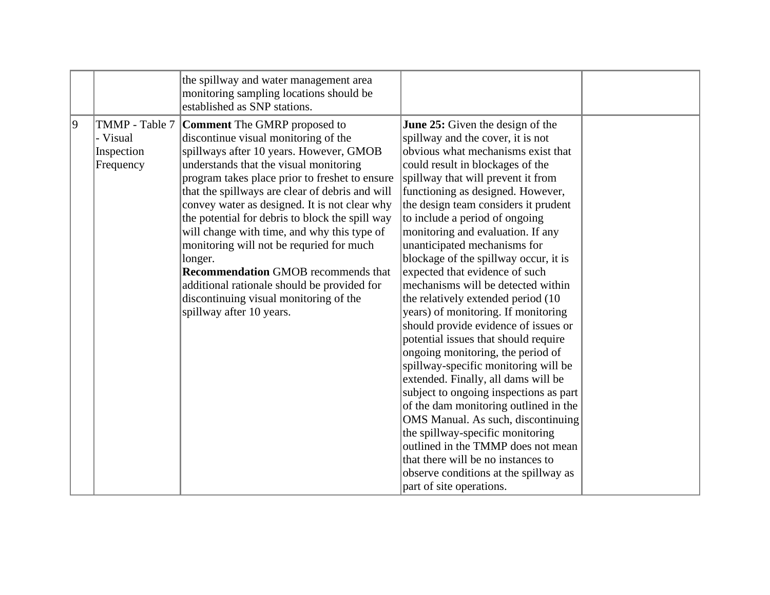|   |                                     | the spillway and water management area<br>monitoring sampling locations should be<br>established as SNP stations.                                                                                                                                                                                                                                                                                                                                                                                                                                                                                                                                            |                                                                                                                                                                                                                                                                                                                                                                                                                                                                                                                                                                                                                                                                                                                                                                                                                                                                                                                                                                                                                                                                                                   |  |
|---|-------------------------------------|--------------------------------------------------------------------------------------------------------------------------------------------------------------------------------------------------------------------------------------------------------------------------------------------------------------------------------------------------------------------------------------------------------------------------------------------------------------------------------------------------------------------------------------------------------------------------------------------------------------------------------------------------------------|---------------------------------------------------------------------------------------------------------------------------------------------------------------------------------------------------------------------------------------------------------------------------------------------------------------------------------------------------------------------------------------------------------------------------------------------------------------------------------------------------------------------------------------------------------------------------------------------------------------------------------------------------------------------------------------------------------------------------------------------------------------------------------------------------------------------------------------------------------------------------------------------------------------------------------------------------------------------------------------------------------------------------------------------------------------------------------------------------|--|
| 9 | - Visual<br>Inspection<br>Frequency | TMMP - Table 7   Comment The GMRP proposed to<br>discontinue visual monitoring of the<br>spillways after 10 years. However, GMOB<br>understands that the visual monitoring<br>program takes place prior to freshet to ensure<br>that the spillways are clear of debris and will<br>convey water as designed. It is not clear why<br>the potential for debris to block the spill way<br>will change with time, and why this type of<br>monitoring will not be requried for much<br>longer.<br><b>Recommendation GMOB recommends that</b><br>additional rationale should be provided for<br>discontinuing visual monitoring of the<br>spillway after 10 years. | <b>June 25:</b> Given the design of the<br>spillway and the cover, it is not<br>obvious what mechanisms exist that<br>could result in blockages of the<br>spillway that will prevent it from<br>functioning as designed. However,<br>the design team considers it prudent<br>to include a period of ongoing<br>monitoring and evaluation. If any<br>unanticipated mechanisms for<br>blockage of the spillway occur, it is<br>expected that evidence of such<br>mechanisms will be detected within<br>the relatively extended period (10)<br>years) of monitoring. If monitoring<br>should provide evidence of issues or<br>potential issues that should require<br>ongoing monitoring, the period of<br>spillway-specific monitoring will be<br>extended. Finally, all dams will be<br>subject to ongoing inspections as part<br>of the dam monitoring outlined in the<br>OMS Manual. As such, discontinuing<br>the spillway-specific monitoring<br>outlined in the TMMP does not mean<br>that there will be no instances to<br>observe conditions at the spillway as<br>part of site operations. |  |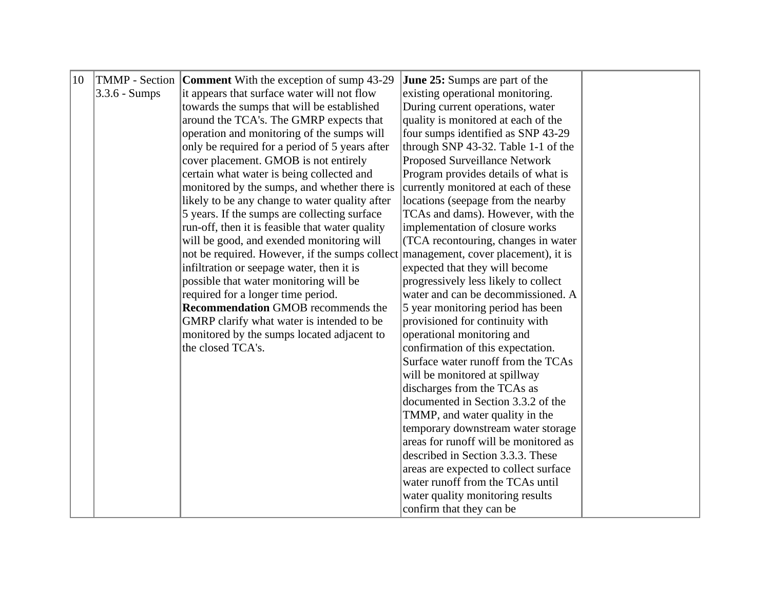| 10 |                 | <b>TMMP</b> - Section <b>Comment</b> With the exception of sump 43-29              | June 25: Sumps are part of the        |  |
|----|-----------------|------------------------------------------------------------------------------------|---------------------------------------|--|
|    | $3.3.6$ - Sumps | it appears that surface water will not flow                                        | existing operational monitoring.      |  |
|    |                 | towards the sumps that will be established                                         | During current operations, water      |  |
|    |                 | around the TCA's. The GMRP expects that                                            | quality is monitored at each of the   |  |
|    |                 | operation and monitoring of the sumps will                                         | four sumps identified as SNP 43-29    |  |
|    |                 | only be required for a period of 5 years after                                     | through SNP 43-32. Table 1-1 of the   |  |
|    |                 | cover placement. GMOB is not entirely                                              | Proposed Surveillance Network         |  |
|    |                 | certain what water is being collected and                                          | Program provides details of what is   |  |
|    |                 | monitored by the sumps, and whether there is                                       | currently monitored at each of these  |  |
|    |                 | likely to be any change to water quality after                                     | locations (seepage from the nearby    |  |
|    |                 | 5 years. If the sumps are collecting surface                                       | TCAs and dams). However, with the     |  |
|    |                 | run-off, then it is feasible that water quality                                    | implementation of closure works       |  |
|    |                 | will be good, and exended monitoring will                                          | (TCA recontouring, changes in water)  |  |
|    |                 | not be required. However, if the sumps collect management, cover placement), it is |                                       |  |
|    |                 | infiltration or seepage water, then it is                                          | expected that they will become        |  |
|    |                 | possible that water monitoring will be                                             | progressively less likely to collect  |  |
|    |                 | required for a longer time period.                                                 | water and can be decommissioned. A    |  |
|    |                 | <b>Recommendation GMOB recommends the</b>                                          | 5 year monitoring period has been     |  |
|    |                 | GMRP clarify what water is intended to be                                          | provisioned for continuity with       |  |
|    |                 | monitored by the sumps located adjacent to                                         | operational monitoring and            |  |
|    |                 | the closed TCA's.                                                                  | confirmation of this expectation.     |  |
|    |                 |                                                                                    | Surface water runoff from the TCAs    |  |
|    |                 |                                                                                    | will be monitored at spillway         |  |
|    |                 |                                                                                    | discharges from the TCAs as           |  |
|    |                 |                                                                                    | documented in Section 3.3.2 of the    |  |
|    |                 |                                                                                    | TMMP, and water quality in the        |  |
|    |                 |                                                                                    | temporary downstream water storage    |  |
|    |                 |                                                                                    | areas for runoff will be monitored as |  |
|    |                 |                                                                                    | described in Section 3.3.3. These     |  |
|    |                 |                                                                                    | areas are expected to collect surface |  |
|    |                 |                                                                                    | water runoff from the TCAs until      |  |
|    |                 |                                                                                    | water quality monitoring results      |  |
|    |                 |                                                                                    | confirm that they can be              |  |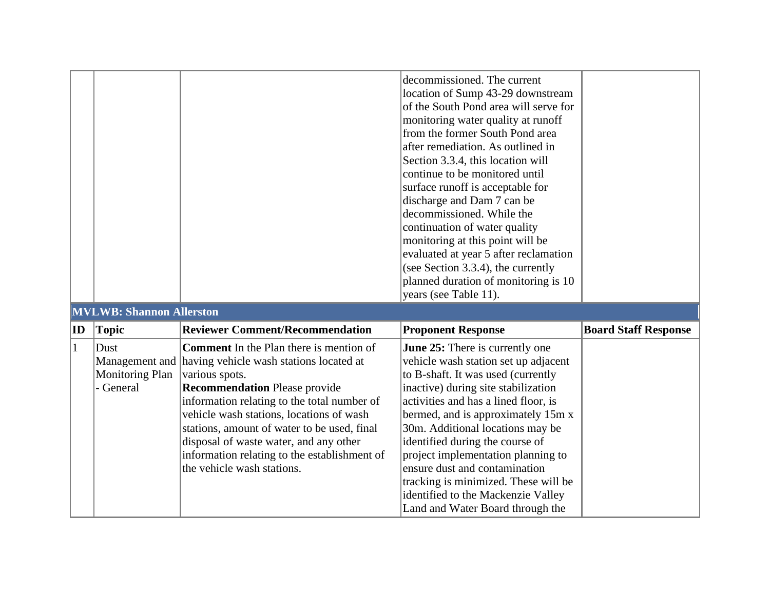|              |                                             |                                                                                                                                                                                                                                                                                                                                                                                                                                      | decommissioned. The current<br>location of Sump 43-29 downstream<br>of the South Pond area will serve for<br>monitoring water quality at runoff<br>from the former South Pond area<br>after remediation. As outlined in<br>Section 3.3.4, this location will<br>continue to be monitored until<br>surface runoff is acceptable for<br>discharge and Dam 7 can be<br>decommissioned. While the<br>continuation of water quality<br>monitoring at this point will be<br>evaluated at year 5 after reclamation<br>(see Section 3.3.4), the currently<br>planned duration of monitoring is 10<br>years (see Table 11). |                             |
|--------------|---------------------------------------------|--------------------------------------------------------------------------------------------------------------------------------------------------------------------------------------------------------------------------------------------------------------------------------------------------------------------------------------------------------------------------------------------------------------------------------------|--------------------------------------------------------------------------------------------------------------------------------------------------------------------------------------------------------------------------------------------------------------------------------------------------------------------------------------------------------------------------------------------------------------------------------------------------------------------------------------------------------------------------------------------------------------------------------------------------------------------|-----------------------------|
|              | <b>MVLWB: Shannon Allerston</b>             |                                                                                                                                                                                                                                                                                                                                                                                                                                      |                                                                                                                                                                                                                                                                                                                                                                                                                                                                                                                                                                                                                    |                             |
| ID           | <b>Topic</b>                                | <b>Reviewer Comment/Recommendation</b>                                                                                                                                                                                                                                                                                                                                                                                               | <b>Proponent Response</b>                                                                                                                                                                                                                                                                                                                                                                                                                                                                                                                                                                                          | <b>Board Staff Response</b> |
| $\mathbf{1}$ | Dust<br><b>Monitoring Plan</b><br>- General | <b>Comment</b> In the Plan there is mention of<br>Management and having vehicle wash stations located at<br>various spots.<br><b>Recommendation Please provide</b><br>information relating to the total number of<br>vehicle wash stations, locations of wash<br>stations, amount of water to be used, final<br>disposal of waste water, and any other<br>information relating to the establishment of<br>the vehicle wash stations. | <b>June 25:</b> There is currently one<br>vehicle wash station set up adjacent<br>to B-shaft. It was used (currently<br>inactive) during site stabilization<br>activities and has a lined floor, is<br>bermed, and is approximately 15m x<br>30m. Additional locations may be<br>identified during the course of<br>project implementation planning to<br>ensure dust and contamination<br>tracking is minimized. These will be<br>identified to the Mackenzie Valley<br>Land and Water Board through the                                                                                                          |                             |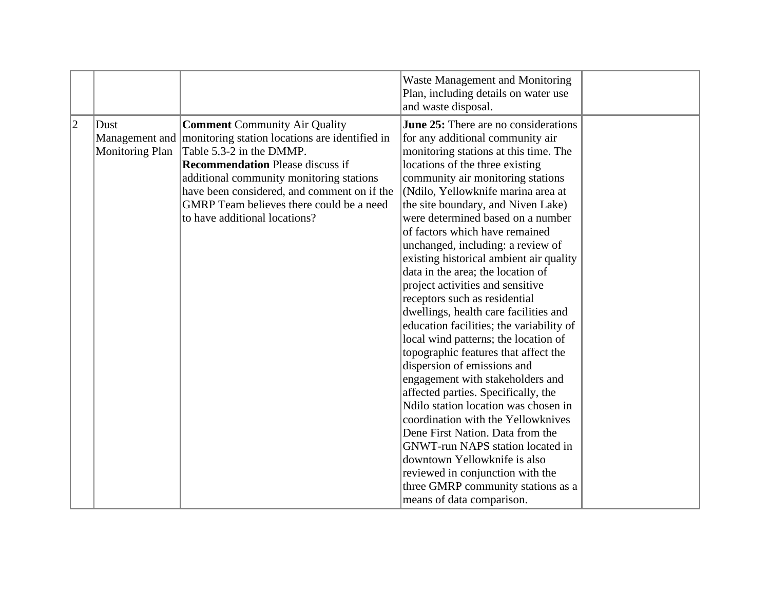| $\overline{2}$<br><b>June 25:</b> There are no considerations<br><b>Comment Community Air Quality</b><br>Dust<br>Management and   monitoring station locations are identified in<br>for any additional community air<br>Table 5.3-2 in the DMMP.<br>Monitoring Plan<br>monitoring stations at this time. The<br><b>Recommendation Please discuss if</b><br>locations of the three existing<br>additional community monitoring stations<br>community air monitoring stations<br>have been considered, and comment on if the<br>(Ndilo, Yellowknife marina area at                                                                                                                                                                                                                                                                                                                                                                                                    |  |
|---------------------------------------------------------------------------------------------------------------------------------------------------------------------------------------------------------------------------------------------------------------------------------------------------------------------------------------------------------------------------------------------------------------------------------------------------------------------------------------------------------------------------------------------------------------------------------------------------------------------------------------------------------------------------------------------------------------------------------------------------------------------------------------------------------------------------------------------------------------------------------------------------------------------------------------------------------------------|--|
| GMRP Team believes there could be a need<br>the site boundary, and Niven Lake)<br>to have additional locations?<br>were determined based on a number<br>of factors which have remained<br>unchanged, including: a review of<br>existing historical ambient air quality<br>data in the area; the location of<br>project activities and sensitive<br>receptors such as residential<br>dwellings, health care facilities and<br>education facilities; the variability of<br>local wind patterns; the location of<br>topographic features that affect the<br>dispersion of emissions and<br>engagement with stakeholders and<br>affected parties. Specifically, the<br>Ndilo station location was chosen in<br>coordination with the Yellowknives<br>Dene First Nation. Data from the<br><b>GNWT-run NAPS</b> station located in<br>downtown Yellowknife is also<br>reviewed in conjunction with the<br>three GMRP community stations as a<br>means of data comparison. |  |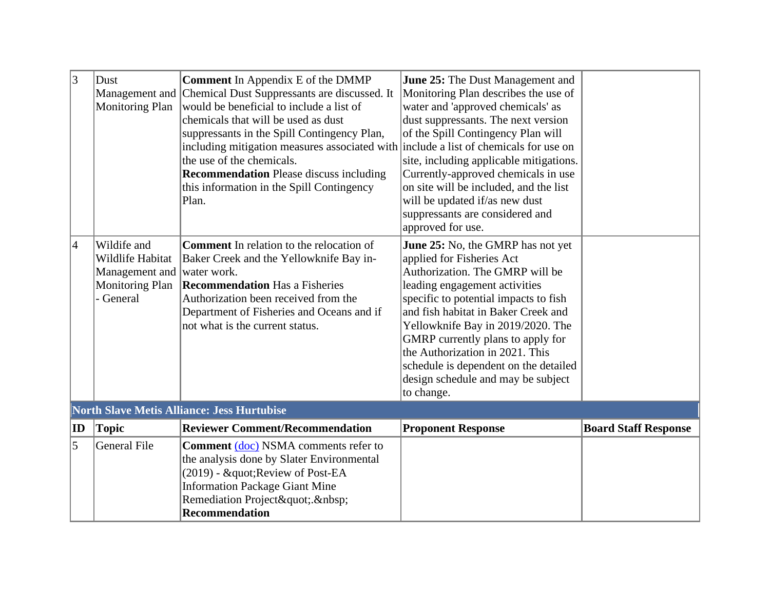| 3              | Dust<br><b>Monitoring Plan</b>                                                           | <b>Comment</b> In Appendix E of the DMMP<br>Management and Chemical Dust Suppressants are discussed. It<br>would be beneficial to include a list of<br>chemicals that will be used as dust<br>suppressants in the Spill Contingency Plan,<br>including mitigation measures associated with include a list of chemicals for use on<br>the use of the chemicals.<br><b>Recommendation</b> Please discuss including<br>this information in the Spill Contingency<br>Plan. | June 25: The Dust Management and<br>Monitoring Plan describes the use of<br>water and 'approved chemicals' as<br>dust suppressants. The next version<br>of the Spill Contingency Plan will<br>site, including applicable mitigations.<br>Currently-approved chemicals in use<br>on site will be included, and the list<br>will be updated if/as new dust<br>suppressants are considered and                                                       |                             |
|----------------|------------------------------------------------------------------------------------------|------------------------------------------------------------------------------------------------------------------------------------------------------------------------------------------------------------------------------------------------------------------------------------------------------------------------------------------------------------------------------------------------------------------------------------------------------------------------|---------------------------------------------------------------------------------------------------------------------------------------------------------------------------------------------------------------------------------------------------------------------------------------------------------------------------------------------------------------------------------------------------------------------------------------------------|-----------------------------|
| $\overline{4}$ | Wildife and<br>Wildlife Habitat<br>Management and<br><b>Monitoring Plan</b><br>- General | <b>Comment</b> In relation to the relocation of<br>Baker Creek and the Yellowknife Bay in-<br>water work.<br><b>Recommendation Has a Fisheries</b><br>Authorization been received from the<br>Department of Fisheries and Oceans and if<br>not what is the current status.                                                                                                                                                                                             | approved for use.<br>June 25: No, the GMRP has not yet<br>applied for Fisheries Act<br>Authorization. The GMRP will be<br>leading engagement activities<br>specific to potential impacts to fish<br>and fish habitat in Baker Creek and<br>Yellowknife Bay in 2019/2020. The<br>GMRP currently plans to apply for<br>the Authorization in 2021. This<br>schedule is dependent on the detailed<br>design schedule and may be subject<br>to change. |                             |
|                |                                                                                          | <b>North Slave Metis Alliance: Jess Hurtubise</b>                                                                                                                                                                                                                                                                                                                                                                                                                      |                                                                                                                                                                                                                                                                                                                                                                                                                                                   |                             |
| ID             | <b>Topic</b>                                                                             | <b>Reviewer Comment/Recommendation</b>                                                                                                                                                                                                                                                                                                                                                                                                                                 | <b>Proponent Response</b>                                                                                                                                                                                                                                                                                                                                                                                                                         | <b>Board Staff Response</b> |
| 5              | <b>General File</b>                                                                      | <b>Comment (doc) NSMA comments refer to</b><br>the analysis done by Slater Environmental<br>(2019) - " Review of Post-EA<br><b>Information Package Giant Mine</b><br>Remediation Project".<br><b>Recommendation</b>                                                                                                                                                                                                                                                    |                                                                                                                                                                                                                                                                                                                                                                                                                                                   |                             |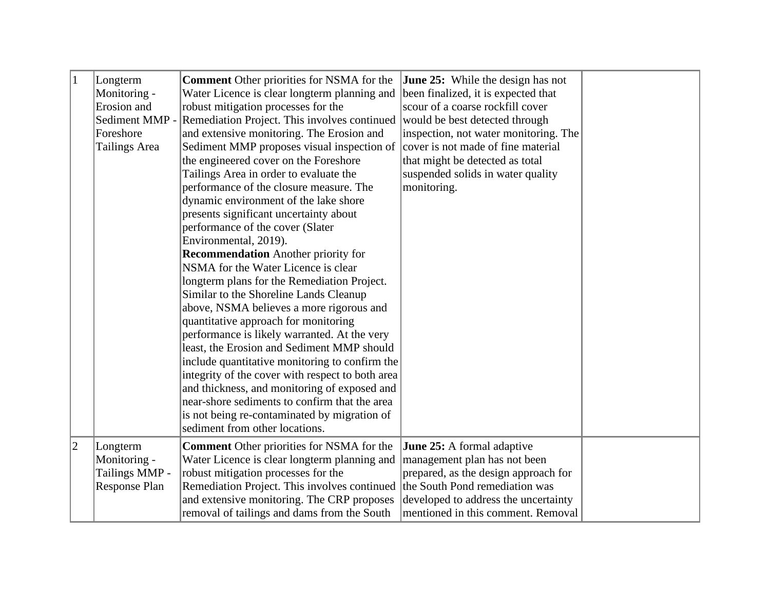| $\vert$ 1   | Longterm       | <b>Comment</b> Other priorities for NSMA for the                            | <b>June 25:</b> While the design has not |  |
|-------------|----------------|-----------------------------------------------------------------------------|------------------------------------------|--|
|             | Monitoring -   | Water Licence is clear longterm planning and                                | been finalized, it is expected that      |  |
|             | Erosion and    | robust mitigation processes for the                                         | scour of a coarse rockfill cover         |  |
|             | Sediment MMP - | Remediation Project. This involves continued                                | would be best detected through           |  |
|             | Foreshore      | and extensive monitoring. The Erosion and                                   | inspection, not water monitoring. The    |  |
|             | Tailings Area  | Sediment MMP proposes visual inspection of                                  | cover is not made of fine material       |  |
|             |                | the engineered cover on the Foreshore                                       | that might be detected as total          |  |
|             |                | Tailings Area in order to evaluate the                                      | suspended solids in water quality        |  |
|             |                | performance of the closure measure. The                                     | monitoring.                              |  |
|             |                | dynamic environment of the lake shore                                       |                                          |  |
|             |                | presents significant uncertainty about                                      |                                          |  |
|             |                | performance of the cover (Slater                                            |                                          |  |
|             |                | Environmental, 2019).                                                       |                                          |  |
|             |                | <b>Recommendation</b> Another priority for                                  |                                          |  |
|             |                | NSMA for the Water Licence is clear                                         |                                          |  |
|             |                | longterm plans for the Remediation Project.                                 |                                          |  |
|             |                | Similar to the Shoreline Lands Cleanup                                      |                                          |  |
|             |                | above, NSMA believes a more rigorous and                                    |                                          |  |
|             |                | quantitative approach for monitoring                                        |                                          |  |
|             |                | performance is likely warranted. At the very                                |                                          |  |
|             |                | least, the Erosion and Sediment MMP should                                  |                                          |  |
|             |                | include quantitative monitoring to confirm the                              |                                          |  |
|             |                | integrity of the cover with respect to both area                            |                                          |  |
|             |                | and thickness, and monitoring of exposed and                                |                                          |  |
|             |                | near-shore sediments to confirm that the area                               |                                          |  |
|             |                | is not being re-contaminated by migration of                                |                                          |  |
|             |                | sediment from other locations.                                              |                                          |  |
| $ 2\rangle$ | Longterm       | <b>Comment</b> Other priorities for NSMA for the                            | June 25: A formal adaptive               |  |
|             | Monitoring -   | Water Licence is clear longterm planning and                                | management plan has not been             |  |
|             | Tailings MMP - | robust mitigation processes for the                                         | prepared, as the design approach for     |  |
|             | Response Plan  | Remediation Project. This involves continued the South Pond remediation was |                                          |  |
|             |                | and extensive monitoring. The CRP proposes                                  | developed to address the uncertainty     |  |
|             |                | removal of tailings and dams from the South                                 | mentioned in this comment. Removal       |  |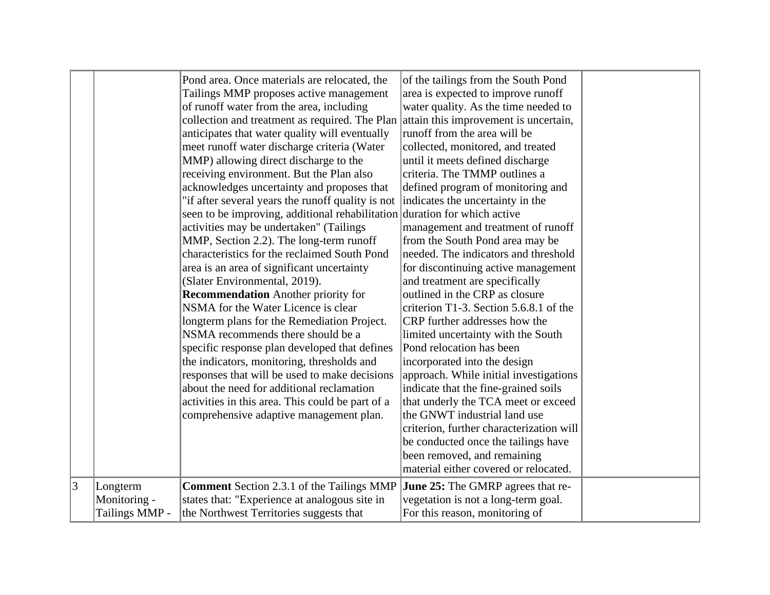|   |                                | Pond area. Once materials are relocated, the<br>Tailings MMP proposes active management<br>of runoff water from the area, including<br>collection and treatment as required. The Plan attain this improvement is uncertain,<br>anticipates that water quality will eventually<br>meet runoff water discharge criteria (Water<br>MMP) allowing direct discharge to the<br>receiving environment. But the Plan also<br>acknowledges uncertainty and proposes that<br>"if after several years the runoff quality is not<br>seen to be improving, additional rehabilitation duration for which active<br>activities may be undertaken" (Tailings<br>MMP, Section 2.2). The long-term runoff<br>characteristics for the reclaimed South Pond<br>area is an area of significant uncertainty<br>(Slater Environmental, 2019).<br><b>Recommendation</b> Another priority for<br>NSMA for the Water Licence is clear<br>longterm plans for the Remediation Project.<br>NSMA recommends there should be a<br>specific response plan developed that defines<br>the indicators, monitoring, thresholds and<br>responses that will be used to make decisions<br>about the need for additional reclamation<br>activities in this area. This could be part of a<br>comprehensive adaptive management plan. | of the tailings from the South Pond<br>area is expected to improve runoff<br>water quality. As the time needed to<br>runoff from the area will be<br>collected, monitored, and treated<br>until it meets defined discharge<br>criteria. The TMMP outlines a<br>defined program of monitoring and<br>indicates the uncertainty in the<br>management and treatment of runoff<br>from the South Pond area may be<br>needed. The indicators and threshold<br>for discontinuing active management<br>and treatment are specifically<br>outlined in the CRP as closure<br>criterion T1-3. Section 5.6.8.1 of the<br>CRP further addresses how the<br>limited uncertainty with the South<br>Pond relocation has been<br>incorporated into the design<br>approach. While initial investigations<br>indicate that the fine-grained soils<br>that underly the TCA meet or exceed<br>the GNWT industrial land use<br>criterion, further characterization will<br>be conducted once the tailings have<br>been removed, and remaining<br>material either covered or relocated. |  |
|---|--------------------------------|---------------------------------------------------------------------------------------------------------------------------------------------------------------------------------------------------------------------------------------------------------------------------------------------------------------------------------------------------------------------------------------------------------------------------------------------------------------------------------------------------------------------------------------------------------------------------------------------------------------------------------------------------------------------------------------------------------------------------------------------------------------------------------------------------------------------------------------------------------------------------------------------------------------------------------------------------------------------------------------------------------------------------------------------------------------------------------------------------------------------------------------------------------------------------------------------------------------------------------------------------------------------------------------------|-------------------------------------------------------------------------------------------------------------------------------------------------------------------------------------------------------------------------------------------------------------------------------------------------------------------------------------------------------------------------------------------------------------------------------------------------------------------------------------------------------------------------------------------------------------------------------------------------------------------------------------------------------------------------------------------------------------------------------------------------------------------------------------------------------------------------------------------------------------------------------------------------------------------------------------------------------------------------------------------------------------------------------------------------------------------|--|
| 3 | Longterm                       | <b>Comment</b> Section 2.3.1 of the Tailings MMP                                                                                                                                                                                                                                                                                                                                                                                                                                                                                                                                                                                                                                                                                                                                                                                                                                                                                                                                                                                                                                                                                                                                                                                                                                            | <b>June 25:</b> The GMRP agrees that re-                                                                                                                                                                                                                                                                                                                                                                                                                                                                                                                                                                                                                                                                                                                                                                                                                                                                                                                                                                                                                          |  |
|   | Monitoring -<br>Tailings MMP - | states that: "Experience at analogous site in<br>the Northwest Territories suggests that                                                                                                                                                                                                                                                                                                                                                                                                                                                                                                                                                                                                                                                                                                                                                                                                                                                                                                                                                                                                                                                                                                                                                                                                    | vegetation is not a long-term goal.<br>For this reason, monitoring of                                                                                                                                                                                                                                                                                                                                                                                                                                                                                                                                                                                                                                                                                                                                                                                                                                                                                                                                                                                             |  |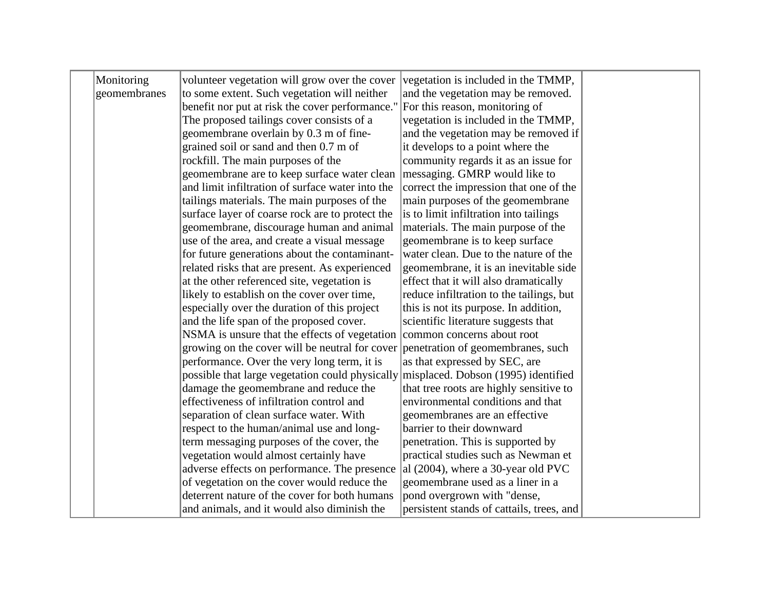| Monitoring   | volunteer vegetation will grow over the cover                                    | vegetation is included in the TMMP,       |  |
|--------------|----------------------------------------------------------------------------------|-------------------------------------------|--|
| geomembranes | to some extent. Such vegetation will neither                                     | and the vegetation may be removed.        |  |
|              | benefit nor put at risk the cover performance."                                  | For this reason, monitoring of            |  |
|              | The proposed tailings cover consists of a                                        | vegetation is included in the TMMP,       |  |
|              | geomembrane overlain by 0.3 m of fine-                                           | and the vegetation may be removed if      |  |
|              | grained soil or sand and then 0.7 m of                                           | it develops to a point where the          |  |
|              | rockfill. The main purposes of the                                               | community regards it as an issue for      |  |
|              | geomembrane are to keep surface water clean                                      | messaging. GMRP would like to             |  |
|              | and limit infiltration of surface water into the                                 | correct the impression that one of the    |  |
|              | tailings materials. The main purposes of the                                     | main purposes of the geomembrane          |  |
|              | surface layer of coarse rock are to protect the                                  | is to limit infiltration into tailings    |  |
|              | geomembrane, discourage human and animal                                         | materials. The main purpose of the        |  |
|              | use of the area, and create a visual message                                     | geomembrane is to keep surface            |  |
|              | for future generations about the contaminant-                                    | water clean. Due to the nature of the     |  |
|              | related risks that are present. As experienced                                   | geomembrane, it is an inevitable side     |  |
|              | at the other referenced site, vegetation is                                      | effect that it will also dramatically     |  |
|              | likely to establish on the cover over time,                                      | reduce infiltration to the tailings, but  |  |
|              | especially over the duration of this project                                     | this is not its purpose. In addition,     |  |
|              | and the life span of the proposed cover.                                         | scientific literature suggests that       |  |
|              | NSMA is unsure that the effects of vegetation                                    | common concerns about root                |  |
|              | growing on the cover will be neutral for cover penetration of geomembranes, such |                                           |  |
|              | performance. Over the very long term, it is                                      | as that expressed by SEC, are             |  |
|              | possible that large vegetation could physically                                  | misplaced. Dobson (1995) identified       |  |
|              | damage the geomembrane and reduce the                                            | that tree roots are highly sensitive to   |  |
|              | effectiveness of infiltration control and                                        | environmental conditions and that         |  |
|              | separation of clean surface water. With                                          | geomembranes are an effective             |  |
|              | respect to the human/animal use and long-                                        | barrier to their downward                 |  |
|              | term messaging purposes of the cover, the                                        | penetration. This is supported by         |  |
|              | vegetation would almost certainly have                                           | practical studies such as Newman et       |  |
|              | adverse effects on performance. The presence                                     | $ $ al (2004), where a 30-year old PVC    |  |
|              | of vegetation on the cover would reduce the                                      | geomembrane used as a liner in a          |  |
|              | deterrent nature of the cover for both humans                                    | pond overgrown with "dense,               |  |
|              | and animals, and it would also diminish the                                      | persistent stands of cattails, trees, and |  |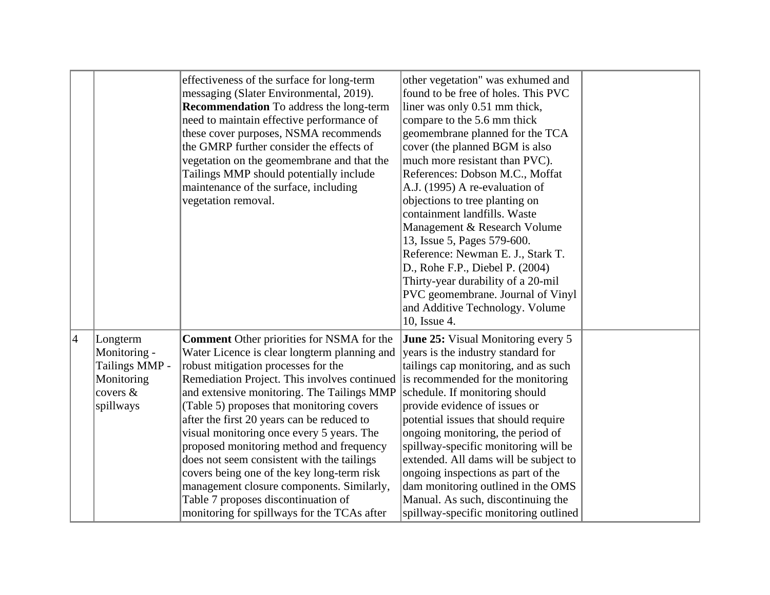|                 |                                                                                      | effectiveness of the surface for long-term<br>messaging (Slater Environmental, 2019).<br><b>Recommendation</b> To address the long-term<br>need to maintain effective performance of<br>these cover purposes, NSMA recommends<br>the GMRP further consider the effects of<br>vegetation on the geomembrane and that the<br>Tailings MMP should potentially include<br>maintenance of the surface, including<br>vegetation removal.                                                                                                                                                                                                                                                         | other vegetation" was exhumed and<br>found to be free of holes. This PVC<br>liner was only 0.51 mm thick,<br>compare to the 5.6 mm thick<br>geomembrane planned for the TCA<br>cover (the planned BGM is also<br>much more resistant than PVC).<br>References: Dobson M.C., Moffat<br>A.J. (1995) A re-evaluation of<br>objections to tree planting on<br>containment landfills. Waste<br>Management & Research Volume<br>13, Issue 5, Pages 579-600.<br>Reference: Newman E. J., Stark T.<br>D., Rohe F.P., Diebel P. (2004)<br>Thirty-year durability of a 20-mil<br>PVC geomembrane. Journal of Vinyl<br>and Additive Technology. Volume<br>10, Issue 4. |  |
|-----------------|--------------------------------------------------------------------------------------|--------------------------------------------------------------------------------------------------------------------------------------------------------------------------------------------------------------------------------------------------------------------------------------------------------------------------------------------------------------------------------------------------------------------------------------------------------------------------------------------------------------------------------------------------------------------------------------------------------------------------------------------------------------------------------------------|-------------------------------------------------------------------------------------------------------------------------------------------------------------------------------------------------------------------------------------------------------------------------------------------------------------------------------------------------------------------------------------------------------------------------------------------------------------------------------------------------------------------------------------------------------------------------------------------------------------------------------------------------------------|--|
| $\vert 4 \vert$ | Longterm<br>Monitoring -<br>Tailings MMP -<br>Monitoring<br>covers $\&$<br>spillways | <b>Comment</b> Other priorities for NSMA for the<br>Water Licence is clear longterm planning and<br>robust mitigation processes for the<br>Remediation Project. This involves continued is recommended for the monitoring<br>and extensive monitoring. The Tailings MMP<br>(Table 5) proposes that monitoring covers<br>after the first 20 years can be reduced to<br>visual monitoring once every 5 years. The<br>proposed monitoring method and frequency<br>does not seem consistent with the tailings<br>covers being one of the key long-term risk<br>management closure components. Similarly,<br>Table 7 proposes discontinuation of<br>monitoring for spillways for the TCAs after | <b>June 25:</b> Visual Monitoring every 5<br>years is the industry standard for<br>tailings cap monitoring, and as such<br>schedule. If monitoring should<br>provide evidence of issues or<br>potential issues that should require<br>ongoing monitoring, the period of<br>spillway-specific monitoring will be<br>extended. All dams will be subject to<br>ongoing inspections as part of the<br>dam monitoring outlined in the OMS<br>Manual. As such, discontinuing the<br>spillway-specific monitoring outlined                                                                                                                                         |  |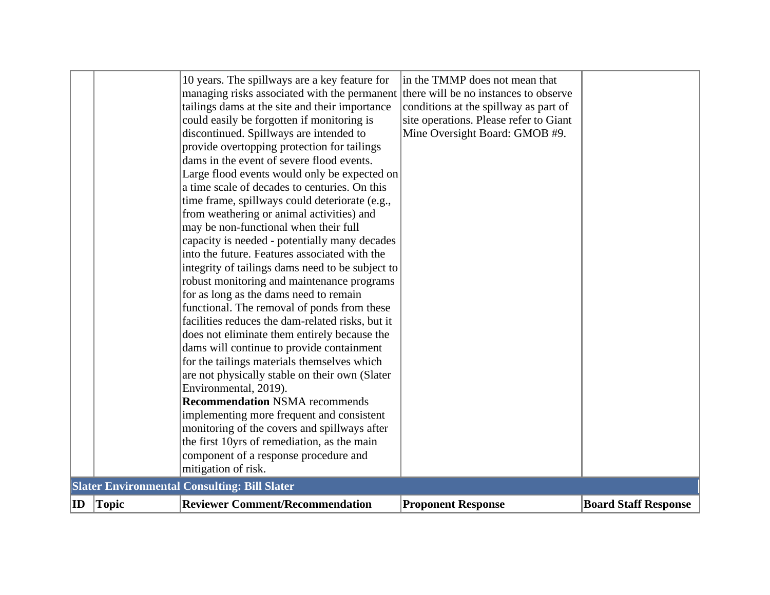| $\mathbf{ID}$ | <b>Topic</b> | <b>Reviewer Comment/Recommendation</b>                                                                      | <b>Proponent Response</b>              | <b>Board Staff Response</b> |
|---------------|--------------|-------------------------------------------------------------------------------------------------------------|----------------------------------------|-----------------------------|
|               |              | <b>Slater Environmental Consulting: Bill Slater</b>                                                         |                                        |                             |
|               |              | the first 10yrs of remediation, as the main<br>component of a response procedure and<br>mitigation of risk. |                                        |                             |
|               |              | monitoring of the covers and spillways after                                                                |                                        |                             |
|               |              | implementing more frequent and consistent                                                                   |                                        |                             |
|               |              | <b>Recommendation NSMA recommends</b>                                                                       |                                        |                             |
|               |              | Environmental, 2019).                                                                                       |                                        |                             |
|               |              | are not physically stable on their own (Slater                                                              |                                        |                             |
|               |              | dams will continue to provide containment<br>for the tailings materials themselves which                    |                                        |                             |
|               |              | does not eliminate them entirely because the                                                                |                                        |                             |
|               |              | facilities reduces the dam-related risks, but it                                                            |                                        |                             |
|               |              | functional. The removal of ponds from these                                                                 |                                        |                             |
|               |              | for as long as the dams need to remain                                                                      |                                        |                             |
|               |              | robust monitoring and maintenance programs                                                                  |                                        |                             |
|               |              | integrity of tailings dams need to be subject to                                                            |                                        |                             |
|               |              | into the future. Features associated with the                                                               |                                        |                             |
|               |              | capacity is needed - potentially many decades                                                               |                                        |                             |
|               |              | from weathering or animal activities) and<br>may be non-functional when their full                          |                                        |                             |
|               |              | time frame, spillways could deteriorate (e.g.,                                                              |                                        |                             |
|               |              | a time scale of decades to centuries. On this                                                               |                                        |                             |
|               |              | Large flood events would only be expected on                                                                |                                        |                             |
|               |              | dams in the event of severe flood events.                                                                   |                                        |                             |
|               |              | provide overtopping protection for tailings                                                                 |                                        |                             |
|               |              | discontinued. Spillways are intended to                                                                     | Mine Oversight Board: GMOB #9.         |                             |
|               |              | could easily be forgotten if monitoring is                                                                  | site operations. Please refer to Giant |                             |
|               |              | tailings dams at the site and their importance                                                              | conditions at the spillway as part of  |                             |
|               |              | managing risks associated with the permanent                                                                | there will be no instances to observe  |                             |
|               |              | 10 years. The spillways are a key feature for                                                               | in the TMMP does not mean that         |                             |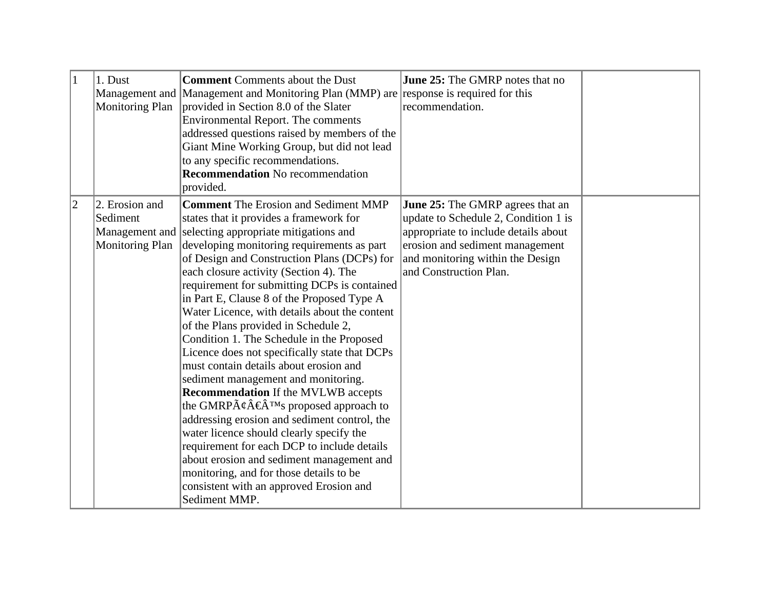| $\mathbf{1}$ | 1. Dust<br>Management and<br><b>Monitoring Plan</b>                    | <b>Comment</b> Comments about the Dust<br>Management and Monitoring Plan (MMP) are response is required for this<br>provided in Section 8.0 of the Slater<br>Environmental Report. The comments<br>addressed questions raised by members of the<br>Giant Mine Working Group, but did not lead<br>to any specific recommendations.<br><b>Recommendation</b> No recommendation<br>provided.                                                                                                                                                                                                                                                                                                                                                                                                                                                                                                                                                                                                                                                                   | <b>June 25:</b> The GMRP notes that no<br>recommendation.                                                                                                                                                                |  |
|--------------|------------------------------------------------------------------------|-------------------------------------------------------------------------------------------------------------------------------------------------------------------------------------------------------------------------------------------------------------------------------------------------------------------------------------------------------------------------------------------------------------------------------------------------------------------------------------------------------------------------------------------------------------------------------------------------------------------------------------------------------------------------------------------------------------------------------------------------------------------------------------------------------------------------------------------------------------------------------------------------------------------------------------------------------------------------------------------------------------------------------------------------------------|--------------------------------------------------------------------------------------------------------------------------------------------------------------------------------------------------------------------------|--|
| $ 2\rangle$  | 2. Erosion and<br>Sediment<br>Management and<br><b>Monitoring Plan</b> | <b>Comment</b> The Erosion and Sediment MMP<br>states that it provides a framework for<br>selecting appropriate mitigations and<br>developing monitoring requirements as part<br>of Design and Construction Plans (DCPs) for<br>each closure activity (Section 4). The<br>requirement for submitting DCPs is contained<br>in Part E, Clause 8 of the Proposed Type A<br>Water Licence, with details about the content<br>of the Plans provided in Schedule 2,<br>Condition 1. The Schedule in the Proposed<br>Licence does not specifically state that DCPs<br>must contain details about erosion and<br>sediment management and monitoring.<br><b>Recommendation</b> If the MVLWB accepts<br>the GMRP $\tilde{A}\notin \hat{A}^{TM}$ s proposed approach to<br>addressing erosion and sediment control, the<br>water licence should clearly specify the<br>requirement for each DCP to include details<br>about erosion and sediment management and<br>monitoring, and for those details to be<br>consistent with an approved Erosion and<br>Sediment MMP. | <b>June 25:</b> The GMRP agrees that an<br>update to Schedule 2, Condition 1 is<br>appropriate to include details about<br>erosion and sediment management<br>and monitoring within the Design<br>and Construction Plan. |  |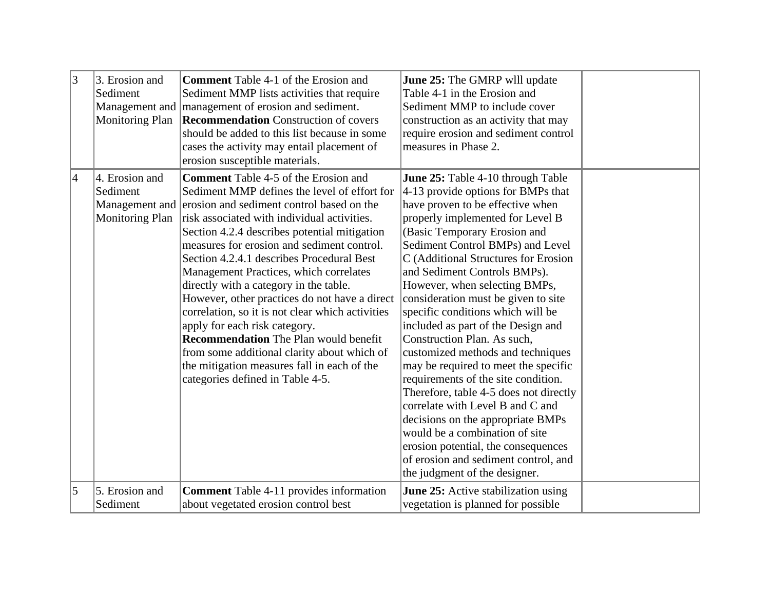| $\vert 3 \vert$ | 3. Erosion and<br>Sediment<br>Monitoring Plan        | <b>Comment</b> Table 4-1 of the Erosion and<br>Sediment MMP lists activities that require<br>Management and   management of erosion and sediment.<br><b>Recommendation</b> Construction of covers<br>should be added to this list because in some<br>cases the activity may entail placement of<br>erosion susceptible materials.                                                                                                                                                                                                                                                                                                                                                                                                                             | <b>June 25:</b> The GMRP will update<br>Table 4-1 in the Erosion and<br>Sediment MMP to include cover<br>construction as an activity that may<br>require erosion and sediment control<br>measures in Phase 2.                                                                                                                                                                                                                                                                                                                                                                                                                                                                                                                                                                                                                                                          |  |
|-----------------|------------------------------------------------------|---------------------------------------------------------------------------------------------------------------------------------------------------------------------------------------------------------------------------------------------------------------------------------------------------------------------------------------------------------------------------------------------------------------------------------------------------------------------------------------------------------------------------------------------------------------------------------------------------------------------------------------------------------------------------------------------------------------------------------------------------------------|------------------------------------------------------------------------------------------------------------------------------------------------------------------------------------------------------------------------------------------------------------------------------------------------------------------------------------------------------------------------------------------------------------------------------------------------------------------------------------------------------------------------------------------------------------------------------------------------------------------------------------------------------------------------------------------------------------------------------------------------------------------------------------------------------------------------------------------------------------------------|--|
| $\overline{4}$  | 4. Erosion and<br>Sediment<br><b>Monitoring Plan</b> | <b>Comment</b> Table 4-5 of the Erosion and<br>Sediment MMP defines the level of effort for<br>Management and erosion and sediment control based on the<br>risk associated with individual activities.<br>Section 4.2.4 describes potential mitigation<br>measures for erosion and sediment control.<br>Section 4.2.4.1 describes Procedural Best<br>Management Practices, which correlates<br>directly with a category in the table.<br>However, other practices do not have a direct<br>correlation, so it is not clear which activities<br>apply for each risk category.<br><b>Recommendation</b> The Plan would benefit<br>from some additional clarity about which of<br>the mitigation measures fall in each of the<br>categories defined in Table 4-5. | June 25: Table 4-10 through Table<br>4-13 provide options for BMPs that<br>have proven to be effective when<br>properly implemented for Level B<br>(Basic Temporary Erosion and<br>Sediment Control BMPs) and Level<br>C (Additional Structures for Erosion<br>and Sediment Controls BMPs).<br>However, when selecting BMPs,<br>consideration must be given to site<br>specific conditions which will be<br>included as part of the Design and<br>Construction Plan. As such,<br>customized methods and techniques<br>may be required to meet the specific<br>requirements of the site condition.<br>Therefore, table 4-5 does not directly<br>correlate with Level B and C and<br>decisions on the appropriate BMPs<br>would be a combination of site<br>erosion potential, the consequences<br>of erosion and sediment control, and<br>the judgment of the designer. |  |
| $\overline{5}$  | 5. Erosion and<br>Sediment                           | <b>Comment</b> Table 4-11 provides information<br>about vegetated erosion control best                                                                                                                                                                                                                                                                                                                                                                                                                                                                                                                                                                                                                                                                        | June 25: Active stabilization using<br>vegetation is planned for possible                                                                                                                                                                                                                                                                                                                                                                                                                                                                                                                                                                                                                                                                                                                                                                                              |  |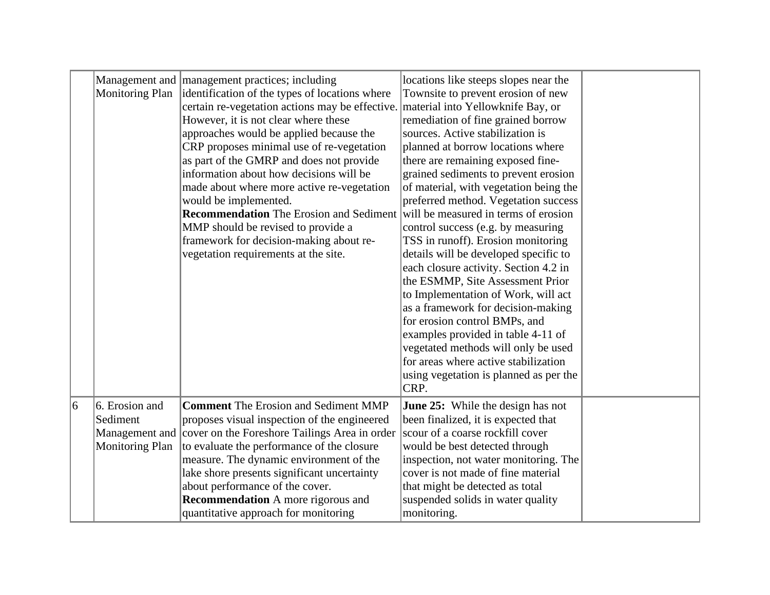|           | <b>Monitoring Plan</b> | Management and management practices; including<br>identification of the types of locations where<br>certain re-vegetation actions may be effective.<br>However, it is not clear where these<br>approaches would be applied because the<br>CRP proposes minimal use of re-vegetation<br>as part of the GMRP and does not provide<br>information about how decisions will be<br>made about where more active re-vegetation<br>would be implemented.<br><b>Recommendation</b> The Erosion and Sediment<br>MMP should be revised to provide a<br>framework for decision-making about re-<br>vegetation requirements at the site. | locations like steeps slopes near the<br>Townsite to prevent erosion of new<br>material into Yellowknife Bay, or<br>remediation of fine grained borrow<br>sources. Active stabilization is<br>planned at borrow locations where<br>there are remaining exposed fine-<br>grained sediments to prevent erosion<br>of material, with vegetation being the<br>preferred method. Vegetation success<br>will be measured in terms of erosion<br>control success (e.g. by measuring<br>TSS in runoff). Erosion monitoring<br>details will be developed specific to<br>each closure activity. Section 4.2 in<br>the ESMMP, Site Assessment Prior<br>to Implementation of Work, will act<br>as a framework for decision-making<br>for erosion control BMPs, and<br>examples provided in table 4-11 of<br>vegetated methods will only be used<br>for areas where active stabilization<br>using vegetation is planned as per the<br>CRP. |  |
|-----------|------------------------|------------------------------------------------------------------------------------------------------------------------------------------------------------------------------------------------------------------------------------------------------------------------------------------------------------------------------------------------------------------------------------------------------------------------------------------------------------------------------------------------------------------------------------------------------------------------------------------------------------------------------|-------------------------------------------------------------------------------------------------------------------------------------------------------------------------------------------------------------------------------------------------------------------------------------------------------------------------------------------------------------------------------------------------------------------------------------------------------------------------------------------------------------------------------------------------------------------------------------------------------------------------------------------------------------------------------------------------------------------------------------------------------------------------------------------------------------------------------------------------------------------------------------------------------------------------------|--|
| $\vert_6$ | 6. Erosion and         | <b>Comment</b> The Erosion and Sediment MMP                                                                                                                                                                                                                                                                                                                                                                                                                                                                                                                                                                                  | <b>June 25:</b> While the design has not                                                                                                                                                                                                                                                                                                                                                                                                                                                                                                                                                                                                                                                                                                                                                                                                                                                                                      |  |
|           | Sediment               | proposes visual inspection of the engineered                                                                                                                                                                                                                                                                                                                                                                                                                                                                                                                                                                                 | been finalized, it is expected that                                                                                                                                                                                                                                                                                                                                                                                                                                                                                                                                                                                                                                                                                                                                                                                                                                                                                           |  |
|           |                        | Management and cover on the Foreshore Tailings Area in order                                                                                                                                                                                                                                                                                                                                                                                                                                                                                                                                                                 | scour of a coarse rockfill cover                                                                                                                                                                                                                                                                                                                                                                                                                                                                                                                                                                                                                                                                                                                                                                                                                                                                                              |  |
|           | <b>Monitoring Plan</b> | to evaluate the performance of the closure                                                                                                                                                                                                                                                                                                                                                                                                                                                                                                                                                                                   | would be best detected through                                                                                                                                                                                                                                                                                                                                                                                                                                                                                                                                                                                                                                                                                                                                                                                                                                                                                                |  |
|           |                        | measure. The dynamic environment of the                                                                                                                                                                                                                                                                                                                                                                                                                                                                                                                                                                                      | inspection, not water monitoring. The                                                                                                                                                                                                                                                                                                                                                                                                                                                                                                                                                                                                                                                                                                                                                                                                                                                                                         |  |
|           |                        | lake shore presents significant uncertainty                                                                                                                                                                                                                                                                                                                                                                                                                                                                                                                                                                                  | cover is not made of fine material                                                                                                                                                                                                                                                                                                                                                                                                                                                                                                                                                                                                                                                                                                                                                                                                                                                                                            |  |
|           |                        | about performance of the cover.<br><b>Recommendation</b> A more rigorous and                                                                                                                                                                                                                                                                                                                                                                                                                                                                                                                                                 | that might be detected as total<br>suspended solids in water quality                                                                                                                                                                                                                                                                                                                                                                                                                                                                                                                                                                                                                                                                                                                                                                                                                                                          |  |
|           |                        | quantitative approach for monitoring                                                                                                                                                                                                                                                                                                                                                                                                                                                                                                                                                                                         | monitoring.                                                                                                                                                                                                                                                                                                                                                                                                                                                                                                                                                                                                                                                                                                                                                                                                                                                                                                                   |  |
|           |                        |                                                                                                                                                                                                                                                                                                                                                                                                                                                                                                                                                                                                                              |                                                                                                                                                                                                                                                                                                                                                                                                                                                                                                                                                                                                                                                                                                                                                                                                                                                                                                                               |  |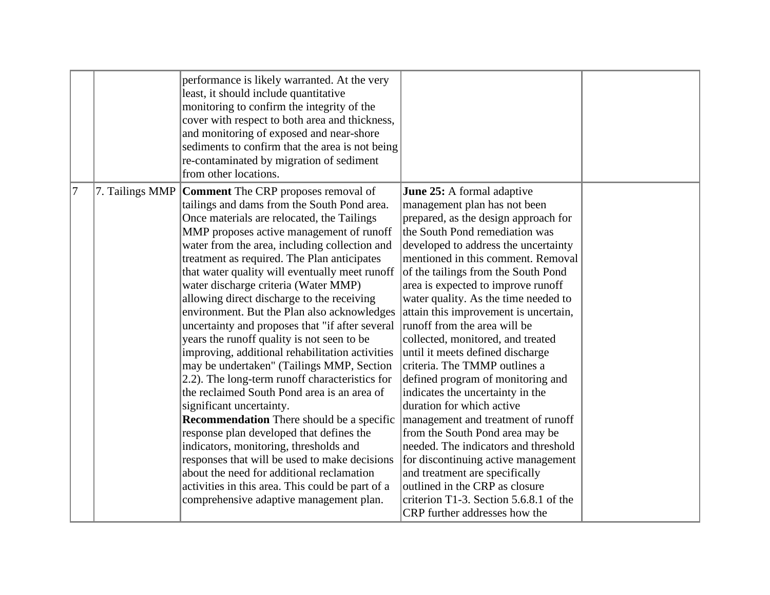|   |                 | performance is likely warranted. At the very<br>least, it should include quantitative<br>monitoring to confirm the integrity of the<br>cover with respect to both area and thickness,<br>and monitoring of exposed and near-shore<br>sediments to confirm that the area is not being<br>re-contaminated by migration of sediment<br>from other locations.                                                                                                                                                                                                                                                                                                                                                                                                                                                                                                                                                                                                                                                                                                                                                                                       |                                                                                                                                                                                                                                                                                                                                                                                                                                                                                                                                                                                                                                                                                                                                                                                                                                                                                                                                         |  |
|---|-----------------|-------------------------------------------------------------------------------------------------------------------------------------------------------------------------------------------------------------------------------------------------------------------------------------------------------------------------------------------------------------------------------------------------------------------------------------------------------------------------------------------------------------------------------------------------------------------------------------------------------------------------------------------------------------------------------------------------------------------------------------------------------------------------------------------------------------------------------------------------------------------------------------------------------------------------------------------------------------------------------------------------------------------------------------------------------------------------------------------------------------------------------------------------|-----------------------------------------------------------------------------------------------------------------------------------------------------------------------------------------------------------------------------------------------------------------------------------------------------------------------------------------------------------------------------------------------------------------------------------------------------------------------------------------------------------------------------------------------------------------------------------------------------------------------------------------------------------------------------------------------------------------------------------------------------------------------------------------------------------------------------------------------------------------------------------------------------------------------------------------|--|
| 7 | 7. Tailings MMP | <b>Comment</b> The CRP proposes removal of<br>tailings and dams from the South Pond area.<br>Once materials are relocated, the Tailings<br>MMP proposes active management of runoff<br>water from the area, including collection and<br>treatment as required. The Plan anticipates<br>that water quality will eventually meet runoff<br>water discharge criteria (Water MMP)<br>allowing direct discharge to the receiving<br>environment. But the Plan also acknowledges<br>uncertainty and proposes that "if after several<br>years the runoff quality is not seen to be<br>improving, additional rehabilitation activities<br>may be undertaken" (Tailings MMP, Section<br>2.2). The long-term runoff characteristics for<br>the reclaimed South Pond area is an area of<br>significant uncertainty.<br><b>Recommendation</b> There should be a specific<br>response plan developed that defines the<br>indicators, monitoring, thresholds and<br>responses that will be used to make decisions<br>about the need for additional reclamation<br>activities in this area. This could be part of a<br>comprehensive adaptive management plan. | June 25: A formal adaptive<br>management plan has not been<br>prepared, as the design approach for<br>the South Pond remediation was<br>developed to address the uncertainty<br>mentioned in this comment. Removal<br>of the tailings from the South Pond<br>area is expected to improve runoff<br>water quality. As the time needed to<br>attain this improvement is uncertain,<br>runoff from the area will be<br>collected, monitored, and treated<br>until it meets defined discharge<br>criteria. The TMMP outlines a<br>defined program of monitoring and<br>indicates the uncertainty in the<br>duration for which active<br>management and treatment of runoff<br>from the South Pond area may be<br>needed. The indicators and threshold<br>for discontinuing active management<br>and treatment are specifically<br>outlined in the CRP as closure<br>criterion T1-3. Section 5.6.8.1 of the<br>CRP further addresses how the |  |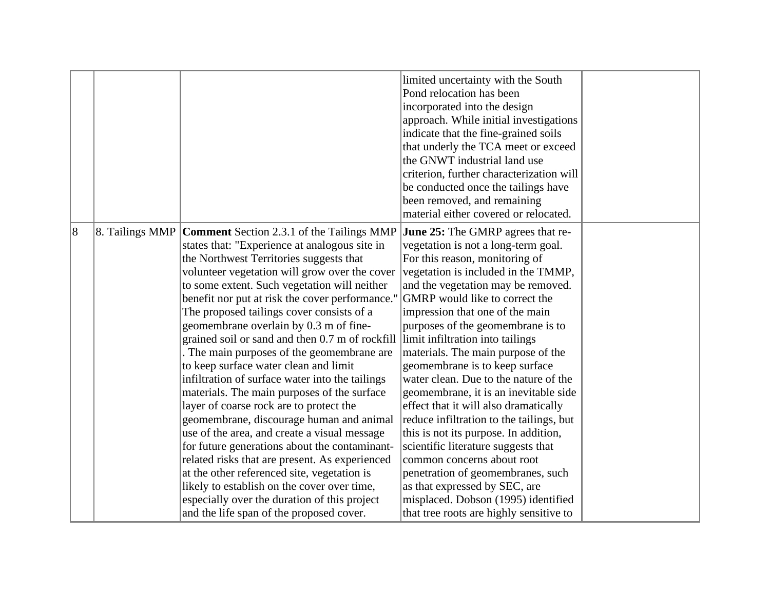|                |                 |                                                                                  | limited uncertainty with the South<br>Pond relocation has been<br>incorporated into the design<br>approach. While initial investigations<br>indicate that the fine-grained soils<br>that underly the TCA meet or exceed<br>the GNWT industrial land use |  |
|----------------|-----------------|----------------------------------------------------------------------------------|---------------------------------------------------------------------------------------------------------------------------------------------------------------------------------------------------------------------------------------------------------|--|
|                |                 |                                                                                  | criterion, further characterization will                                                                                                                                                                                                                |  |
|                |                 |                                                                                  | be conducted once the tailings have<br>been removed, and remaining                                                                                                                                                                                      |  |
|                |                 |                                                                                  | material either covered or relocated.                                                                                                                                                                                                                   |  |
| $\overline{8}$ | 8. Tailings MMP | <b>Comment</b> Section 2.3.1 of the Tailings MMP                                 | <b>June 25:</b> The GMRP agrees that re-                                                                                                                                                                                                                |  |
|                |                 | states that: "Experience at analogous site in                                    | vegetation is not a long-term goal.                                                                                                                                                                                                                     |  |
|                |                 | the Northwest Territories suggests that                                          | For this reason, monitoring of                                                                                                                                                                                                                          |  |
|                |                 | volunteer vegetation will grow over the cover                                    | vegetation is included in the TMMP,                                                                                                                                                                                                                     |  |
|                |                 | to some extent. Such vegetation will neither                                     | and the vegetation may be removed.                                                                                                                                                                                                                      |  |
|                |                 | benefit nor put at risk the cover performance."                                  | GMRP would like to correct the                                                                                                                                                                                                                          |  |
|                |                 | The proposed tailings cover consists of a                                        | impression that one of the main                                                                                                                                                                                                                         |  |
|                |                 | geomembrane overlain by 0.3 m of fine-                                           | purposes of the geomembrane is to                                                                                                                                                                                                                       |  |
|                |                 | grained soil or sand and then 0.7 m of rockfill limit infiltration into tailings |                                                                                                                                                                                                                                                         |  |
|                |                 | The main purposes of the geomembrane are                                         | materials. The main purpose of the                                                                                                                                                                                                                      |  |
|                |                 | to keep surface water clean and limit                                            | geomembrane is to keep surface                                                                                                                                                                                                                          |  |
|                |                 | infiltration of surface water into the tailings                                  | water clean. Due to the nature of the                                                                                                                                                                                                                   |  |
|                |                 | materials. The main purposes of the surface                                      | geomembrane, it is an inevitable side                                                                                                                                                                                                                   |  |
|                |                 | layer of coarse rock are to protect the                                          | effect that it will also dramatically                                                                                                                                                                                                                   |  |
|                |                 | geomembrane, discourage human and animal                                         | reduce infiltration to the tailings, but                                                                                                                                                                                                                |  |
|                |                 | use of the area, and create a visual message                                     | this is not its purpose. In addition,                                                                                                                                                                                                                   |  |
|                |                 | for future generations about the contaminant-                                    | scientific literature suggests that                                                                                                                                                                                                                     |  |
|                |                 | related risks that are present. As experienced                                   | common concerns about root                                                                                                                                                                                                                              |  |
|                |                 | at the other referenced site, vegetation is                                      | penetration of geomembranes, such                                                                                                                                                                                                                       |  |
|                |                 | likely to establish on the cover over time,                                      | as that expressed by SEC, are                                                                                                                                                                                                                           |  |
|                |                 | especially over the duration of this project                                     | misplaced. Dobson (1995) identified                                                                                                                                                                                                                     |  |
|                |                 | and the life span of the proposed cover.                                         | that tree roots are highly sensitive to                                                                                                                                                                                                                 |  |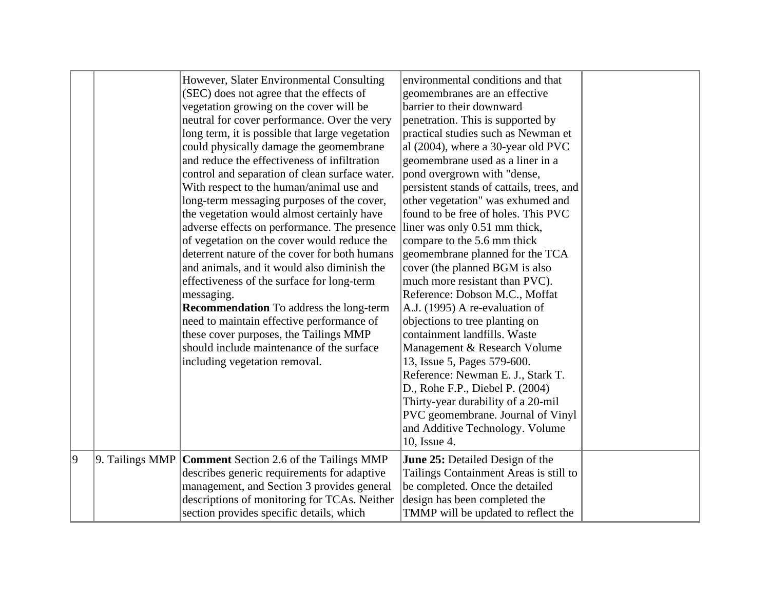| 9 |                    | However, Slater Environmental Consulting<br>(SEC) does not agree that the effects of<br>vegetation growing on the cover will be<br>neutral for cover performance. Over the very<br>long term, it is possible that large vegetation<br>could physically damage the geomembrane<br>and reduce the effectiveness of infiltration<br>control and separation of clean surface water.<br>With respect to the human/animal use and<br>long-term messaging purposes of the cover,<br>the vegetation would almost certainly have<br>adverse effects on performance. The presence<br>of vegetation on the cover would reduce the<br>deterrent nature of the cover for both humans<br>and animals, and it would also diminish the<br>effectiveness of the surface for long-term<br>messaging.<br><b>Recommendation</b> To address the long-term<br>need to maintain effective performance of<br>these cover purposes, the Tailings MMP<br>should include maintenance of the surface<br>including vegetation removal. | environmental conditions and that<br>geomembranes are an effective<br>barrier to their downward<br>penetration. This is supported by<br>practical studies such as Newman et<br>al (2004), where a 30-year old PVC<br>geomembrane used as a liner in a<br>pond overgrown with "dense,<br>persistent stands of cattails, trees, and<br>other vegetation" was exhumed and<br>found to be free of holes. This PVC<br>liner was only 0.51 mm thick,<br>compare to the 5.6 mm thick<br>geomembrane planned for the TCA<br>cover (the planned BGM is also<br>much more resistant than PVC).<br>Reference: Dobson M.C., Moffat<br>A.J. (1995) A re-evaluation of<br>objections to tree planting on<br>containment landfills. Waste<br>Management & Research Volume<br>13, Issue 5, Pages 579-600.<br>Reference: Newman E. J., Stark T.<br>D., Rohe F.P., Diebel P. (2004)<br>Thirty-year durability of a 20-mil<br>PVC geomembrane. Journal of Vinyl<br>and Additive Technology. Volume<br>10, Issue 4. |  |
|---|--------------------|-----------------------------------------------------------------------------------------------------------------------------------------------------------------------------------------------------------------------------------------------------------------------------------------------------------------------------------------------------------------------------------------------------------------------------------------------------------------------------------------------------------------------------------------------------------------------------------------------------------------------------------------------------------------------------------------------------------------------------------------------------------------------------------------------------------------------------------------------------------------------------------------------------------------------------------------------------------------------------------------------------------|-------------------------------------------------------------------------------------------------------------------------------------------------------------------------------------------------------------------------------------------------------------------------------------------------------------------------------------------------------------------------------------------------------------------------------------------------------------------------------------------------------------------------------------------------------------------------------------------------------------------------------------------------------------------------------------------------------------------------------------------------------------------------------------------------------------------------------------------------------------------------------------------------------------------------------------------------------------------------------------------------|--|
|   | $ 9.$ Tailings MMP | <b>Comment</b> Section 2.6 of the Tailings MMP                                                                                                                                                                                                                                                                                                                                                                                                                                                                                                                                                                                                                                                                                                                                                                                                                                                                                                                                                            | <b>June 25:</b> Detailed Design of the<br>Tailings Containment Areas is still to                                                                                                                                                                                                                                                                                                                                                                                                                                                                                                                                                                                                                                                                                                                                                                                                                                                                                                                |  |
|   |                    | describes generic requirements for adaptive                                                                                                                                                                                                                                                                                                                                                                                                                                                                                                                                                                                                                                                                                                                                                                                                                                                                                                                                                               |                                                                                                                                                                                                                                                                                                                                                                                                                                                                                                                                                                                                                                                                                                                                                                                                                                                                                                                                                                                                 |  |
|   |                    | management, and Section 3 provides general                                                                                                                                                                                                                                                                                                                                                                                                                                                                                                                                                                                                                                                                                                                                                                                                                                                                                                                                                                | be completed. Once the detailed                                                                                                                                                                                                                                                                                                                                                                                                                                                                                                                                                                                                                                                                                                                                                                                                                                                                                                                                                                 |  |
|   |                    | descriptions of monitoring for TCAs. Neither                                                                                                                                                                                                                                                                                                                                                                                                                                                                                                                                                                                                                                                                                                                                                                                                                                                                                                                                                              | design has been completed the                                                                                                                                                                                                                                                                                                                                                                                                                                                                                                                                                                                                                                                                                                                                                                                                                                                                                                                                                                   |  |
|   |                    | section provides specific details, which                                                                                                                                                                                                                                                                                                                                                                                                                                                                                                                                                                                                                                                                                                                                                                                                                                                                                                                                                                  | TMMP will be updated to reflect the                                                                                                                                                                                                                                                                                                                                                                                                                                                                                                                                                                                                                                                                                                                                                                                                                                                                                                                                                             |  |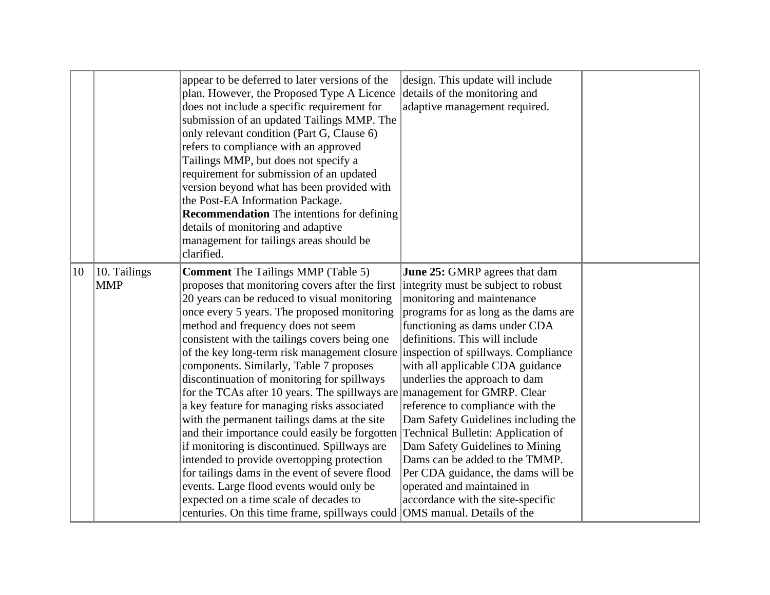|    | appear to be deferred to later versions of the<br>plan. However, the Proposed Type A Licence<br>does not include a specific requirement for<br>submission of an updated Tailings MMP. The<br>only relevant condition (Part G, Clause 6)<br>refers to compliance with an approved<br>Tailings MMP, but does not specify a<br>requirement for submission of an updated<br>version beyond what has been provided with<br>the Post-EA Information Package.<br><b>Recommendation</b> The intentions for defining<br>details of monitoring and adaptive<br>management for tailings areas should be<br>clarified.                                                                                                                                                                                                                                                                                                                        |  | design. This update will include<br>details of the monitoring and<br>adaptive management required.                                                                                                                                                                                                                                                                                                                                                                                                                                                                                                                                                                                           |  |
|----|-----------------------------------------------------------------------------------------------------------------------------------------------------------------------------------------------------------------------------------------------------------------------------------------------------------------------------------------------------------------------------------------------------------------------------------------------------------------------------------------------------------------------------------------------------------------------------------------------------------------------------------------------------------------------------------------------------------------------------------------------------------------------------------------------------------------------------------------------------------------------------------------------------------------------------------|--|----------------------------------------------------------------------------------------------------------------------------------------------------------------------------------------------------------------------------------------------------------------------------------------------------------------------------------------------------------------------------------------------------------------------------------------------------------------------------------------------------------------------------------------------------------------------------------------------------------------------------------------------------------------------------------------------|--|
| 10 | 10. Tailings<br><b>Comment</b> The Tailings MMP (Table 5)<br> MMP<br>proposes that monitoring covers after the first<br>20 years can be reduced to visual monitoring<br>once every 5 years. The proposed monitoring<br>method and frequency does not seem<br>consistent with the tailings covers being one<br>of the key long-term risk management closure inspection of spillways. Compliance<br>components. Similarly, Table 7 proposes<br>discontinuation of monitoring for spillways<br>for the TCAs after 10 years. The spillways are<br>a key feature for managing risks associated<br>with the permanent tailings dams at the site<br>and their importance could easily be forgotten<br>if monitoring is discontinued. Spillways are<br>intended to provide overtopping protection<br>for tailings dams in the event of severe flood<br>events. Large flood events would only be<br>expected on a time scale of decades to |  | June 25: GMRP agrees that dam<br>integrity must be subject to robust<br>monitoring and maintenance<br>programs for as long as the dams are<br>functioning as dams under CDA<br>definitions. This will include<br>with all applicable CDA guidance<br>underlies the approach to dam<br>management for GMRP. Clear<br>reference to compliance with the<br>Dam Safety Guidelines including the<br>Technical Bulletin: Application of<br>Dam Safety Guidelines to Mining<br>Dams can be added to the TMMP.<br>Per CDA guidance, the dams will be<br>operated and maintained in<br>accordance with the site-specific<br>centuries. On this time frame, spillways could OMS manual. Details of the |  |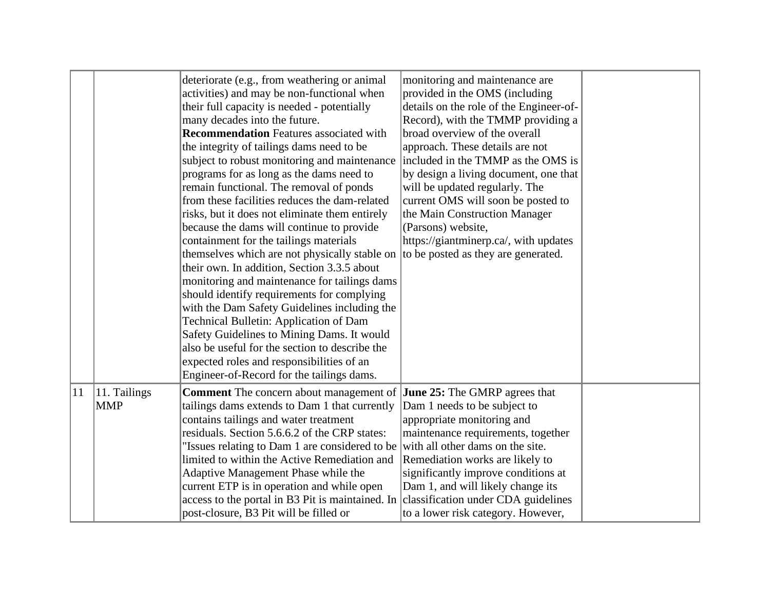|    |                            | deteriorate (e.g., from weathering or animal<br>activities) and may be non-functional when<br>their full capacity is needed - potentially<br>many decades into the future.<br><b>Recommendation</b> Features associated with<br>the integrity of tailings dams need to be<br>subject to robust monitoring and maintenance<br>programs for as long as the dams need to<br>remain functional. The removal of ponds<br>from these facilities reduces the dam-related<br>risks, but it does not eliminate them entirely<br>because the dams will continue to provide<br>containment for the tailings materials<br>themselves which are not physically stable on to be posted as they are generated.<br>their own. In addition, Section 3.3.5 about<br>monitoring and maintenance for tailings dams<br>should identify requirements for complying<br>with the Dam Safety Guidelines including the<br><b>Technical Bulletin: Application of Dam</b><br>Safety Guidelines to Mining Dams. It would<br>also be useful for the section to describe the<br>expected roles and responsibilities of an<br>Engineer-of-Record for the tailings dams. | monitoring and maintenance are<br>provided in the OMS (including<br>details on the role of the Engineer-of-<br>Record), with the TMMP providing a<br>broad overview of the overall<br>approach. These details are not<br>included in the TMMP as the OMS is<br>by design a living document, one that<br>will be updated regularly. The<br>current OMS will soon be posted to<br>the Main Construction Manager<br>(Parsons) website,<br>https://giantminerp.ca/, with updates |  |
|----|----------------------------|-----------------------------------------------------------------------------------------------------------------------------------------------------------------------------------------------------------------------------------------------------------------------------------------------------------------------------------------------------------------------------------------------------------------------------------------------------------------------------------------------------------------------------------------------------------------------------------------------------------------------------------------------------------------------------------------------------------------------------------------------------------------------------------------------------------------------------------------------------------------------------------------------------------------------------------------------------------------------------------------------------------------------------------------------------------------------------------------------------------------------------------------|------------------------------------------------------------------------------------------------------------------------------------------------------------------------------------------------------------------------------------------------------------------------------------------------------------------------------------------------------------------------------------------------------------------------------------------------------------------------------|--|
| 11 | 11. Tailings<br><b>MMP</b> | <b>Comment</b> The concern about management of <b>June 25:</b> The GMRP agrees that<br>tailings dams extends to Dam 1 that currently<br>contains tailings and water treatment<br>residuals. Section 5.6.6.2 of the CRP states:<br>"Issues relating to Dam 1 are considered to be<br>limited to within the Active Remediation and<br>Adaptive Management Phase while the<br>current ETP is in operation and while open<br>access to the portal in B3 Pit is maintained. In<br>post-closure, B3 Pit will be filled or                                                                                                                                                                                                                                                                                                                                                                                                                                                                                                                                                                                                                     | Dam 1 needs to be subject to<br>appropriate monitoring and<br>maintenance requirements, together<br>with all other dams on the site.<br>Remediation works are likely to<br>significantly improve conditions at<br>Dam 1, and will likely change its<br>classification under CDA guidelines<br>to a lower risk category. However,                                                                                                                                             |  |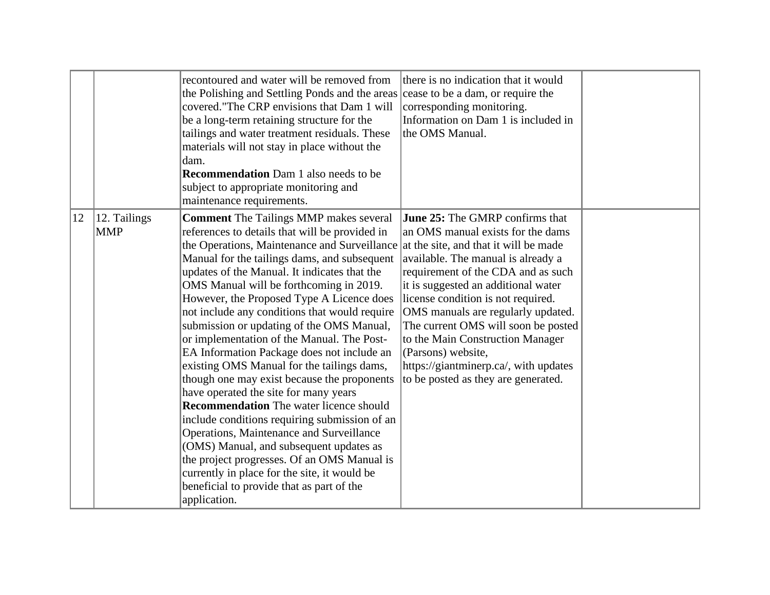|    |                                                                                                                                                                                                                                                                                                                                                                                                                                                                                                                                                                                                                                                                                                                                                                                                                                                                                                                                                                                                                                                                                                   | recontoured and water will be removed from<br>the Polishing and Settling Ponds and the areas cease to be a dam, or require the<br>covered. "The CRP envisions that Dam 1 will<br>be a long-term retaining structure for the<br>tailings and water treatment residuals. These<br>materials will not stay in place without the<br>dam.<br><b>Recommendation</b> Dam 1 also needs to be<br>subject to appropriate monitoring and<br>maintenance requirements. | there is no indication that it would<br>corresponding monitoring.<br>Information on Dam 1 is included in<br>the OMS Manual.                                                                                                                                                                                                                                                                                                                                 |  |
|----|---------------------------------------------------------------------------------------------------------------------------------------------------------------------------------------------------------------------------------------------------------------------------------------------------------------------------------------------------------------------------------------------------------------------------------------------------------------------------------------------------------------------------------------------------------------------------------------------------------------------------------------------------------------------------------------------------------------------------------------------------------------------------------------------------------------------------------------------------------------------------------------------------------------------------------------------------------------------------------------------------------------------------------------------------------------------------------------------------|------------------------------------------------------------------------------------------------------------------------------------------------------------------------------------------------------------------------------------------------------------------------------------------------------------------------------------------------------------------------------------------------------------------------------------------------------------|-------------------------------------------------------------------------------------------------------------------------------------------------------------------------------------------------------------------------------------------------------------------------------------------------------------------------------------------------------------------------------------------------------------------------------------------------------------|--|
| 12 | 12. Tailings<br><b>Comment</b> The Tailings MMP makes several<br><b>MMP</b><br>references to details that will be provided in<br>the Operations, Maintenance and Surveillance at the site, and that it will be made<br>Manual for the tailings dams, and subsequent<br>updates of the Manual. It indicates that the<br>OMS Manual will be forthcoming in 2019.<br>However, the Proposed Type A Licence does<br>not include any conditions that would require<br>submission or updating of the OMS Manual,<br>or implementation of the Manual. The Post-<br>EA Information Package does not include an<br>existing OMS Manual for the tailings dams,<br>though one may exist because the proponents<br>have operated the site for many years<br><b>Recommendation</b> The water licence should<br>include conditions requiring submission of an<br>Operations, Maintenance and Surveillance<br>(OMS) Manual, and subsequent updates as<br>the project progresses. Of an OMS Manual is<br>currently in place for the site, it would be<br>beneficial to provide that as part of the<br>application. |                                                                                                                                                                                                                                                                                                                                                                                                                                                            | <b>June 25:</b> The GMRP confirms that<br>an OMS manual exists for the dams<br>available. The manual is already a<br>requirement of the CDA and as such<br>it is suggested an additional water<br>license condition is not required.<br>OMS manuals are regularly updated.<br>The current OMS will soon be posted<br>to the Main Construction Manager<br>(Parsons) website,<br>https://giantminerp.ca/, with updates<br>to be posted as they are generated. |  |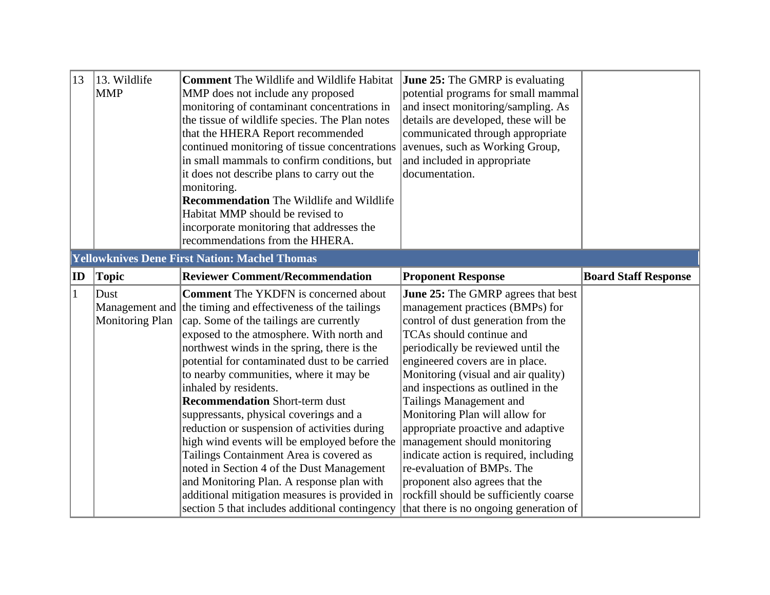| 13           | 13. Wildlife<br> MMP                                 | <b>Comment</b> The Wildlife and Wildlife Habitat<br>MMP does not include any proposed<br>monitoring of contaminant concentrations in<br>the tissue of wildlife species. The Plan notes<br>that the HHERA Report recommended<br>continued monitoring of tissue concentrations<br>in small mammals to confirm conditions, but<br>it does not describe plans to carry out the<br>monitoring.<br><b>Recommendation</b> The Wildlife and Wildlife | June 25: The GMRP is evaluating<br>potential programs for small mammal<br>and insect monitoring/sampling. As<br>details are developed, these will be<br>communicated through appropriate<br>avenues, such as Working Group,<br>and included in appropriate<br>documentation. |                             |
|--------------|------------------------------------------------------|----------------------------------------------------------------------------------------------------------------------------------------------------------------------------------------------------------------------------------------------------------------------------------------------------------------------------------------------------------------------------------------------------------------------------------------------|------------------------------------------------------------------------------------------------------------------------------------------------------------------------------------------------------------------------------------------------------------------------------|-----------------------------|
|              |                                                      | Habitat MMP should be revised to<br>incorporate monitoring that addresses the                                                                                                                                                                                                                                                                                                                                                                |                                                                                                                                                                                                                                                                              |                             |
|              |                                                      | recommendations from the HHERA.                                                                                                                                                                                                                                                                                                                                                                                                              |                                                                                                                                                                                                                                                                              |                             |
|              | <b>Yellowknives Dene First Nation: Machel Thomas</b> |                                                                                                                                                                                                                                                                                                                                                                                                                                              |                                                                                                                                                                                                                                                                              |                             |
| ID           | Topic                                                | <b>Reviewer Comment/Recommendation</b>                                                                                                                                                                                                                                                                                                                                                                                                       | <b>Proponent Response</b>                                                                                                                                                                                                                                                    | <b>Board Staff Response</b> |
| $\mathbf{1}$ | Dust                                                 | <b>Comment</b> The YKDFN is concerned about                                                                                                                                                                                                                                                                                                                                                                                                  | <b>June 25:</b> The GMRP agrees that best                                                                                                                                                                                                                                    |                             |
|              |                                                      | Management and the timing and effectiveness of the tailings                                                                                                                                                                                                                                                                                                                                                                                  | management practices (BMPs) for                                                                                                                                                                                                                                              |                             |
|              | <b>Monitoring Plan</b>                               | cap. Some of the tailings are currently                                                                                                                                                                                                                                                                                                                                                                                                      | control of dust generation from the                                                                                                                                                                                                                                          |                             |
|              |                                                      | exposed to the atmosphere. With north and                                                                                                                                                                                                                                                                                                                                                                                                    | TCAs should continue and                                                                                                                                                                                                                                                     |                             |
|              |                                                      | northwest winds in the spring, there is the                                                                                                                                                                                                                                                                                                                                                                                                  | periodically be reviewed until the                                                                                                                                                                                                                                           |                             |
|              |                                                      | potential for contaminated dust to be carried                                                                                                                                                                                                                                                                                                                                                                                                | engineered covers are in place.                                                                                                                                                                                                                                              |                             |
|              |                                                      | to nearby communities, where it may be                                                                                                                                                                                                                                                                                                                                                                                                       | Monitoring (visual and air quality)                                                                                                                                                                                                                                          |                             |
|              |                                                      | inhaled by residents.                                                                                                                                                                                                                                                                                                                                                                                                                        | and inspections as outlined in the                                                                                                                                                                                                                                           |                             |
|              |                                                      | <b>Recommendation Short-term dust</b>                                                                                                                                                                                                                                                                                                                                                                                                        | Tailings Management and                                                                                                                                                                                                                                                      |                             |
|              |                                                      | suppressants, physical coverings and a                                                                                                                                                                                                                                                                                                                                                                                                       | Monitoring Plan will allow for                                                                                                                                                                                                                                               |                             |
|              |                                                      | reduction or suspension of activities during                                                                                                                                                                                                                                                                                                                                                                                                 | appropriate proactive and adaptive                                                                                                                                                                                                                                           |                             |
|              |                                                      | high wind events will be employed before the                                                                                                                                                                                                                                                                                                                                                                                                 | management should monitoring                                                                                                                                                                                                                                                 |                             |
|              |                                                      | Tailings Containment Area is covered as                                                                                                                                                                                                                                                                                                                                                                                                      | indicate action is required, including<br>re-evaluation of BMPs. The                                                                                                                                                                                                         |                             |
|              |                                                      | noted in Section 4 of the Dust Management                                                                                                                                                                                                                                                                                                                                                                                                    |                                                                                                                                                                                                                                                                              |                             |
|              |                                                      | and Monitoring Plan. A response plan with<br>additional mitigation measures is provided in                                                                                                                                                                                                                                                                                                                                                   | proponent also agrees that the<br>rockfill should be sufficiently coarse                                                                                                                                                                                                     |                             |
|              |                                                      | section 5 that includes additional contingency                                                                                                                                                                                                                                                                                                                                                                                               | that there is no ongoing generation of                                                                                                                                                                                                                                       |                             |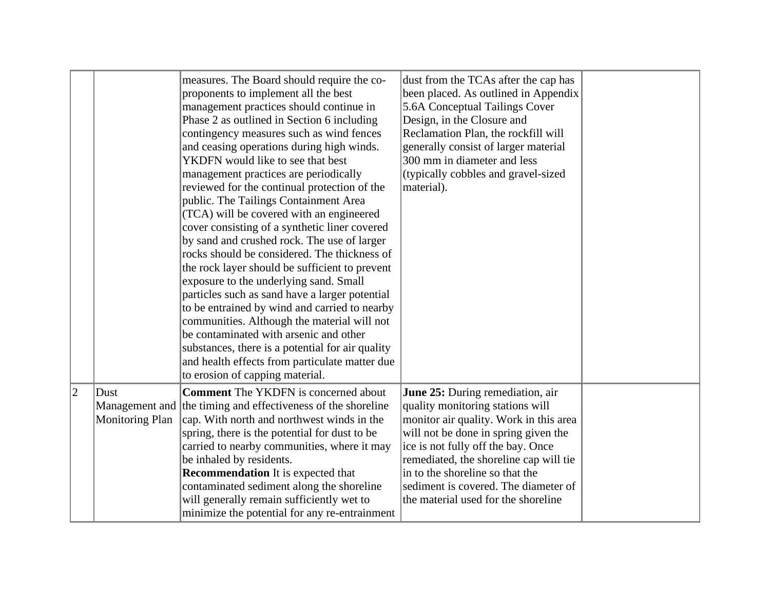|   | measures. The Board should require the co-<br>proponents to implement all the best<br>management practices should continue in<br>Phase 2 as outlined in Section 6 including<br>contingency measures such as wind fences<br>and ceasing operations during high winds.<br>YKDFN would like to see that best<br>management practices are periodically<br>reviewed for the continual protection of the<br>public. The Tailings Containment Area<br>(TCA) will be covered with an engineered<br>cover consisting of a synthetic liner covered<br>by sand and crushed rock. The use of larger<br>rocks should be considered. The thickness of<br>the rock layer should be sufficient to prevent<br>exposure to the underlying sand. Small<br>particles such as sand have a larger potential<br>to be entrained by wind and carried to nearby<br>communities. Although the material will not<br>be contaminated with arsenic and other<br>substances, there is a potential for air quality<br>and health effects from particulate matter due |  | dust from the TCAs after the cap has<br>been placed. As outlined in Appendix<br>5.6A Conceptual Tailings Cover<br>Design, in the Closure and<br>Reclamation Plan, the rockfill will<br>generally consist of larger material<br>300 mm in diameter and less<br>(typically cobbles and gravel-sized<br>material).                                          |  |
|---|---------------------------------------------------------------------------------------------------------------------------------------------------------------------------------------------------------------------------------------------------------------------------------------------------------------------------------------------------------------------------------------------------------------------------------------------------------------------------------------------------------------------------------------------------------------------------------------------------------------------------------------------------------------------------------------------------------------------------------------------------------------------------------------------------------------------------------------------------------------------------------------------------------------------------------------------------------------------------------------------------------------------------------------|--|----------------------------------------------------------------------------------------------------------------------------------------------------------------------------------------------------------------------------------------------------------------------------------------------------------------------------------------------------------|--|
| 2 | to erosion of capping material.<br><b>Comment</b> The YKDFN is concerned about<br>Dust<br>Management and the timing and effectiveness of the shoreline<br>cap. With north and northwest winds in the<br><b>Monitoring Plan</b><br>spring, there is the potential for dust to be<br>carried to nearby communities, where it may<br>be inhaled by residents.<br><b>Recommendation</b> It is expected that<br>contaminated sediment along the shoreline<br>will generally remain sufficiently wet to<br>minimize the potential for any re-entrainment                                                                                                                                                                                                                                                                                                                                                                                                                                                                                    |  | June 25: During remediation, air<br>quality monitoring stations will<br>monitor air quality. Work in this area<br>will not be done in spring given the<br>ice is not fully off the bay. Once<br>remediated, the shoreline cap will tie<br>in to the shoreline so that the<br>sediment is covered. The diameter of<br>the material used for the shoreline |  |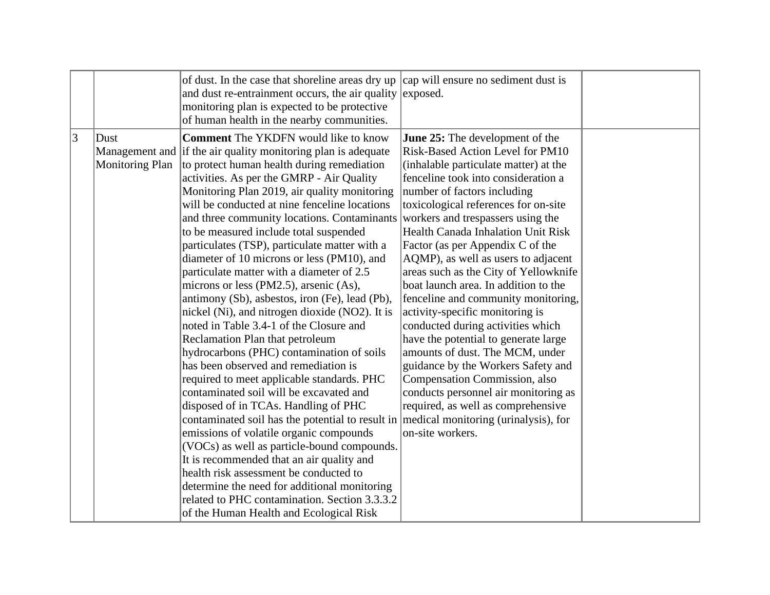| $ 3\rangle$<br><b>Comment</b> The YKDFN would like to know<br>Dust<br><b>June 25:</b> The development of the<br>Risk-Based Action Level for PM10<br>Management and if the air quality monitoring plan is adequate<br><b>Monitoring Plan</b><br>to protect human health during remediation<br>(inhalable particulate matter) at the<br>activities. As per the GMRP - Air Quality<br>fenceline took into consideration a<br>Monitoring Plan 2019, air quality monitoring<br>number of factors including<br>will be conducted at nine fenceline locations<br>toxicological references for on-site<br>and three community locations. Contaminants<br>workers and trespassers using the<br><b>Health Canada Inhalation Unit Risk</b><br>to be measured include total suspended<br>particulates (TSP), particulate matter with a<br>Factor (as per Appendix C of the<br>diameter of 10 microns or less (PM10), and<br>AQMP), as well as users to adjacent<br>particulate matter with a diameter of 2.5<br>areas such as the City of Yellowknife<br>microns or less (PM2.5), arsenic (As),<br>boat launch area. In addition to the<br>fenceline and community monitoring,<br>antimony (Sb), asbestos, iron (Fe), lead (Pb),<br>nickel (Ni), and nitrogen dioxide (NO2). It is<br>activity-specific monitoring is<br>noted in Table 3.4-1 of the Closure and<br>conducted during activities which<br>have the potential to generate large<br>Reclamation Plan that petroleum<br>amounts of dust. The MCM, under<br>hydrocarbons (PHC) contamination of soils<br>has been observed and remediation is<br>guidance by the Workers Safety and<br>Compensation Commission, also<br>required to meet applicable standards. PHC<br>contaminated soil will be excavated and<br>conducts personnel air monitoring as<br>required, as well as comprehensive<br>disposed of in TCAs. Handling of PHC<br>contaminated soil has the potential to result in medical monitoring (urinalysis), for<br>emissions of volatile organic compounds<br>on-site workers.<br>(VOCs) as well as particle-bound compounds.<br>It is recommended that an air quality and<br>health risk assessment be conducted to<br>determine the need for additional monitoring<br>related to PHC contamination. Section 3.3.3.2<br>of the Human Health and Ecological Risk |  |
|------------------------------------------------------------------------------------------------------------------------------------------------------------------------------------------------------------------------------------------------------------------------------------------------------------------------------------------------------------------------------------------------------------------------------------------------------------------------------------------------------------------------------------------------------------------------------------------------------------------------------------------------------------------------------------------------------------------------------------------------------------------------------------------------------------------------------------------------------------------------------------------------------------------------------------------------------------------------------------------------------------------------------------------------------------------------------------------------------------------------------------------------------------------------------------------------------------------------------------------------------------------------------------------------------------------------------------------------------------------------------------------------------------------------------------------------------------------------------------------------------------------------------------------------------------------------------------------------------------------------------------------------------------------------------------------------------------------------------------------------------------------------------------------------------------------------------------------------------------------------------------------------------------------------------------------------------------------------------------------------------------------------------------------------------------------------------------------------------------------------------------------------------------------------------------------------------------------------------------------------------------------------------------------------------------------------------|--|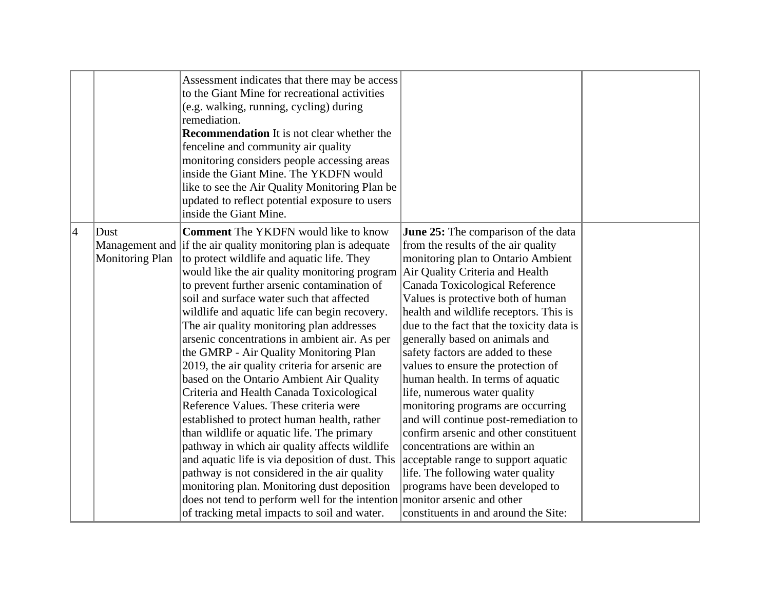| <b>Recommendation</b> It is not clear whether the<br>fenceline and community air quality<br>monitoring considers people accessing areas<br>inside the Giant Mine. The YKDFN would<br>like to see the Air Quality Monitoring Plan be<br>updated to reflect potential exposure to users<br>inside the Giant Mine.                                                                                                                                                                                                                                                                                                                                                                                                                                                                                                                                                                                                                                                                                                                                                                                                                                                                                                                                                                                                                                                                                                                                                                                                                                                                                                                                                                                                                                                                                                                                                                                                                                                                                 |  |
|-------------------------------------------------------------------------------------------------------------------------------------------------------------------------------------------------------------------------------------------------------------------------------------------------------------------------------------------------------------------------------------------------------------------------------------------------------------------------------------------------------------------------------------------------------------------------------------------------------------------------------------------------------------------------------------------------------------------------------------------------------------------------------------------------------------------------------------------------------------------------------------------------------------------------------------------------------------------------------------------------------------------------------------------------------------------------------------------------------------------------------------------------------------------------------------------------------------------------------------------------------------------------------------------------------------------------------------------------------------------------------------------------------------------------------------------------------------------------------------------------------------------------------------------------------------------------------------------------------------------------------------------------------------------------------------------------------------------------------------------------------------------------------------------------------------------------------------------------------------------------------------------------------------------------------------------------------------------------------------------------|--|
| $\vert 4 \vert$<br><b>Comment</b> The YKDFN would like to know<br>Dust<br><b>June 25:</b> The comparison of the data<br>Management and if the air quality monitoring plan is adequate<br>from the results of the air quality<br>Monitoring Plan<br>to protect wildlife and aquatic life. They<br>monitoring plan to Ontario Ambient<br>would like the air quality monitoring program<br>Air Quality Criteria and Health<br>to prevent further arsenic contamination of<br>Canada Toxicological Reference<br>soil and surface water such that affected<br>Values is protective both of human<br>health and wildlife receptors. This is<br>wildlife and aquatic life can begin recovery.<br>The air quality monitoring plan addresses<br>due to the fact that the toxicity data is<br>arsenic concentrations in ambient air. As per<br>generally based on animals and<br>the GMRP - Air Quality Monitoring Plan<br>safety factors are added to these<br>2019, the air quality criteria for arsenic are<br>values to ensure the protection of<br>based on the Ontario Ambient Air Quality<br>human health. In terms of aquatic<br>Criteria and Health Canada Toxicological<br>life, numerous water quality<br>Reference Values. These criteria were<br>monitoring programs are occurring<br>and will continue post-remediation to<br>established to protect human health, rather<br>than wildlife or aquatic life. The primary<br>confirm arsenic and other constituent<br>pathway in which air quality affects wildlife<br>concentrations are within an<br>and aquatic life is via deposition of dust. This<br>acceptable range to support aquatic<br>pathway is not considered in the air quality<br>life. The following water quality<br>programs have been developed to<br>monitoring plan. Monitoring dust deposition<br>does not tend to perform well for the intention<br>monitor arsenic and other<br>of tracking metal impacts to soil and water.<br>constituents in and around the Site: |  |